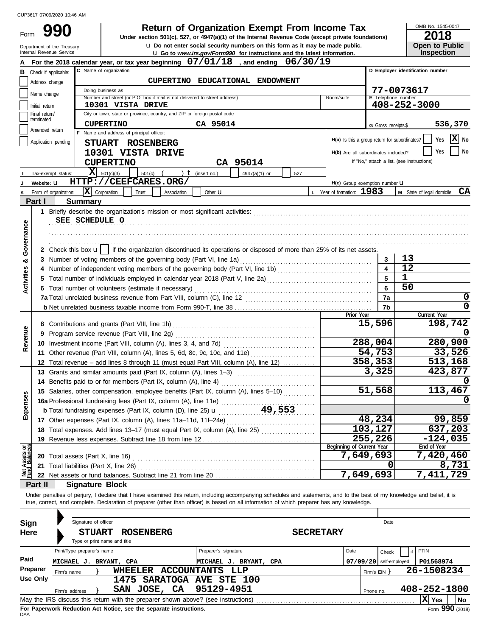Department of the Treasury

Form

u **Do not enter social security numbers on this form as it may be made public. Open to Public 990 1990 2018 Depending Solution Solution Solution Script Script Script Script Script Prom Income Tax 1947(a)(1)** of the Internal Revenue Code (except private foundations)

OMB No. 1545-0047

|  | 20 I U                |
|--|-----------------------|
|  | <b>Open to Public</b> |
|  | <b>Inspection</b>     |
|  |                       |

|                                |                 | Internal Revenue Service                                                          |                                                                            |                  |                  |                           | <b>u</b> Go to www.irs.gov/Form990 for instructions and the latest information.                                                                                            |          |                  |                                     |                          |                     |                                               | <b>Inspection</b>                  |   |
|--------------------------------|-----------------|-----------------------------------------------------------------------------------|----------------------------------------------------------------------------|------------------|------------------|---------------------------|----------------------------------------------------------------------------------------------------------------------------------------------------------------------------|----------|------------------|-------------------------------------|--------------------------|---------------------|-----------------------------------------------|------------------------------------|---|
|                                |                 | For the 2018 calendar year, or tax year beginning 07/01/18                        |                                                                            |                  |                  |                           | , and ending                                                                                                                                                               | 06/30/19 |                  |                                     |                          |                     |                                               |                                    |   |
| в                              |                 | Check if applicable:                                                              | C Name of organization                                                     |                  |                  |                           |                                                                                                                                                                            |          |                  |                                     |                          |                     | D Employer identification number              |                                    |   |
|                                | Address change  |                                                                                   |                                                                            |                  | <b>CUPERTINO</b> | <b>EDUCATIONAL</b>        | <b>ENDOWMENT</b>                                                                                                                                                           |          |                  |                                     |                          |                     |                                               |                                    |   |
|                                |                 |                                                                                   | Doing business as                                                          |                  |                  |                           |                                                                                                                                                                            |          |                  |                                     |                          |                     | 77-0073617                                    |                                    |   |
|                                | Name change     |                                                                                   | Number and street (or P.O. box if mail is not delivered to street address) |                  |                  |                           |                                                                                                                                                                            |          |                  | Room/suite                          |                          |                     | E Telephone number                            |                                    |   |
|                                | Initial return  |                                                                                   | 10301 VISTA DRIVE                                                          |                  |                  |                           |                                                                                                                                                                            |          |                  |                                     |                          |                     | 408-252-3000                                  |                                    |   |
|                                | Final return/   |                                                                                   | City or town, state or province, country, and ZIP or foreign postal code   |                  |                  |                           |                                                                                                                                                                            |          |                  |                                     |                          |                     |                                               |                                    |   |
|                                | terminated      |                                                                                   | <b>CUPERTINO</b>                                                           |                  |                  | CA 95014                  |                                                                                                                                                                            |          |                  |                                     |                          |                     |                                               | 536,370                            |   |
|                                | Amended return  |                                                                                   | F Name and address of principal officer:                                   |                  |                  |                           |                                                                                                                                                                            |          |                  |                                     |                          | G Gross receipts \$ |                                               |                                    |   |
|                                |                 |                                                                                   |                                                                            |                  |                  |                           |                                                                                                                                                                            |          |                  |                                     |                          |                     | H(a) Is this a group return for subordinates? | $ \mathbf{X} $ No<br>Yes           |   |
|                                |                 | Application pending                                                               | STUART ROSENBERG                                                           |                  |                  |                           |                                                                                                                                                                            |          |                  |                                     |                          |                     |                                               |                                    |   |
|                                |                 |                                                                                   | 10301 VISTA DRIVE                                                          |                  |                  |                           |                                                                                                                                                                            |          |                  | H(b) Are all subordinates included? |                          |                     |                                               | $\overline{\phantom{a}}$ No<br>Yes |   |
|                                |                 |                                                                                   | <b>CUPERTINO</b>                                                           |                  |                  |                           | CA 95014                                                                                                                                                                   |          |                  |                                     |                          |                     | If "No," attach a list. (see instructions)    |                                    |   |
|                                |                 | Tax-exempt status:                                                                | $ \mathbf{X} $ 501(c)(3)                                                   | 501(c)           |                  | ) $t$ (insert no.)        | 4947(a)(1) or                                                                                                                                                              | 527      |                  |                                     |                          |                     |                                               |                                    |   |
| J                              | Website: U      |                                                                                   | HTTP://CEEFCARES.ORG/                                                      |                  |                  |                           |                                                                                                                                                                            |          |                  | H(c) Group exemption number LI      |                          |                     |                                               |                                    |   |
|                                |                 |                                                                                   |                                                                            |                  |                  |                           |                                                                                                                                                                            |          |                  |                                     |                          |                     |                                               |                                    |   |
| κ                              |                 | Form of organization:                                                             | X Corporation<br>Trust                                                     |                  | Association      | Other $\mathbf u$         |                                                                                                                                                                            |          |                  | L Year of formation: 1983           |                          |                     |                                               | M State of legal domicile: CA      |   |
|                                | Part I          | <b>Summary</b>                                                                    |                                                                            |                  |                  |                           |                                                                                                                                                                            |          |                  |                                     |                          |                     |                                               |                                    |   |
|                                |                 |                                                                                   |                                                                            |                  |                  |                           |                                                                                                                                                                            |          |                  |                                     |                          |                     |                                               |                                    |   |
|                                |                 | SEE SCHEDULE O                                                                    |                                                                            |                  |                  |                           |                                                                                                                                                                            |          |                  |                                     |                          |                     |                                               |                                    |   |
| Governance                     |                 |                                                                                   |                                                                            |                  |                  |                           |                                                                                                                                                                            |          |                  |                                     |                          |                     |                                               |                                    |   |
|                                |                 |                                                                                   |                                                                            |                  |                  |                           |                                                                                                                                                                            |          |                  |                                     |                          |                     |                                               |                                    |   |
|                                |                 |                                                                                   |                                                                            |                  |                  |                           |                                                                                                                                                                            |          |                  |                                     |                          |                     |                                               |                                    |   |
|                                |                 |                                                                                   |                                                                            |                  |                  |                           | 2 Check this box $\mathbf{u}$   if the organization discontinued its operations or disposed of more than 25% of its net assets.                                            |          |                  |                                     |                          |                     |                                               |                                    |   |
| ೲ                              |                 |                                                                                   |                                                                            |                  |                  |                           |                                                                                                                                                                            |          |                  |                                     |                          | 3                   | 13                                            |                                    |   |
|                                |                 |                                                                                   |                                                                            |                  |                  |                           | 4 Number of independent voting members of the governing body (Part VI, line 1b) [11] [11] Number of independent voting members of the governing body (Part VI, line 1b)    |          |                  |                                     |                          | 4                   | 12                                            |                                    |   |
| Activities                     |                 |                                                                                   |                                                                            |                  |                  |                           |                                                                                                                                                                            |          |                  |                                     |                          |                     | 1                                             |                                    |   |
|                                |                 |                                                                                   |                                                                            |                  |                  |                           |                                                                                                                                                                            |          |                  |                                     |                          | 6                   | 50                                            |                                    |   |
|                                |                 |                                                                                   |                                                                            |                  |                  |                           |                                                                                                                                                                            |          |                  |                                     |                          | 7a                  |                                               |                                    | 0 |
|                                |                 |                                                                                   |                                                                            |                  |                  |                           |                                                                                                                                                                            |          |                  |                                     |                          | 7b                  |                                               |                                    | 0 |
|                                |                 |                                                                                   |                                                                            |                  |                  |                           |                                                                                                                                                                            |          |                  | Prior Year                          |                          |                     |                                               | Current Year                       |   |
|                                |                 |                                                                                   |                                                                            |                  |                  |                           |                                                                                                                                                                            |          |                  |                                     | 15,596                   |                     |                                               | 198,742                            |   |
|                                |                 |                                                                                   |                                                                            |                  |                  |                           |                                                                                                                                                                            |          |                  |                                     |                          |                     |                                               |                                    |   |
| Revenue                        | 9               | Program service revenue (Part VIII, line 2g)                                      |                                                                            |                  |                  |                           |                                                                                                                                                                            |          |                  |                                     |                          |                     |                                               |                                    |   |
|                                |                 |                                                                                   |                                                                            |                  |                  |                           |                                                                                                                                                                            |          |                  |                                     | 288,004                  |                     |                                               | 280,900                            |   |
|                                |                 |                                                                                   |                                                                            |                  |                  |                           | 11 Other revenue (Part VIII, column (A), lines 5, 6d, 8c, 9c, 10c, and 11e)                                                                                                |          |                  |                                     | 54,753                   |                     |                                               | 33,526                             |   |
|                                |                 |                                                                                   |                                                                            |                  |                  |                           | 12 Total revenue - add lines 8 through 11 (must equal Part VIII, column (A), line 12)                                                                                      |          |                  |                                     | 358,353                  |                     |                                               | 513,168                            |   |
|                                |                 |                                                                                   |                                                                            |                  |                  |                           | 13 Grants and similar amounts paid (Part IX, column (A), lines 1-3)                                                                                                        |          |                  |                                     |                          | 3,325               |                                               | 423,877                            |   |
|                                |                 | 14 Benefits paid to or for members (Part IX, column (A), line 4)                  |                                                                            |                  |                  |                           |                                                                                                                                                                            |          |                  |                                     |                          |                     |                                               |                                    |   |
|                                |                 |                                                                                   |                                                                            |                  |                  |                           | 15 Salaries, other compensation, employee benefits (Part IX, column (A), lines 5-10)                                                                                       |          |                  |                                     | 51,568                   |                     |                                               | 113,467                            |   |
|                                |                 |                                                                                   |                                                                            |                  |                  |                           |                                                                                                                                                                            |          |                  |                                     |                          |                     |                                               |                                    | 0 |
| penses                         |                 | 16a Professional fundraising fees (Part IX, column (A), line 11e)                 |                                                                            |                  |                  |                           |                                                                                                                                                                            |          |                  |                                     |                          |                     |                                               |                                    |   |
| 囚                              |                 | <b>b</b> Total fundraising expenses (Part IX, column (D), line 25) <b>u</b>       |                                                                            |                  |                  |                           |                                                                                                                                                                            | 49,553   |                  |                                     |                          |                     |                                               |                                    |   |
|                                |                 | 17 Other expenses (Part IX, column (A), lines 11a-11d, 11f-24e)                   |                                                                            |                  |                  |                           |                                                                                                                                                                            |          |                  |                                     | 48,234                   |                     |                                               | 99,859                             |   |
|                                |                 |                                                                                   |                                                                            |                  |                  |                           | 18 Total expenses. Add lines 13-17 (must equal Part IX, column (A), line 25)                                                                                               |          |                  |                                     | 103,127                  |                     |                                               | 637,203                            |   |
|                                |                 |                                                                                   |                                                                            |                  |                  |                           |                                                                                                                                                                            |          |                  |                                     | 255,226                  |                     |                                               | $-124,035$                         |   |
|                                |                 |                                                                                   |                                                                            |                  |                  |                           |                                                                                                                                                                            |          |                  | Beginning of Current Year           |                          |                     |                                               | End of Year                        |   |
| Net Assets or<br>Fund Balances |                 |                                                                                   |                                                                            |                  |                  |                           |                                                                                                                                                                            |          |                  |                                     | 7,649,693                |                     |                                               | 7,420,460                          |   |
|                                | 21              |                                                                                   |                                                                            |                  |                  |                           |                                                                                                                                                                            |          |                  |                                     |                          | O                   |                                               | 8,731                              |   |
|                                |                 |                                                                                   |                                                                            |                  |                  |                           |                                                                                                                                                                            |          |                  |                                     | 7,649,693                |                     |                                               | 7,411,729                          |   |
|                                |                 |                                                                                   |                                                                            |                  |                  |                           |                                                                                                                                                                            |          |                  |                                     |                          |                     |                                               |                                    |   |
|                                | Part II         | <b>Signature Block</b>                                                            |                                                                            |                  |                  |                           |                                                                                                                                                                            |          |                  |                                     |                          |                     |                                               |                                    |   |
|                                |                 |                                                                                   |                                                                            |                  |                  |                           | Under penalties of perjury, I declare that I have examined this return, including accompanying schedules and statements, and to the best of my knowledge and belief, it is |          |                  |                                     |                          |                     |                                               |                                    |   |
|                                |                 |                                                                                   |                                                                            |                  |                  |                           | true, correct, and complete. Declaration of preparer (other than officer) is based on all information of which preparer has any knowledge.                                 |          |                  |                                     |                          |                     |                                               |                                    |   |
|                                |                 |                                                                                   |                                                                            |                  |                  |                           |                                                                                                                                                                            |          |                  |                                     |                          |                     |                                               |                                    |   |
| Sign                           |                 | Signature of officer                                                              |                                                                            |                  |                  |                           |                                                                                                                                                                            |          |                  |                                     |                          | Date                |                                               |                                    |   |
| Here                           |                 | <b>STUART</b>                                                                     |                                                                            | <b>ROSENBERG</b> |                  |                           |                                                                                                                                                                            |          | <b>SECRETARY</b> |                                     |                          |                     |                                               |                                    |   |
|                                |                 |                                                                                   | Type or print name and title                                               |                  |                  |                           |                                                                                                                                                                            |          |                  |                                     |                          |                     |                                               |                                    |   |
|                                |                 | Print/Type preparer's name                                                        |                                                                            |                  |                  | Preparer's signature      |                                                                                                                                                                            |          |                  | Date                                |                          |                     | PTIN                                          |                                    |   |
|                                |                 |                                                                                   |                                                                            |                  |                  |                           |                                                                                                                                                                            |          |                  |                                     |                          | Check               |                                               |                                    |   |
| Paid                           |                 | MICHAEL J. BRYANT, CPA                                                            |                                                                            |                  |                  |                           | MICHAEL J. BRYANT, CPA                                                                                                                                                     |          |                  |                                     | 07/09/20   self-employed |                     |                                               | P01568974                          |   |
|                                | Preparer        | Firm's name                                                                       |                                                                            |                  |                  | WHEELER ACCOUNTANTS LLP   |                                                                                                                                                                            |          |                  |                                     | Firm's $EIN$ }           |                     |                                               | 26-1508234                         |   |
|                                | <b>Use Only</b> |                                                                                   |                                                                            |                  |                  | 1475 SARATOGA AVE STE 100 |                                                                                                                                                                            |          |                  |                                     |                          |                     |                                               |                                    |   |
|                                |                 | Firm's address                                                                    | SAN JOSE, CA                                                               |                  |                  | 95129-4951                |                                                                                                                                                                            |          |                  |                                     | Phone no.                |                     |                                               | 408-252-1800                       |   |
|                                |                 | May the IRS discuss this return with the preparer shown above? (see instructions) |                                                                            |                  |                  |                           |                                                                                                                                                                            |          |                  |                                     |                          |                     |                                               | $ \mathbf{X} $ Yes<br>No           |   |
|                                |                 |                                                                                   |                                                                            |                  |                  |                           |                                                                                                                                                                            |          |                  |                                     |                          |                     |                                               |                                    |   |

| Sign     | Signature of officer                                                              |                        |           | Date                     |                           |
|----------|-----------------------------------------------------------------------------------|------------------------|-----------|--------------------------|---------------------------|
| Here     | <b>ROSENBERG</b><br><b>STUART</b>                                                 | <b>SECRETARY</b>       |           |                          |                           |
|          | Type or print name and title                                                      |                        |           |                          |                           |
|          | Print/Type preparer's name                                                        | Preparer's signature   | Date      | Check                    | PTIN                      |
| Paid     | MICHAEL J. BRYANT, CPA                                                            | MICHAEL J. BRYANT, CPA |           | $07/09/20$ self-employed | P01568974                 |
| Preparer | <b>ACCOUNTANTS</b><br><b>WHEELER</b><br>Firm's name                               | LLP                    |           | Firm's $EIN$             | 26-1508234                |
| Use Only | <b>SARATOGA AVE STE 100</b><br>1475                                               |                        |           |                          |                           |
|          | SAN JOSE, CA<br>Firm's address                                                    | 95129-4951             | Phone no. |                          | 408-252-1800              |
|          | May the IRS discuss this return with the preparer shown above? (see instructions) |                        |           |                          | ΙxΙ<br><b>Yes</b><br>l No |

**For Paperwork Reduction Act Notice, see the separate instructions.**<br>DAA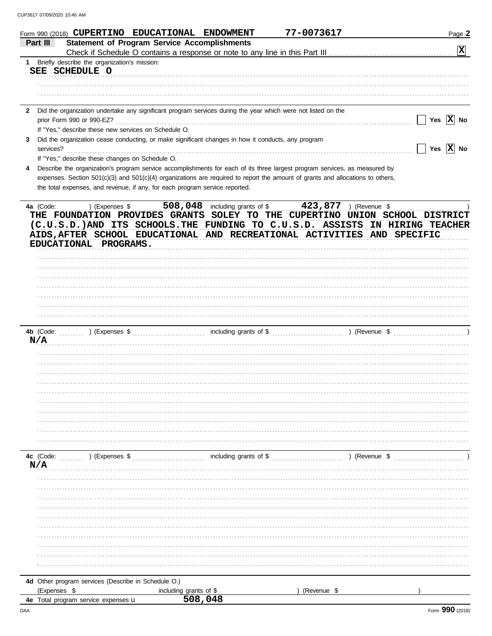|              | Form 990 (2018) CUPERTINO EDUCATIONAL ENDOWMENT                                                                                                            |                                                     |         | 77-0073617                                                                                                                     | Page 2                                                                                                                         |
|--------------|------------------------------------------------------------------------------------------------------------------------------------------------------------|-----------------------------------------------------|---------|--------------------------------------------------------------------------------------------------------------------------------|--------------------------------------------------------------------------------------------------------------------------------|
| Part III     |                                                                                                                                                            | <b>Statement of Program Service Accomplishments</b> |         |                                                                                                                                | $\boxed{\mathbf{X}}$                                                                                                           |
| $\mathbf 1$  | Briefly describe the organization's mission:                                                                                                               |                                                     |         |                                                                                                                                |                                                                                                                                |
|              | SEE SCHEDULE O                                                                                                                                             |                                                     |         |                                                                                                                                |                                                                                                                                |
|              |                                                                                                                                                            |                                                     |         |                                                                                                                                |                                                                                                                                |
|              |                                                                                                                                                            |                                                     |         |                                                                                                                                |                                                                                                                                |
|              |                                                                                                                                                            |                                                     |         |                                                                                                                                |                                                                                                                                |
| $\mathbf{2}$ |                                                                                                                                                            |                                                     |         | Did the organization undertake any significant program services during the year which were not listed on the                   |                                                                                                                                |
|              |                                                                                                                                                            |                                                     |         |                                                                                                                                | $\begin{array}{ c c c c c } \hline \text{ } & \text{Yes} & \text{X} & \text{No} \\\hline \end{array}$                          |
| 3            | If "Yes," describe these new services on Schedule O.<br>Did the organization cease conducting, or make significant changes in how it conducts, any program |                                                     |         |                                                                                                                                |                                                                                                                                |
|              | services?                                                                                                                                                  |                                                     |         |                                                                                                                                | $\Box$ Yes $\boxed{\text{X}}$ No                                                                                               |
|              | If "Yes," describe these changes on Schedule O.                                                                                                            |                                                     |         |                                                                                                                                |                                                                                                                                |
| 4            |                                                                                                                                                            |                                                     |         | Describe the organization's program service accomplishments for each of its three largest program services, as measured by     |                                                                                                                                |
|              |                                                                                                                                                            |                                                     |         | expenses. Section 501(c)(3) and 501(c)(4) organizations are required to report the amount of grants and allocations to others, |                                                                                                                                |
|              | the total expenses, and revenue, if any, for each program service reported.                                                                                |                                                     |         |                                                                                                                                |                                                                                                                                |
|              |                                                                                                                                                            |                                                     |         |                                                                                                                                |                                                                                                                                |
|              | 4a (Code: ) (Expenses \$                                                                                                                                   | 508,048                                             |         | including grants of $\frac{23,877}{\sqrt{23}}$ (Revenue $\frac{23,877}{\sqrt{23}}$ )                                           | THE FOUNDATION PROVIDES GRANTS SOLEY TO THE CUPERTINO UNION SCHOOL DISTRICT                                                    |
|              |                                                                                                                                                            |                                                     |         |                                                                                                                                | (C.U.S.D.)AND ITS SCHOOLS.THE FUNDING TO C.U.S.D. ASSISTS IN HIRING TEACHER                                                    |
|              |                                                                                                                                                            |                                                     |         | AIDS, AFTER SCHOOL EDUCATIONAL AND RECREATIONAL ACTIVITIES AND SPECIFIC                                                        |                                                                                                                                |
|              | EDUCATIONAL PROGRAMS.                                                                                                                                      |                                                     |         |                                                                                                                                |                                                                                                                                |
|              |                                                                                                                                                            |                                                     |         |                                                                                                                                |                                                                                                                                |
|              |                                                                                                                                                            |                                                     |         |                                                                                                                                |                                                                                                                                |
|              |                                                                                                                                                            |                                                     |         |                                                                                                                                |                                                                                                                                |
|              |                                                                                                                                                            |                                                     |         |                                                                                                                                |                                                                                                                                |
|              |                                                                                                                                                            |                                                     |         |                                                                                                                                |                                                                                                                                |
|              |                                                                                                                                                            |                                                     |         |                                                                                                                                |                                                                                                                                |
|              |                                                                                                                                                            |                                                     |         |                                                                                                                                |                                                                                                                                |
|              |                                                                                                                                                            |                                                     |         |                                                                                                                                |                                                                                                                                |
| N/A          |                                                                                                                                                            |                                                     |         |                                                                                                                                |                                                                                                                                |
|              |                                                                                                                                                            |                                                     |         |                                                                                                                                |                                                                                                                                |
|              |                                                                                                                                                            |                                                     |         |                                                                                                                                |                                                                                                                                |
|              |                                                                                                                                                            |                                                     |         |                                                                                                                                |                                                                                                                                |
|              |                                                                                                                                                            |                                                     |         |                                                                                                                                |                                                                                                                                |
|              |                                                                                                                                                            |                                                     |         |                                                                                                                                |                                                                                                                                |
|              |                                                                                                                                                            |                                                     |         |                                                                                                                                |                                                                                                                                |
|              |                                                                                                                                                            |                                                     |         |                                                                                                                                |                                                                                                                                |
|              |                                                                                                                                                            |                                                     |         |                                                                                                                                |                                                                                                                                |
|              |                                                                                                                                                            |                                                     |         |                                                                                                                                |                                                                                                                                |
| 4c (Code:    |                                                                                                                                                            |                                                     |         |                                                                                                                                | ) (Expenses $\frac{1}{2}$ (Expenses $\frac{1}{2}$ ) (Revenue $\frac{1}{2}$ ) (Revenue $\frac{1}{2}$ ) (Revenue $\frac{1}{2}$ ) |
| N/A          |                                                                                                                                                            |                                                     |         |                                                                                                                                |                                                                                                                                |
|              |                                                                                                                                                            |                                                     |         |                                                                                                                                |                                                                                                                                |
|              |                                                                                                                                                            |                                                     |         |                                                                                                                                |                                                                                                                                |
|              |                                                                                                                                                            |                                                     |         |                                                                                                                                |                                                                                                                                |
|              |                                                                                                                                                            |                                                     |         |                                                                                                                                |                                                                                                                                |
|              |                                                                                                                                                            |                                                     |         |                                                                                                                                |                                                                                                                                |
|              |                                                                                                                                                            |                                                     |         |                                                                                                                                |                                                                                                                                |
|              |                                                                                                                                                            |                                                     |         |                                                                                                                                |                                                                                                                                |
|              |                                                                                                                                                            |                                                     |         |                                                                                                                                |                                                                                                                                |
|              |                                                                                                                                                            |                                                     |         |                                                                                                                                |                                                                                                                                |
|              |                                                                                                                                                            |                                                     |         |                                                                                                                                |                                                                                                                                |
|              | 4d Other program services (Describe in Schedule O.)                                                                                                        |                                                     |         |                                                                                                                                |                                                                                                                                |
|              | (Expenses \$                                                                                                                                               | including grants of \$                              |         | (Revenue \$                                                                                                                    |                                                                                                                                |
|              | 4e Total program service expenses u                                                                                                                        |                                                     | 508,048 |                                                                                                                                |                                                                                                                                |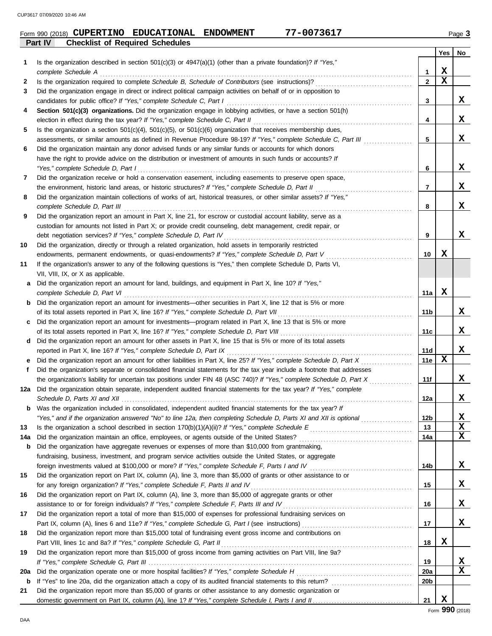**Part IV Checklist of Required Schedules**

|     |                                                                                                                                                    |                 | Yes         | No              |
|-----|----------------------------------------------------------------------------------------------------------------------------------------------------|-----------------|-------------|-----------------|
| 1   | Is the organization described in section $501(c)(3)$ or $4947(a)(1)$ (other than a private foundation)? If "Yes,"                                  |                 |             |                 |
|     | complete Schedule A                                                                                                                                | 1               | X           |                 |
| 2   |                                                                                                                                                    | $\overline{2}$  | x           |                 |
| 3   | Did the organization engage in direct or indirect political campaign activities on behalf of or in opposition to                                   |                 |             |                 |
|     | candidates for public office? If "Yes," complete Schedule C, Part I                                                                                | 3               |             | X               |
| 4   | Section 501(c)(3) organizations. Did the organization engage in lobbying activities, or have a section 501(h)                                      |                 |             |                 |
|     |                                                                                                                                                    | 4               |             | X               |
| 5   | Is the organization a section $501(c)(4)$ , $501(c)(5)$ , or $501(c)(6)$ organization that receives membership dues,                               |                 |             |                 |
|     | assessments, or similar amounts as defined in Revenue Procedure 98-19? If "Yes," complete Schedule C, Part III                                     | 5               |             | X               |
| 6   | Did the organization maintain any donor advised funds or any similar funds or accounts for which donors                                            |                 |             |                 |
|     | have the right to provide advice on the distribution or investment of amounts in such funds or accounts? If                                        |                 |             |                 |
|     | "Yes," complete Schedule D, Part I                                                                                                                 | 6               |             | x               |
| 7   | Did the organization receive or hold a conservation easement, including easements to preserve open space,                                          |                 |             |                 |
|     | the environment, historic land areas, or historic structures? If "Yes," complete Schedule D, Part II                                               | 7               |             | X               |
| 8   | Did the organization maintain collections of works of art, historical treasures, or other similar assets? If "Yes,"                                |                 |             |                 |
|     |                                                                                                                                                    | 8               |             | X               |
| 9   | Did the organization report an amount in Part X, line 21, for escrow or custodial account liability, serve as a                                    |                 |             |                 |
|     | custodian for amounts not listed in Part X; or provide credit counseling, debt management, credit repair, or                                       |                 |             | x               |
|     |                                                                                                                                                    | 9               |             |                 |
| 10  | Did the organization, directly or through a related organization, hold assets in temporarily restricted                                            |                 | х           |                 |
|     | endowments, permanent endowments, or quasi-endowments? If "Yes," complete Schedule D, Part V                                                       | 10              |             |                 |
| 11  | If the organization's answer to any of the following questions is "Yes," then complete Schedule D, Parts VI,<br>VII, VIII, IX, or X as applicable. |                 |             |                 |
| a   | Did the organization report an amount for land, buildings, and equipment in Part X, line 10? If "Yes,"                                             |                 |             |                 |
|     |                                                                                                                                                    | 11a             | $\mathbf x$ |                 |
| b   | Did the organization report an amount for investments—other securities in Part X, line 12 that is 5% or more                                       |                 |             |                 |
|     |                                                                                                                                                    | 11b             |             | X               |
| c   | Did the organization report an amount for investments—program related in Part X, line 13 that is 5% or more                                        |                 |             |                 |
|     |                                                                                                                                                    | 11c             |             | x               |
| d   | Did the organization report an amount for other assets in Part X, line 15 that is 5% or more of its total assets                                   |                 |             |                 |
|     | reported in Part X, line 16? If "Yes," complete Schedule D, Part IX                                                                                | 11d             |             | X               |
| е   | Did the organization report an amount for other liabilities in Part X, line 25? If "Yes," complete Schedule D, Part X                              | 11e             | $\mathbf X$ |                 |
| f   | Did the organization's separate or consolidated financial statements for the tax year include a footnote that addresses                            |                 |             |                 |
|     | the organization's liability for uncertain tax positions under FIN 48 (ASC 740)? If "Yes," complete Schedule D, Part X                             | 11f             |             | X               |
|     | 12a Did the organization obtain separate, independent audited financial statements for the tax year? If "Yes," complete                            |                 |             |                 |
|     |                                                                                                                                                    | 12a             |             | X               |
| b   | Was the organization included in consolidated, independent audited financial statements for the tax year? If                                       |                 |             |                 |
|     | "Yes," and if the organization answered "No" to line 12a, then completing Schedule D, Parts XI and XII is optional                                 | 12 <sub>b</sub> |             | X               |
| 13  |                                                                                                                                                    | 13              |             | $\mathbf x$     |
| 14a |                                                                                                                                                    | 14a             |             | X               |
| b   | Did the organization have aggregate revenues or expenses of more than \$10,000 from grantmaking,                                                   |                 |             |                 |
|     | fundraising, business, investment, and program service activities outside the United States, or aggregate                                          |                 |             |                 |
|     |                                                                                                                                                    | 14b             |             | X               |
| 15  | Did the organization report on Part IX, column (A), line 3, more than \$5,000 of grants or other assistance to or                                  |                 |             |                 |
|     | for any foreign organization? If "Yes," complete Schedule F, Parts II and IV [[[[[[[[[[[[[[[[[[[[[[[[[[[[[[[[[                                     | 15              |             | X               |
| 16  | Did the organization report on Part IX, column (A), line 3, more than \$5,000 of aggregate grants or other                                         |                 |             | X               |
|     |                                                                                                                                                    | 16              |             |                 |
| 17  | Did the organization report a total of more than \$15,000 of expenses for professional fundraising services on                                     | 17              |             | X               |
|     |                                                                                                                                                    |                 |             |                 |
| 18  | Did the organization report more than \$15,000 total of fundraising event gross income and contributions on                                        | 18              | X           |                 |
| 19  | Did the organization report more than \$15,000 of gross income from gaming activities on Part VIII, line 9a?                                       |                 |             |                 |
|     |                                                                                                                                                    | 19              |             | X               |
| 20a |                                                                                                                                                    | <b>20a</b>      |             | $\mathbf x$     |
| b   |                                                                                                                                                    | 20 <sub>b</sub> |             |                 |
| 21  | Did the organization report more than \$5,000 of grants or other assistance to any domestic organization or                                        |                 |             |                 |
|     |                                                                                                                                                    | 21              | X           |                 |
|     |                                                                                                                                                    |                 |             | Form 990 (2018) |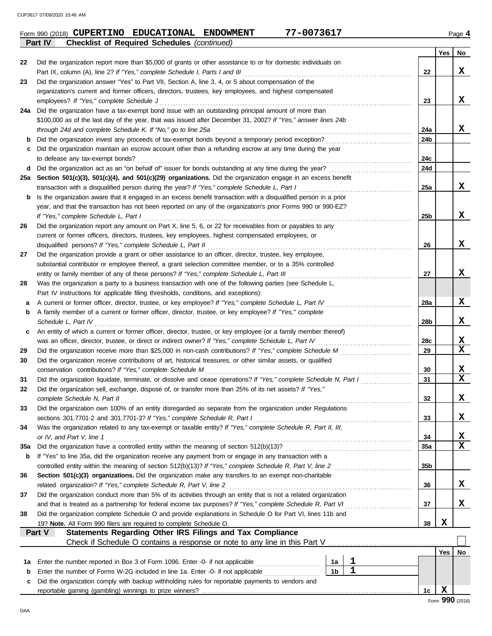|     | 77-0073617<br>Form 990 (2018) CUPERTINO EDUCATIONAL ENDOWMENT                                                                                                                                |                                |     |                 | Page 4      |
|-----|----------------------------------------------------------------------------------------------------------------------------------------------------------------------------------------------|--------------------------------|-----|-----------------|-------------|
|     | <b>Checklist of Required Schedules (continued)</b><br>Part IV                                                                                                                                |                                |     |                 |             |
|     |                                                                                                                                                                                              |                                |     | Yes             | No          |
| 22  | Did the organization report more than \$5,000 of grants or other assistance to or for domestic individuals on<br>Part IX, column (A), line 2? If "Yes," complete Schedule I, Parts I and III |                                | 22  |                 | X           |
| 23  | Did the organization answer "Yes" to Part VII, Section A, line 3, 4, or 5 about compensation of the                                                                                          |                                |     |                 |             |
|     | organization's current and former officers, directors, trustees, key employees, and highest compensated                                                                                      |                                |     |                 |             |
|     | employees? If "Yes," complete Schedule J                                                                                                                                                     |                                | 23  |                 | X           |
| 24a | Did the organization have a tax-exempt bond issue with an outstanding principal amount of more than                                                                                          |                                |     |                 |             |
|     | \$100,000 as of the last day of the year, that was issued after December 31, 2002? If "Yes," answer lines 24b                                                                                |                                |     |                 |             |
|     | through 24d and complete Schedule K. If "No," go to line 25a                                                                                                                                 |                                | 24a |                 | X           |
| b   |                                                                                                                                                                                              |                                | 24b |                 |             |
| с   | Did the organization maintain an escrow account other than a refunding escrow at any time during the year                                                                                    |                                |     |                 |             |
|     | to defease any tax-exempt bonds?                                                                                                                                                             |                                | 24c |                 |             |
| d   | Did the organization act as an "on behalf of" issuer for bonds outstanding at any time during the year?                                                                                      |                                | 24d |                 |             |
| 25a | Section 501(c)(3), 501(c)(4), and 501(c)(29) organizations. Did the organization engage in an excess benefit                                                                                 |                                |     |                 |             |
|     | transaction with a disqualified person during the year? If "Yes," complete Schedule L, Part I                                                                                                |                                | 25a |                 | x           |
| b   | Is the organization aware that it engaged in an excess benefit transaction with a disqualified person in a prior                                                                             |                                |     |                 |             |
|     | year, and that the transaction has not been reported on any of the organization's prior Forms 990 or 990-EZ?                                                                                 |                                |     |                 |             |
|     | If "Yes," complete Schedule L, Part I                                                                                                                                                        |                                | 25b |                 | X           |
| 26  | Did the organization report any amount on Part X, line 5, 6, or 22 for receivables from or payables to any                                                                                   |                                |     |                 |             |
|     | current or former officers, directors, trustees, key employees, highest compensated employees, or                                                                                            |                                |     |                 | X           |
| 27  | disqualified persons? If "Yes," complete Schedule L, Part II<br>Did the organization provide a grant or other assistance to an officer, director, trustee, key employee,                     |                                | 26  |                 |             |
|     | substantial contributor or employee thereof, a grant selection committee member, or to a 35% controlled                                                                                      |                                |     |                 |             |
|     | entity or family member of any of these persons? If "Yes," complete Schedule L, Part III                                                                                                     |                                | 27  |                 | x           |
| 28  | Was the organization a party to a business transaction with one of the following parties (see Schedule L,                                                                                    |                                |     |                 |             |
|     | Part IV instructions for applicable filing thresholds, conditions, and exceptions):                                                                                                          |                                |     |                 |             |
| а   | A current or former officer, director, trustee, or key employee? If "Yes," complete Schedule L, Part IV                                                                                      |                                | 28a |                 | X           |
| b   | A family member of a current or former officer, director, trustee, or key employee? If "Yes," complete                                                                                       |                                |     |                 |             |
|     | Schedule L, Part IV                                                                                                                                                                          |                                | 28b |                 | X           |
| c   | An entity of which a current or former officer, director, trustee, or key employee (or a family member thereof)                                                                              |                                |     |                 |             |
|     | was an officer, director, trustee, or direct or indirect owner? If "Yes," complete Schedule L, Part IV                                                                                       |                                | 28c |                 | X           |
| 29  | Did the organization receive more than \$25,000 in non-cash contributions? If "Yes," complete Schedule M                                                                                     |                                | 29  |                 | X           |
| 30  | Did the organization receive contributions of art, historical treasures, or other similar assets, or qualified                                                                               |                                |     |                 |             |
|     | conservation contributions? If "Yes," complete Schedule M                                                                                                                                    |                                | 30  |                 | X           |
| 31  | Did the organization liquidate, terminate, or dissolve and cease operations? If "Yes," complete Schedule N, Part I                                                                           |                                | 31  |                 | $\mathbf x$ |
| 32  | Did the organization sell, exchange, dispose of, or transfer more than 25% of its net assets? If "Yes,"                                                                                      |                                |     |                 |             |
|     | complete Schedule N, Part II                                                                                                                                                                 |                                | 32  |                 | X           |
| 33  | Did the organization own 100% of an entity disregarded as separate from the organization under Regulations                                                                                   |                                |     |                 |             |
|     | sections 301.7701-2 and 301.7701-3? If "Yes," complete Schedule R, Part I                                                                                                                    |                                | 33  |                 | X           |
| 34  | Was the organization related to any tax-exempt or taxable entity? If "Yes," complete Schedule R, Part II, III,                                                                               |                                |     |                 |             |
|     | or IV, and Part V, line 1                                                                                                                                                                    |                                | 34  |                 | X<br>X      |
| 35a | If "Yes" to line 35a, did the organization receive any payment from or engage in any transaction with a                                                                                      |                                | 35a |                 |             |
| b   | controlled entity within the meaning of section 512(b)(13)? If "Yes," complete Schedule R, Part V, line 2                                                                                    |                                | 35b |                 |             |
| 36  | Section 501(c)(3) organizations. Did the organization make any transfers to an exempt non-charitable                                                                                         |                                |     |                 |             |
|     | related organization? If "Yes," complete Schedule R, Part V, line 2                                                                                                                          |                                | 36  |                 | X           |
| 37  | Did the organization conduct more than 5% of its activities through an entity that is not a related organization                                                                             |                                |     |                 |             |
|     | and that is treated as a partnership for federal income tax purposes? If "Yes," complete Schedule R, Part VI                                                                                 |                                | 37  |                 | x           |
| 38  | Did the organization complete Schedule O and provide explanations in Schedule O for Part VI, lines 11b and                                                                                   |                                |     |                 |             |
|     | 19? Note. All Form 990 filers are required to complete Schedule O.                                                                                                                           |                                | 38  | X               |             |
|     | Statements Regarding Other IRS Filings and Tax Compliance<br>Part V                                                                                                                          |                                |     |                 |             |
|     | Check if Schedule O contains a response or note to any line in this Part V                                                                                                                   |                                |     |                 |             |
|     |                                                                                                                                                                                              |                                |     | Yes             | No          |
| 1а  | Enter the number reported in Box 3 of Form 1096. Enter -0- if not applicable [                                                                                                               | 1<br>1a                        |     |                 |             |
| b   | Enter the number of Forms W-2G included in line 1a. Enter -0- if not applicable                                                                                                              | $\mathbf{1}$<br>1 <sub>b</sub> |     |                 |             |
| с   | Did the organization comply with backup withholding rules for reportable payments to vendors and                                                                                             |                                |     |                 |             |
|     |                                                                                                                                                                                              |                                | 1c  | $\mathbf x$     |             |
|     |                                                                                                                                                                                              |                                |     | Form 990 (2018) |             |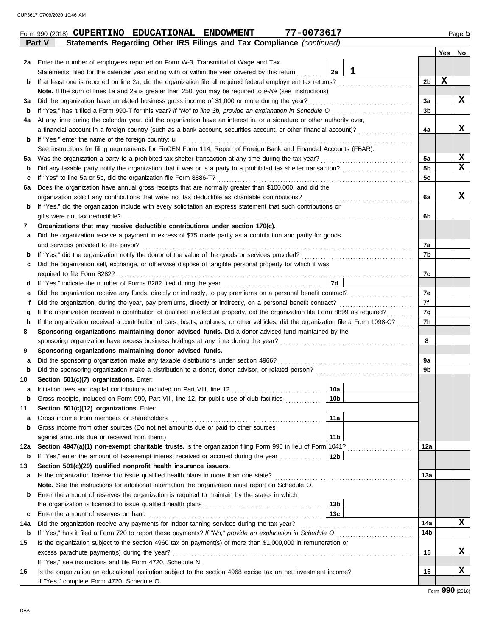|         |                                                                                                                                    |                 |   |                | Yes | No                          |  |  |  |  |  |  |
|---------|------------------------------------------------------------------------------------------------------------------------------------|-----------------|---|----------------|-----|-----------------------------|--|--|--|--|--|--|
| 2a      | Enter the number of employees reported on Form W-3, Transmittal of Wage and Tax                                                    |                 |   |                |     |                             |  |  |  |  |  |  |
|         | Statements, filed for the calendar year ending with or within the year covered by this return                                      | 2a              | 1 |                |     |                             |  |  |  |  |  |  |
| b       | If at least one is reported on line 2a, did the organization file all required federal employment tax returns?                     |                 |   | 2b             | X   |                             |  |  |  |  |  |  |
|         | Note. If the sum of lines 1a and 2a is greater than 250, you may be required to e-file (see instructions)                          |                 |   |                |     |                             |  |  |  |  |  |  |
| за      | Did the organization have unrelated business gross income of \$1,000 or more during the year?                                      |                 |   | 3a             |     | x                           |  |  |  |  |  |  |
| b       | If "Yes," has it filed a Form 990-T for this year? If "No" to line 3b, provide an explanation in Schedule O                        |                 |   | 3b             |     |                             |  |  |  |  |  |  |
| 4a      | At any time during the calendar year, did the organization have an interest in, or a signature or other authority over,            |                 |   |                |     |                             |  |  |  |  |  |  |
|         | a financial account in a foreign country (such as a bank account, securities account, or other financial account)?                 |                 |   |                |     |                             |  |  |  |  |  |  |
| b       | If "Yes," enter the name of the foreign country: u                                                                                 |                 |   |                |     |                             |  |  |  |  |  |  |
|         | See instructions for filing requirements for FinCEN Form 114, Report of Foreign Bank and Financial Accounts (FBAR).                |                 |   |                |     |                             |  |  |  |  |  |  |
| 5а      |                                                                                                                                    |                 |   | 5a             |     | X                           |  |  |  |  |  |  |
| b       |                                                                                                                                    |                 |   | 5 <sub>b</sub> |     | X                           |  |  |  |  |  |  |
| c       | If "Yes" to line 5a or 5b, did the organization file Form 8886-T?                                                                  |                 |   | 5c             |     |                             |  |  |  |  |  |  |
| 6а      | Does the organization have annual gross receipts that are normally greater than \$100,000, and did the                             |                 |   |                |     |                             |  |  |  |  |  |  |
|         |                                                                                                                                    |                 |   | 6a             |     | x                           |  |  |  |  |  |  |
| b       | If "Yes," did the organization include with every solicitation an express statement that such contributions or                     |                 |   |                |     |                             |  |  |  |  |  |  |
|         | gifts were not tax deductible?                                                                                                     |                 |   | 6b             |     |                             |  |  |  |  |  |  |
| 7       | Organizations that may receive deductible contributions under section 170(c).                                                      |                 |   |                |     |                             |  |  |  |  |  |  |
| а       | Did the organization receive a payment in excess of \$75 made partly as a contribution and partly for goods                        |                 |   |                |     |                             |  |  |  |  |  |  |
|         | and services provided to the payor?                                                                                                |                 |   | 7a             |     |                             |  |  |  |  |  |  |
| b       | If "Yes," did the organization notify the donor of the value of the goods or services provided?                                    |                 |   | 7b             |     |                             |  |  |  |  |  |  |
| c       | Did the organization sell, exchange, or otherwise dispose of tangible personal property for which it was                           |                 |   |                |     |                             |  |  |  |  |  |  |
|         |                                                                                                                                    |                 |   | 7с             |     |                             |  |  |  |  |  |  |
| d       |                                                                                                                                    | <b>7d</b>       |   |                |     |                             |  |  |  |  |  |  |
| е       | Did the organization receive any funds, directly or indirectly, to pay premiums on a personal benefit contract?                    |                 |   | 7е             |     |                             |  |  |  |  |  |  |
| f       | Did the organization, during the year, pay premiums, directly or indirectly, on a personal benefit contract?                       |                 |   | 7f             |     |                             |  |  |  |  |  |  |
| g       | If the organization received a contribution of qualified intellectual property, did the organization file Form 8899 as required?   |                 |   | 7g             |     |                             |  |  |  |  |  |  |
| h       | If the organization received a contribution of cars, boats, airplanes, or other vehicles, did the organization file a Form 1098-C? |                 |   | 7h             |     |                             |  |  |  |  |  |  |
| 8       | Sponsoring organizations maintaining donor advised funds. Did a donor advised fund maintained by the                               |                 |   |                |     |                             |  |  |  |  |  |  |
|         |                                                                                                                                    |                 |   | 8              |     |                             |  |  |  |  |  |  |
| 9       | Sponsoring organizations maintaining donor advised funds.                                                                          |                 |   |                |     |                             |  |  |  |  |  |  |
| а       | Did the sponsoring organization make any taxable distributions under section 4966?                                                 |                 |   | 9a             |     |                             |  |  |  |  |  |  |
| b       |                                                                                                                                    |                 |   | 9b             |     |                             |  |  |  |  |  |  |
| 10      | Section 501(c)(7) organizations. Enter:                                                                                            |                 |   |                |     |                             |  |  |  |  |  |  |
| а       | Initiation fees and capital contributions included on Part VIII, line 12                                                           | 10a             |   |                |     |                             |  |  |  |  |  |  |
| b<br>11 | Gross receipts, included on Form 990, Part VIII, line 12, for public use of club facilities                                        | 10 <sub>b</sub> |   |                |     |                             |  |  |  |  |  |  |
|         | Section 501(c)(12) organizations. Enter:                                                                                           | 11a             |   |                |     |                             |  |  |  |  |  |  |
| a       | Gross income from other sources (Do not net amounts due or paid to other sources                                                   |                 |   |                |     |                             |  |  |  |  |  |  |
| b       |                                                                                                                                    | 11 <sub>b</sub> |   |                |     |                             |  |  |  |  |  |  |
| 12a     | Section 4947(a)(1) non-exempt charitable trusts. Is the organization filing Form 990 in lieu of Form 1041?                         |                 |   | 12a            |     |                             |  |  |  |  |  |  |
| b       |                                                                                                                                    |                 |   |                |     |                             |  |  |  |  |  |  |
| 13      | Section 501(c)(29) qualified nonprofit health insurance issuers.                                                                   |                 |   |                |     |                             |  |  |  |  |  |  |
| а       |                                                                                                                                    |                 |   | 13а            |     |                             |  |  |  |  |  |  |
|         | Note. See the instructions for additional information the organization must report on Schedule O.                                  |                 |   |                |     |                             |  |  |  |  |  |  |
| b       | Enter the amount of reserves the organization is required to maintain by the states in which                                       |                 |   |                |     |                             |  |  |  |  |  |  |
|         |                                                                                                                                    | 13b             |   |                |     |                             |  |  |  |  |  |  |
| c       |                                                                                                                                    | 13с             |   |                |     |                             |  |  |  |  |  |  |
| 14a     |                                                                                                                                    |                 |   | 14a            |     | x                           |  |  |  |  |  |  |
| b       |                                                                                                                                    |                 |   | 14b            |     |                             |  |  |  |  |  |  |
| 15      | Is the organization subject to the section 4960 tax on payment(s) of more than \$1,000,000 in remuneration or                      |                 |   |                |     |                             |  |  |  |  |  |  |
|         |                                                                                                                                    |                 |   | 15             |     | x                           |  |  |  |  |  |  |
|         | If "Yes," see instructions and file Form 4720, Schedule N.                                                                         |                 |   |                |     |                             |  |  |  |  |  |  |
| 16      | Is the organization an educational institution subject to the section 4968 excise tax on net investment income?                    |                 |   | 16             |     | X                           |  |  |  |  |  |  |
|         | If "Yes," complete Form 4720, Schedule O.                                                                                          |                 |   |                |     |                             |  |  |  |  |  |  |
|         |                                                                                                                                    |                 |   |                |     | $F_{\text{OCD}}$ 990 (2018) |  |  |  |  |  |  |

**<u>Statements Regarding Other IRS Filings and Tax Compliance (continued)</u>** 

**Form 990 (2018) CUPERTINO EDUCATIONAL ENDOWMENT** 77-0073617 Page 5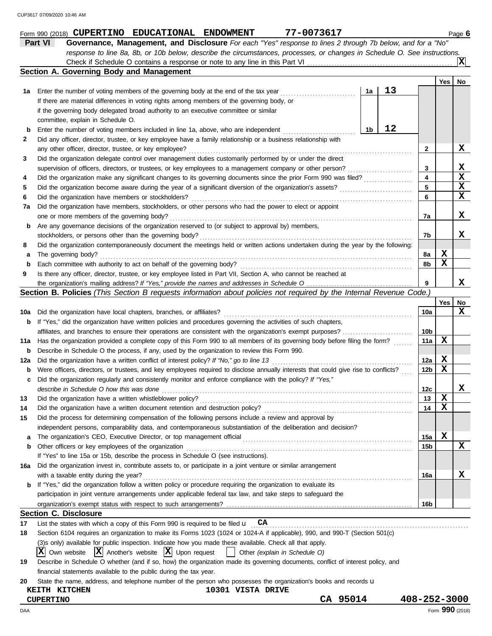|     | Part VI<br><b>Governance, Management, and Disclosure</b> For each "Yes" response to lines 2 through 7b below, and for a "No"        |                 |             |                 |
|-----|-------------------------------------------------------------------------------------------------------------------------------------|-----------------|-------------|-----------------|
|     | response to line 8a, 8b, or 10b below, describe the circumstances, processes, or changes in Schedule O. See instructions.           |                 |             |                 |
|     |                                                                                                                                     |                 |             | x               |
|     | Section A. Governing Body and Management                                                                                            |                 | Yes         | No              |
| 1а  | 13<br>Enter the number of voting members of the governing body at the end of the tax year<br>1a                                     |                 |             |                 |
|     | If there are material differences in voting rights among members of the governing body, or                                          |                 |             |                 |
|     | if the governing body delegated broad authority to an executive committee or similar                                                |                 |             |                 |
|     | committee, explain in Schedule O.                                                                                                   |                 |             |                 |
| b   | 12<br>1b<br>Enter the number of voting members included in line 1a, above, who are independent                                      |                 |             |                 |
| 2   | Did any officer, director, trustee, or key employee have a family relationship or a business relationship with                      |                 |             |                 |
|     | any other officer, director, trustee, or key employee?                                                                              | 2               |             | X               |
| 3   | Did the organization delegate control over management duties customarily performed by or under the direct                           |                 |             |                 |
|     | supervision of officers, directors, or trustees, or key employees to a management company or other person?                          | 3               |             | x               |
| 4   | .                                                                                                                                   | 4               |             | X               |
| 5   |                                                                                                                                     | 5               |             | X               |
| 6   | Did the organization have members or stockholders?                                                                                  | 6               |             | x               |
| 7a  | Did the organization have members, stockholders, or other persons who had the power to elect or appoint                             |                 |             |                 |
|     | one or more members of the governing body?                                                                                          | 7а              |             | x               |
| b   | Are any governance decisions of the organization reserved to (or subject to approval by) members,                                   |                 |             |                 |
|     | stockholders, or persons other than the governing body?                                                                             | 7b              |             | x               |
| 8   | Did the organization contemporaneously document the meetings held or written actions undertaken during the year by the following:   |                 |             |                 |
| а   | The governing body?                                                                                                                 | 8а              | X           |                 |
| b   | Each committee with authority to act on behalf of the governing body?                                                               | 8b              | X           |                 |
| 9   | Is there any officer, director, trustee, or key employee listed in Part VII, Section A, who cannot be reached at                    |                 |             |                 |
|     |                                                                                                                                     | 9               |             | x               |
|     | Section B. Policies (This Section B requests information about policies not required by the Internal Revenue Code.)                 |                 |             |                 |
|     |                                                                                                                                     |                 | Yes         | No              |
| 10a | Did the organization have local chapters, branches, or affiliates?                                                                  | 10a             |             | x               |
| b   | If "Yes," did the organization have written policies and procedures governing the activities of such chapters,                      |                 |             |                 |
|     | affiliates, and branches to ensure their operations are consistent with the organization's exempt purposes?                         | 10b             |             |                 |
| 11a | Has the organization provided a complete copy of this Form 990 to all members of its governing body before filing the form?         | 11a             | X           |                 |
| b   | Describe in Schedule O the process, if any, used by the organization to review this Form 990.                                       |                 |             |                 |
| 12a | Did the organization have a written conflict of interest policy? If "No," go to line 13                                             | 12a             | X           |                 |
| b   | Were officers, directors, or trustees, and key employees required to disclose annually interests that could give rise to conflicts? | 12b             | $\mathbf x$ |                 |
| c   | Did the organization regularly and consistently monitor and enforce compliance with the policy? If "Yes,"                           |                 |             |                 |
|     | describe in Schedule O how this was done                                                                                            | 12c             |             | x               |
| 13  | Did the organization have a written whistleblower policy?                                                                           | 13              | X           |                 |
| 14  |                                                                                                                                     | 14              | $\mathbf x$ |                 |
| 15  | Did the process for determining compensation of the following persons include a review and approval by                              |                 |             |                 |
|     | independent persons, comparability data, and contemporaneous substantiation of the deliberation and decision?                       |                 |             |                 |
| а   |                                                                                                                                     | 15a             | $\mathbf x$ |                 |
| b   | Other officers or key employees of the organization                                                                                 | 15 <sub>b</sub> |             | X               |
|     | If "Yes" to line 15a or 15b, describe the process in Schedule O (see instructions).                                                 |                 |             |                 |
| 16a | Did the organization invest in, contribute assets to, or participate in a joint venture or similar arrangement                      |                 |             |                 |
|     | with a taxable entity during the year?                                                                                              | 16a             |             | X               |
| b   | If "Yes," did the organization follow a written policy or procedure requiring the organization to evaluate its                      |                 |             |                 |
|     | participation in joint venture arrangements under applicable federal tax law, and take steps to safeguard the                       |                 |             |                 |
|     |                                                                                                                                     | 16b             |             |                 |
|     | <b>Section C. Disclosure</b>                                                                                                        |                 |             |                 |
| 17  | List the states with which a copy of this Form 990 is required to be filed $\mathbf{u}$ $\mathbf{CA}$                               |                 |             |                 |
| 18  | Section 6104 requires an organization to make its Forms 1023 (1024 or 1024-A if applicable), 990, and 990-T (Section 501(c)         |                 |             |                 |
|     | (3)s only) available for public inspection. Indicate how you made these available. Check all that apply.                            |                 |             |                 |
|     | $ X $ Own website $ X $ Another's website $ X $ Upon request<br>  Other (explain in Schedule O)                                     |                 |             |                 |
| 19  | Describe in Schedule O whether (and if so, how) the organization made its governing documents, conflict of interest policy, and     |                 |             |                 |
|     | financial statements available to the public during the tax year.                                                                   |                 |             |                 |
| 20  | State the name, address, and telephone number of the person who possesses the organization's books and records u                    |                 |             |                 |
|     | KEITH KITCHEN<br>10301 VISTA DRIVE                                                                                                  |                 |             |                 |
|     | CA 95014<br><b>CUPERTINO</b>                                                                                                        | 408-252-3000    |             |                 |
| DAA |                                                                                                                                     |                 |             | Form 990 (2018) |

**Form 990 (2018) CUPERTINO EDUCATIONAL ENDOWMENT** 77-0073617 Page 6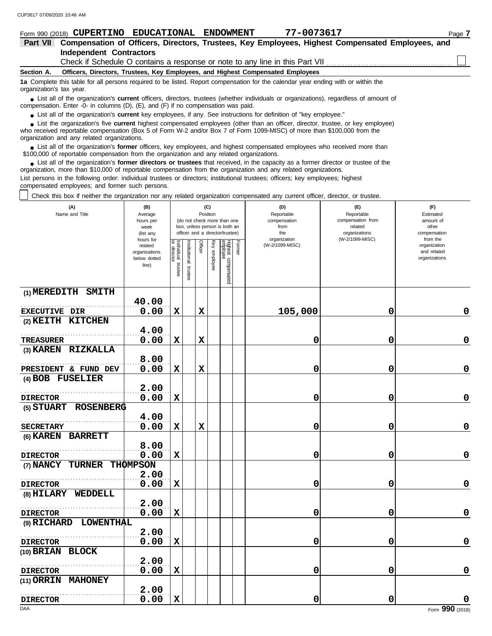| Form 990 (2018) CUPERTINO                                                                                                                                                                                                                                                                                  |                      | EDUCATIONAL ENDOWMENT                   | 77-0073617                                                                                                                                                          |                                 | Page 7                 |
|------------------------------------------------------------------------------------------------------------------------------------------------------------------------------------------------------------------------------------------------------------------------------------------------------------|----------------------|-----------------------------------------|---------------------------------------------------------------------------------------------------------------------------------------------------------------------|---------------------------------|------------------------|
| <b>Part VII</b>                                                                                                                                                                                                                                                                                            |                      |                                         | Compensation of Officers, Directors, Trustees, Key Employees, Highest Compensated Employees, and                                                                    |                                 |                        |
| <b>Independent Contractors</b>                                                                                                                                                                                                                                                                             |                      |                                         |                                                                                                                                                                     |                                 |                        |
|                                                                                                                                                                                                                                                                                                            |                      |                                         | Check if Schedule O contains a response or note to any line in this Part VII [11] [11] Check if Schedule O contains a response or note to any line in this Part VII |                                 |                        |
| Section A.                                                                                                                                                                                                                                                                                                 |                      |                                         | Officers, Directors, Trustees, Key Employees, and Highest Compensated Employees                                                                                     |                                 |                        |
| 1a Complete this table for all persons required to be listed. Report compensation for the calendar year ending with or within the<br>organization's tax year.                                                                                                                                              |                      |                                         |                                                                                                                                                                     |                                 |                        |
| • List all of the organization's <b>current</b> officers, directors, trustees (whether individuals or organizations), regardless of amount of<br>compensation. Enter -0- in columns $(D)$ , $(E)$ , and $(F)$ if no compensation was paid.                                                                 |                      |                                         |                                                                                                                                                                     |                                 |                        |
| • List all of the organization's current key employees, if any. See instructions for definition of "key employee."                                                                                                                                                                                         |                      |                                         |                                                                                                                                                                     |                                 |                        |
| • List the organization's five current highest compensated employees (other than an officer, director, trustee, or key employee)<br>who received reportable compensation (Box 5 of Form W-2 and/or Box 7 of Form 1099-MISC) of more than \$100,000 from the<br>organization and any related organizations. |                      |                                         |                                                                                                                                                                     |                                 |                        |
| • List all of the organization's former officers, key employees, and highest compensated employees who received more than<br>\$100,000 of reportable compensation from the organization and any related organizations.                                                                                     |                      |                                         |                                                                                                                                                                     |                                 |                        |
| • List all of the organization's former directors or trustees that received, in the capacity as a former director or trustee of the<br>organization, more than \$10,000 of reportable compensation from the organization and any related organizations.                                                    |                      |                                         |                                                                                                                                                                     |                                 |                        |
| List persons in the following order: individual trustees or directors; institutional trustees; officers; key employees; highest<br>compensated employees; and former such persons.                                                                                                                         |                      |                                         |                                                                                                                                                                     |                                 |                        |
| Check this box if neither the organization nor any related organization compensated any current officer, director, or trustee.                                                                                                                                                                             |                      |                                         |                                                                                                                                                                     |                                 |                        |
| (A)                                                                                                                                                                                                                                                                                                        | (B)                  | (C)                                     | (D)                                                                                                                                                                 | (E)                             | (F)                    |
| Name and Title                                                                                                                                                                                                                                                                                             | Average<br>hours per | Position<br>(do not check more than one | Reportable<br>compensation                                                                                                                                          | Reportable<br>compensation from | Estimated<br>amount of |
|                                                                                                                                                                                                                                                                                                            | week                 | box, unless person is both an           | from                                                                                                                                                                | related                         | other                  |

| ivalle allu Title         | Average<br>hours per<br>week<br>(list any                      |                                     |                          | <b>FUSILIUI I</b> |                 | (do not check more than one<br>box, unless person is both an<br>officer and a director/trustee) |        | Reportable<br>compensation<br>from<br>the | Reportable<br>compensation from<br>related<br>organizations | Estifiated<br>amount of<br>other<br>compensation         |
|---------------------------|----------------------------------------------------------------|-------------------------------------|--------------------------|-------------------|-----------------|-------------------------------------------------------------------------------------------------|--------|-------------------------------------------|-------------------------------------------------------------|----------------------------------------------------------|
|                           | hours for<br>related<br>organizations<br>below dotted<br>line) | Individual<br>Individual<br>trustee | Institutional<br>trustee | Officer           | Key<br>employee | Highest compensated<br>employee                                                                 | Former | organization<br>(W-2/1099-MISC)           | (W-2/1099-MISC)                                             | from the<br>organization<br>and related<br>organizations |
| (1) MEREDITH SMITH        |                                                                |                                     |                          |                   |                 |                                                                                                 |        |                                           |                                                             |                                                          |
|                           | 40.00                                                          |                                     |                          |                   |                 |                                                                                                 |        |                                           |                                                             |                                                          |
| EXECUTIVE DIR             | 0.00                                                           | $\mathbf x$                         |                          | $\mathbf x$       |                 |                                                                                                 |        | 105,000                                   | 0                                                           | 0                                                        |
| (2) KEITH KITCHEN         | 4.00                                                           |                                     |                          |                   |                 |                                                                                                 |        |                                           |                                                             |                                                          |
| <b>TREASURER</b>          | 0.00                                                           | $\mathbf x$                         |                          | $\mathbf x$       |                 |                                                                                                 |        | 0                                         | 0                                                           | $\pmb{0}$                                                |
| (3) KAREN RIZKALLA        |                                                                |                                     |                          |                   |                 |                                                                                                 |        |                                           |                                                             |                                                          |
|                           | 8.00                                                           |                                     |                          |                   |                 |                                                                                                 |        |                                           |                                                             |                                                          |
| PRESIDENT & FUND DEV      | 0.00                                                           | X                                   |                          | X                 |                 |                                                                                                 |        | 0                                         | 0                                                           | $\mathbf 0$                                              |
| (4) BOB FUSELIER          |                                                                |                                     |                          |                   |                 |                                                                                                 |        |                                           |                                                             |                                                          |
|                           | 2.00                                                           |                                     |                          |                   |                 |                                                                                                 |        |                                           |                                                             |                                                          |
| <b>DIRECTOR</b>           | 0.00                                                           | $\mathbf x$                         |                          |                   |                 |                                                                                                 |        | 0                                         | 0                                                           | $\pmb{0}$                                                |
| (5) STUART ROSENBERG      | 4.00                                                           |                                     |                          |                   |                 |                                                                                                 |        |                                           |                                                             |                                                          |
| <b>SECRETARY</b>          | 0.00                                                           | $\mathbf x$                         |                          | $\mathbf x$       |                 |                                                                                                 |        | 0                                         | 0                                                           | $\mathbf 0$                                              |
| (6) KAREN BARRETT         |                                                                |                                     |                          |                   |                 |                                                                                                 |        |                                           |                                                             |                                                          |
|                           | 8.00                                                           |                                     |                          |                   |                 |                                                                                                 |        |                                           |                                                             |                                                          |
| <b>DIRECTOR</b>           | 0.00                                                           | X                                   |                          |                   |                 |                                                                                                 |        | 0                                         | 0                                                           | $\mathbf 0$                                              |
| (7) NANCY TURNER THOMPSON |                                                                |                                     |                          |                   |                 |                                                                                                 |        |                                           |                                                             |                                                          |
|                           | 2.00                                                           |                                     |                          |                   |                 |                                                                                                 |        |                                           |                                                             |                                                          |
| <b>DIRECTOR</b>           | 0.00                                                           | X                                   |                          |                   |                 |                                                                                                 |        | 0                                         | 0                                                           | 0                                                        |
| (8) HILARY WEDDELL        |                                                                |                                     |                          |                   |                 |                                                                                                 |        |                                           |                                                             |                                                          |
|                           | 2.00                                                           |                                     |                          |                   |                 |                                                                                                 |        |                                           |                                                             |                                                          |
| <b>DIRECTOR</b>           | 0.00                                                           | $\mathbf x$                         |                          |                   |                 |                                                                                                 |        | 0                                         | 0                                                           | $\pmb{0}$                                                |
| (9) RICHARD LOWENTHAL     |                                                                |                                     |                          |                   |                 |                                                                                                 |        |                                           |                                                             |                                                          |
|                           | 2.00                                                           |                                     |                          |                   |                 |                                                                                                 |        |                                           |                                                             |                                                          |
| <b>DIRECTOR</b>           | 0.00                                                           | X                                   |                          |                   |                 |                                                                                                 |        | 0                                         | 0                                                           | $\mathbf 0$                                              |
| (10) BRIAN BLOCK          | 2.00                                                           |                                     |                          |                   |                 |                                                                                                 |        |                                           |                                                             |                                                          |
| <b>DIRECTOR</b>           | 0.00                                                           | X                                   |                          |                   |                 |                                                                                                 |        | 0                                         | 0                                                           | $\mathbf 0$                                              |
| (11) ORRIN MAHONEY        |                                                                |                                     |                          |                   |                 |                                                                                                 |        |                                           |                                                             |                                                          |
|                           | 2.00                                                           |                                     |                          |                   |                 |                                                                                                 |        |                                           |                                                             |                                                          |
| <b>DIRECTOR</b>           | 0.00                                                           | $\mathbf x$                         |                          |                   |                 |                                                                                                 |        | 0                                         | 0                                                           | $\mathbf 0$                                              |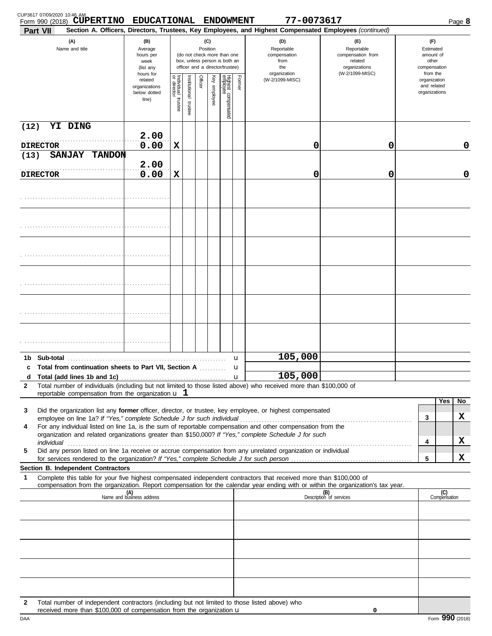| Part VII        | CUP3617 07/09/2020 10:46 AM<br>Form 990 (2018) CUPERTINO                                                                                                                        | EDUCATIONAL ENDOWMENT                                          |                                      |                      |         |                 |                                                                                                 |                  | 77-0073617<br>Section A. Officers, Directors, Trustees, Key Employees, and Highest Compensated Employees (continued)                                                                                                                                                                                                                      |                                                                    |  |                                                          |                     | Page 8 |
|-----------------|---------------------------------------------------------------------------------------------------------------------------------------------------------------------------------|----------------------------------------------------------------|--------------------------------------|----------------------|---------|-----------------|-------------------------------------------------------------------------------------------------|------------------|-------------------------------------------------------------------------------------------------------------------------------------------------------------------------------------------------------------------------------------------------------------------------------------------------------------------------------------------|--------------------------------------------------------------------|--|----------------------------------------------------------|---------------------|--------|
|                 | (A)<br>Name and title                                                                                                                                                           | (B)<br>Average<br>hours per<br>week<br>(list any               |                                      |                      |         | (C)<br>Position | (do not check more than one<br>box, unless person is both an<br>officer and a director/trustee) |                  | (D)<br>Reportable<br>compensation<br>from<br>the                                                                                                                                                                                                                                                                                          | (E)<br>Reportable<br>compensation from<br>related<br>organizations |  | (F)<br>Estimated<br>amount of<br>other<br>compensation   |                     |        |
|                 |                                                                                                                                                                                 | hours for<br>related<br>organizations<br>below dotted<br>line) | Individual<br>or director<br>trustee | nstitutional trustee | Officer | Key employee    | Highest compensated<br>employee                                                                 | Former           | organization<br>(W-2/1099-MISC)                                                                                                                                                                                                                                                                                                           | (W-2/1099-MISC)                                                    |  | from the<br>organization<br>and related<br>organizations |                     |        |
| (12)            | YI DING                                                                                                                                                                         |                                                                |                                      |                      |         |                 |                                                                                                 |                  |                                                                                                                                                                                                                                                                                                                                           |                                                                    |  |                                                          |                     |        |
| <b>DIRECTOR</b> |                                                                                                                                                                                 | 2.00<br>0.00                                                   | X                                    |                      |         |                 |                                                                                                 |                  | 0                                                                                                                                                                                                                                                                                                                                         | 0                                                                  |  |                                                          |                     | 0      |
| (13)            | <b>SANJAY</b><br><b>TANDON</b>                                                                                                                                                  |                                                                |                                      |                      |         |                 |                                                                                                 |                  |                                                                                                                                                                                                                                                                                                                                           |                                                                    |  |                                                          |                     |        |
| <b>DIRECTOR</b> |                                                                                                                                                                                 | 2.00<br>0.00                                                   | $\mathbf x$                          |                      |         |                 |                                                                                                 |                  | 0                                                                                                                                                                                                                                                                                                                                         | 0                                                                  |  |                                                          |                     | 0      |
|                 |                                                                                                                                                                                 |                                                                |                                      |                      |         |                 |                                                                                                 |                  |                                                                                                                                                                                                                                                                                                                                           |                                                                    |  |                                                          |                     |        |
|                 |                                                                                                                                                                                 |                                                                |                                      |                      |         |                 |                                                                                                 |                  |                                                                                                                                                                                                                                                                                                                                           |                                                                    |  |                                                          |                     |        |
|                 |                                                                                                                                                                                 |                                                                |                                      |                      |         |                 |                                                                                                 |                  |                                                                                                                                                                                                                                                                                                                                           |                                                                    |  |                                                          |                     |        |
|                 |                                                                                                                                                                                 |                                                                |                                      |                      |         |                 |                                                                                                 |                  |                                                                                                                                                                                                                                                                                                                                           |                                                                    |  |                                                          |                     |        |
|                 |                                                                                                                                                                                 |                                                                |                                      |                      |         |                 |                                                                                                 |                  |                                                                                                                                                                                                                                                                                                                                           |                                                                    |  |                                                          |                     |        |
|                 |                                                                                                                                                                                 |                                                                |                                      |                      |         |                 |                                                                                                 |                  |                                                                                                                                                                                                                                                                                                                                           |                                                                    |  |                                                          |                     |        |
|                 |                                                                                                                                                                                 |                                                                |                                      |                      |         |                 |                                                                                                 |                  |                                                                                                                                                                                                                                                                                                                                           |                                                                    |  |                                                          |                     |        |
| 1b.             | Sub-total                                                                                                                                                                       |                                                                |                                      |                      |         |                 |                                                                                                 | u                | 105,000                                                                                                                                                                                                                                                                                                                                   |                                                                    |  |                                                          |                     |        |
| d               | <b>c</b> Total from continuation sheets to Part VII, Section A                                                                                                                  |                                                                |                                      |                      |         |                 |                                                                                                 | u<br>$\mathbf u$ | 105,000                                                                                                                                                                                                                                                                                                                                   |                                                                    |  |                                                          |                     |        |
| $\mathbf{2}$    | reportable compensation from the organization $\mathbf u$ 1                                                                                                                     |                                                                |                                      |                      |         |                 |                                                                                                 |                  | Total number of individuals (including but not limited to those listed above) who received more than \$100,000 of                                                                                                                                                                                                                         |                                                                    |  |                                                          |                     |        |
|                 |                                                                                                                                                                                 |                                                                |                                      |                      |         |                 |                                                                                                 |                  |                                                                                                                                                                                                                                                                                                                                           |                                                                    |  |                                                          | Yes                 | No     |
| 3               |                                                                                                                                                                                 |                                                                |                                      |                      |         |                 |                                                                                                 |                  | Did the organization list any former officer, director, or trustee, key employee, or highest compensated<br>employee on line 1a? If "Yes," complete Schedule J for such individual [11][11] content to the set on line 1a? If "Yes," complete Schedule J for such individual [11][11] content to the set of the set of the set of the set |                                                                    |  | 3                                                        |                     | X      |
| 4               |                                                                                                                                                                                 |                                                                |                                      |                      |         |                 |                                                                                                 |                  | For any individual listed on line 1a, is the sum of reportable compensation and other compensation from the<br>organization and related organizations greater than \$150,000? If "Yes," complete Schedule J for such                                                                                                                      |                                                                    |  |                                                          |                     |        |
|                 |                                                                                                                                                                                 |                                                                |                                      |                      |         |                 |                                                                                                 |                  | individual with a construction of the construction of the construction of the construction of the construction of the construction of the construction of the construction of the construction of the construction of the cons                                                                                                            |                                                                    |  | 4                                                        |                     | X      |
| 5               |                                                                                                                                                                                 |                                                                |                                      |                      |         |                 |                                                                                                 |                  | Did any person listed on line 1a receive or accrue compensation from any unrelated organization or individual                                                                                                                                                                                                                             |                                                                    |  | 5                                                        |                     | X      |
|                 | Section B. Independent Contractors                                                                                                                                              |                                                                |                                      |                      |         |                 |                                                                                                 |                  |                                                                                                                                                                                                                                                                                                                                           |                                                                    |  |                                                          |                     |        |
| 1               |                                                                                                                                                                                 |                                                                |                                      |                      |         |                 |                                                                                                 |                  | Complete this table for your five highest compensated independent contractors that received more than \$100,000 of<br>compensation from the organization. Report compensation for the calendar year ending with or within the organization's tax year.                                                                                    |                                                                    |  |                                                          |                     |        |
|                 |                                                                                                                                                                                 | (A)<br>Name and business address                               |                                      |                      |         |                 |                                                                                                 |                  |                                                                                                                                                                                                                                                                                                                                           | (B)<br>Description of services                                     |  |                                                          | (C)<br>Compensation |        |
|                 |                                                                                                                                                                                 |                                                                |                                      |                      |         |                 |                                                                                                 |                  |                                                                                                                                                                                                                                                                                                                                           |                                                                    |  |                                                          |                     |        |
|                 |                                                                                                                                                                                 |                                                                |                                      |                      |         |                 |                                                                                                 |                  |                                                                                                                                                                                                                                                                                                                                           |                                                                    |  |                                                          |                     |        |
|                 |                                                                                                                                                                                 |                                                                |                                      |                      |         |                 |                                                                                                 |                  |                                                                                                                                                                                                                                                                                                                                           |                                                                    |  |                                                          |                     |        |
|                 |                                                                                                                                                                                 |                                                                |                                      |                      |         |                 |                                                                                                 |                  |                                                                                                                                                                                                                                                                                                                                           |                                                                    |  |                                                          |                     |        |
|                 |                                                                                                                                                                                 |                                                                |                                      |                      |         |                 |                                                                                                 |                  |                                                                                                                                                                                                                                                                                                                                           |                                                                    |  |                                                          |                     |        |
| $\mathbf{2}$    | Total number of independent contractors (including but not limited to those listed above) who<br>received more than \$100,000 of compensation from the organization $\mathbf u$ |                                                                |                                      |                      |         |                 |                                                                                                 |                  |                                                                                                                                                                                                                                                                                                                                           | 0                                                                  |  |                                                          |                     |        |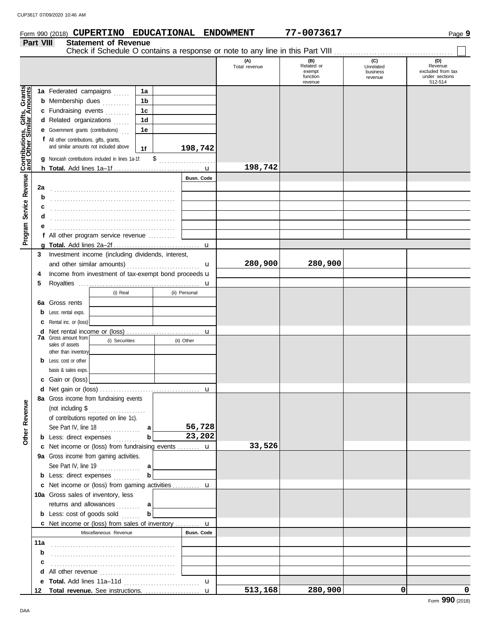|                                              |     | Check if Schedule O contains a response or note to any line in this Part VIII |                |                   |                      |                                                    |                                         |                                                                  |
|----------------------------------------------|-----|-------------------------------------------------------------------------------|----------------|-------------------|----------------------|----------------------------------------------------|-----------------------------------------|------------------------------------------------------------------|
|                                              |     |                                                                               |                |                   | (A)<br>Total revenue | (B)<br>Related or<br>exempt<br>function<br>revenue | (C)<br>Unrelated<br>business<br>revenue | (D)<br>Revenue<br>excluded from tax<br>under sections<br>512-514 |
|                                              |     | 1a Federated campaigns                                                        | 1a             |                   |                      |                                                    |                                         |                                                                  |
|                                              |     | <b>b</b> Membership dues                                                      | 1b             |                   |                      |                                                    |                                         |                                                                  |
|                                              |     | c Fundraising events                                                          | 1 <sub>c</sub> |                   |                      |                                                    |                                         |                                                                  |
|                                              |     | d Related organizations                                                       | 1 <sub>d</sub> |                   |                      |                                                    |                                         |                                                                  |
|                                              |     | <b>e</b> Government grants (contributions)                                    | 1e             |                   |                      |                                                    |                                         |                                                                  |
|                                              |     | f All other contributions, gifts, grants,                                     |                |                   |                      |                                                    |                                         |                                                                  |
|                                              |     | and similar amounts not included above                                        | 1f             | 198,742           |                      |                                                    |                                         |                                                                  |
|                                              |     | g Noncash contributions included in lines 1a-1f:                              |                |                   |                      |                                                    |                                         |                                                                  |
| Service Revenue Contributions, Gifts, Grants |     |                                                                               |                |                   | 198,742              |                                                    |                                         |                                                                  |
|                                              |     |                                                                               |                | <b>Busn. Code</b> |                      |                                                    |                                         |                                                                  |
|                                              | 2a  |                                                                               |                |                   |                      |                                                    |                                         |                                                                  |
|                                              | b   |                                                                               |                |                   |                      |                                                    |                                         |                                                                  |
|                                              |     |                                                                               |                |                   |                      |                                                    |                                         |                                                                  |
|                                              | d   |                                                                               |                |                   |                      |                                                    |                                         |                                                                  |
|                                              |     |                                                                               |                |                   |                      |                                                    |                                         |                                                                  |
| Program                                      |     | f All other program service revenue                                           |                |                   |                      |                                                    |                                         |                                                                  |
|                                              |     |                                                                               |                | $\mathbf{u}$      |                      |                                                    |                                         |                                                                  |
|                                              | 3   | Investment income (including dividends, interest,                             |                |                   |                      |                                                    |                                         |                                                                  |
|                                              |     |                                                                               |                | u                 | 280,900              | 280,900                                            |                                         |                                                                  |
|                                              | 4   | Income from investment of tax-exempt bond proceeds u                          |                |                   |                      |                                                    |                                         |                                                                  |
|                                              | 5   |                                                                               |                | u                 |                      |                                                    |                                         |                                                                  |
|                                              |     | (i) Real                                                                      |                | (ii) Personal     |                      |                                                    |                                         |                                                                  |
|                                              | 6а  | Gross rents                                                                   |                |                   |                      |                                                    |                                         |                                                                  |
|                                              |     | Less: rental exps.                                                            |                |                   |                      |                                                    |                                         |                                                                  |
|                                              |     | Rental inc. or (loss)                                                         |                |                   |                      |                                                    |                                         |                                                                  |
|                                              | d   |                                                                               |                | u                 |                      |                                                    |                                         |                                                                  |
|                                              |     | <b>7a</b> Gross amount from<br>(i) Securities<br>sales of assets              |                | (ii) Other        |                      |                                                    |                                         |                                                                  |
|                                              |     | other than inventory                                                          |                |                   |                      |                                                    |                                         |                                                                  |
|                                              |     | Less: cost or other                                                           |                |                   |                      |                                                    |                                         |                                                                  |
|                                              |     | basis & sales exps.                                                           |                |                   |                      |                                                    |                                         |                                                                  |
|                                              |     | Gain or (loss)                                                                |                |                   |                      |                                                    |                                         |                                                                  |
|                                              |     |                                                                               |                | $\mathbf u$       |                      |                                                    |                                         |                                                                  |
|                                              |     | 8a Gross income from fundraising events                                       |                |                   |                      |                                                    |                                         |                                                                  |
|                                              |     |                                                                               |                |                   |                      |                                                    |                                         |                                                                  |
|                                              |     | of contributions reported on line 1c).                                        |                |                   |                      |                                                    |                                         |                                                                  |
|                                              |     | See Part IV, line $18$                                                        | a              | 56,728            |                      |                                                    |                                         |                                                                  |
| <b>Other Revenue</b>                         |     | <b>b</b> Less: direct expenses                                                | b              | 23,202            |                      |                                                    |                                         |                                                                  |
|                                              |     | c Net income or (loss) from fundraising events  u                             |                |                   | 33,526               |                                                    |                                         |                                                                  |
|                                              |     | 9a Gross income from gaming activities.                                       |                |                   |                      |                                                    |                                         |                                                                  |
|                                              |     | See Part IV, line 19 $\ldots$ a                                               |                |                   |                      |                                                    |                                         |                                                                  |
|                                              |     | <b>b</b> Less: direct expenses                                                | b              |                   |                      |                                                    |                                         |                                                                  |
|                                              |     | c Net income or (loss) from gaming activities  u                              |                |                   |                      |                                                    |                                         |                                                                  |
|                                              |     | 10a Gross sales of inventory, less                                            |                |                   |                      |                                                    |                                         |                                                                  |
|                                              |     | returns and allowances<br>.                                                   | a              |                   |                      |                                                    |                                         |                                                                  |
|                                              |     | <b>b</b> Less: cost of goods sold                                             | $\mathbf b$    |                   |                      |                                                    |                                         |                                                                  |
|                                              |     | c Net income or (loss) from sales of inventory  u<br>Miscellaneous Revenue    |                | <b>Busn. Code</b> |                      |                                                    |                                         |                                                                  |
|                                              |     |                                                                               |                |                   |                      |                                                    |                                         |                                                                  |
|                                              | 11a |                                                                               |                |                   |                      |                                                    |                                         |                                                                  |
|                                              | b   |                                                                               |                |                   |                      |                                                    |                                         |                                                                  |
|                                              |     |                                                                               |                |                   |                      |                                                    |                                         |                                                                  |
|                                              |     |                                                                               |                |                   |                      |                                                    |                                         |                                                                  |
|                                              | 12  |                                                                               |                | $\mathbf{u}$      | 513,168              | 280,900                                            | 0                                       | 0                                                                |
|                                              |     |                                                                               |                |                   |                      |                                                    |                                         | <b>OOO</b>                                                       |

Form 990 (2018) **CUPERTINO EDUCATIONAL ENDOWMENT** 77-0073617 Page 9

|       |  | המה הממוטרים החרים |
|-------|--|--------------------|
| ----- |  |                    |

**CUPERTINO EDUCATIONAL ENDOWMENT 77-0073617**

**Part VIII Statement of Revenue**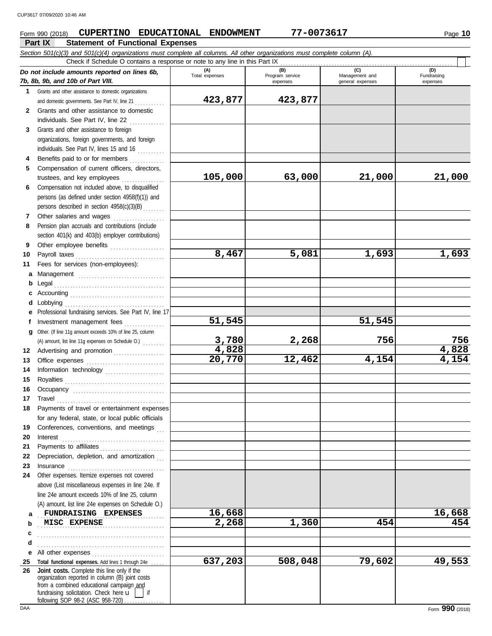## **Part IX Statement of Functional Expenses Form 990 (2018) CUPERTINO EDUCATIONAL ENDOWMENT** 77-0073617 Page 10 *Section 501(c)(3) and 501(c)(4) organizations must complete all columns. All other organizations must complete column (A).*

|              | Check if Schedule O contains a response or note to any line in this Part IX                 |                       |                                    |                                           |                                |
|--------------|---------------------------------------------------------------------------------------------|-----------------------|------------------------------------|-------------------------------------------|--------------------------------|
|              | Do not include amounts reported on lines 6b,<br>7b, 8b, 9b, and 10b of Part VIII.           | (A)<br>Total expenses | (B)<br>Program service<br>expenses | (C)<br>Management and<br>general expenses | (D)<br>Fundraising<br>expenses |
|              | 1 Grants and other assistance to domestic organizations                                     |                       |                                    |                                           |                                |
|              | and domestic governments. See Part IV, line 21                                              | 423,877               | 423,877                            |                                           |                                |
| $\mathbf{2}$ | Grants and other assistance to domestic                                                     |                       |                                    |                                           |                                |
|              | individuals. See Part IV, line 22                                                           |                       |                                    |                                           |                                |
| 3            | Grants and other assistance to foreign                                                      |                       |                                    |                                           |                                |
|              | organizations, foreign governments, and foreign                                             |                       |                                    |                                           |                                |
|              | individuals. See Part IV, lines 15 and 16                                                   |                       |                                    |                                           |                                |
| 4            | Benefits paid to or for members                                                             |                       |                                    |                                           |                                |
| 5.           | Compensation of current officers, directors,                                                | 105,000               | 63,000                             | 21,000                                    | 21,000                         |
| 6            | Compensation not included above, to disqualified                                            |                       |                                    |                                           |                                |
|              | persons (as defined under section 4958(f)(1)) and                                           |                       |                                    |                                           |                                |
|              | persons described in section 4958(c)(3)(B)                                                  |                       |                                    |                                           |                                |
| 7            | Other salaries and wages                                                                    |                       |                                    |                                           |                                |
| 8            | Pension plan accruals and contributions (include                                            |                       |                                    |                                           |                                |
|              | section 401(k) and 403(b) employer contributions)                                           |                       |                                    |                                           |                                |
| 9            | Other employee benefits                                                                     |                       |                                    |                                           |                                |
| 10           |                                                                                             | 8,467                 | 5,081                              | 1,693                                     | 1,693                          |
| 11           | Fees for services (non-employees):                                                          |                       |                                    |                                           |                                |
| а            |                                                                                             |                       |                                    |                                           |                                |
| b            | Legal                                                                                       |                       |                                    |                                           |                                |
| c            |                                                                                             |                       |                                    |                                           |                                |
| d            |                                                                                             |                       |                                    |                                           |                                |
|              | Professional fundraising services. See Part IV, line 17                                     |                       |                                    |                                           |                                |
| f            | Investment management fees                                                                  | 51,545                |                                    | 51,545                                    |                                |
| a            | Other. (If line 11g amount exceeds 10% of line 25, column                                   |                       |                                    |                                           |                                |
|              | (A) amount, list line 11g expenses on Schedule O.)                                          | 3,780                 | 2,268                              | 756                                       | 756                            |
| 12           | Advertising and promotion                                                                   | 4,828<br>20,770       | 12,462                             | 4,154                                     | 4,828<br>4,154                 |
| 13           |                                                                                             |                       |                                    |                                           |                                |
| 14<br>15     | Information technology                                                                      |                       |                                    |                                           |                                |
| 16           |                                                                                             |                       |                                    |                                           |                                |
| 17           | Travel                                                                                      |                       |                                    |                                           |                                |
| 18           | Payments of travel or entertainment expenses                                                |                       |                                    |                                           |                                |
|              | for any federal, state, or local public officials                                           |                       |                                    |                                           |                                |
| 19           | Conferences, conventions, and meetings                                                      |                       |                                    |                                           |                                |
| 20           | Interest                                                                                    |                       |                                    |                                           |                                |
| 21           | Payments to affiliates                                                                      |                       |                                    |                                           |                                |
| 22           | Depreciation, depletion, and amortization                                                   |                       |                                    |                                           |                                |
| 23           | Insurance                                                                                   |                       |                                    |                                           |                                |
| 24           | Other expenses. Itemize expenses not covered                                                |                       |                                    |                                           |                                |
|              | above (List miscellaneous expenses in line 24e. If                                          |                       |                                    |                                           |                                |
|              | line 24e amount exceeds 10% of line 25, column                                              |                       |                                    |                                           |                                |
|              | (A) amount, list line 24e expenses on Schedule O.)                                          |                       |                                    |                                           |                                |
| a<br>b       | FUNDRAISING EXPENSES<br>MISC EXPENSE                                                        | 16,668<br>2,268       | 1,360                              | 454                                       | 16,668<br>454                  |
|              |                                                                                             |                       |                                    |                                           |                                |
| c<br>d       |                                                                                             |                       |                                    |                                           |                                |
| е            |                                                                                             |                       |                                    |                                           |                                |
| 25           | Total functional expenses. Add lines 1 through 24e                                          | 637,203               | 508,048                            | 79,602                                    | 49,553                         |
| 26           | Joint costs. Complete this line only if the                                                 |                       |                                    |                                           |                                |
|              | organization reported in column (B) joint costs<br>from a combined educational campaign and |                       |                                    |                                           |                                |
|              | fundraising solicitation. Check here $\mathbf{u}$  <br>if                                   |                       |                                    |                                           |                                |
|              | following SOP 98-2 (ASC 958-720)                                                            |                       |                                    |                                           |                                |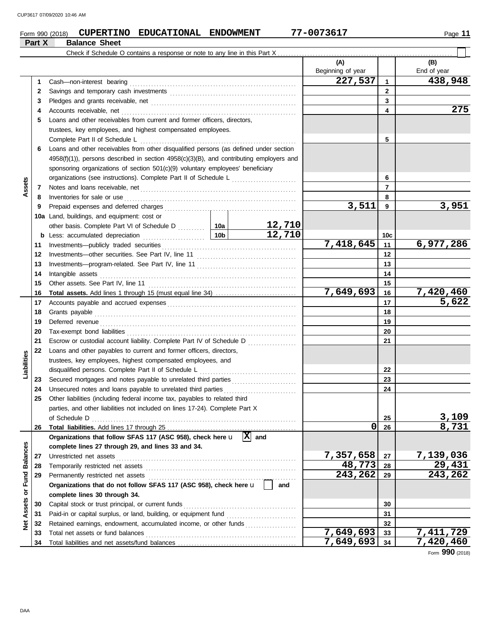|                 |        | Form 990 (2018)                                             |                                                    | CUPERTINO EDUCATIONAL ENDOWMENT                                                                     |     |                         | 77-0073617               |                | Page 11            |
|-----------------|--------|-------------------------------------------------------------|----------------------------------------------------|-----------------------------------------------------------------------------------------------------|-----|-------------------------|--------------------------|----------------|--------------------|
|                 | Part X |                                                             | <b>Balance Sheet</b>                               |                                                                                                     |     |                         |                          |                |                    |
|                 |        |                                                             |                                                    | Check if Schedule O contains a response or note to any line in this Part X.                         |     |                         |                          |                |                    |
|                 |        |                                                             |                                                    |                                                                                                     |     |                         | (A)<br>Beginning of year |                | (B)<br>End of year |
|                 | 1      |                                                             |                                                    |                                                                                                     |     |                         | 227,537                  | $\mathbf{1}$   | 438,948            |
|                 | 2      |                                                             |                                                    |                                                                                                     |     |                         |                          | $\mathbf{2}$   |                    |
|                 | 3      |                                                             |                                                    |                                                                                                     |     |                         |                          | 3              |                    |
|                 | 4      | Accounts receivable, net                                    |                                                    |                                                                                                     |     |                         |                          | 4              | 275                |
|                 | 5      |                                                             |                                                    | Loans and other receivables from current and former officers, directors,                            |     |                         |                          |                |                    |
|                 |        | trustees, key employees, and highest compensated employees. |                                                    |                                                                                                     |     |                         |                          |                |                    |
|                 |        |                                                             | Complete Part II of Schedule L                     |                                                                                                     |     |                         |                          | 5              |                    |
|                 | 6      |                                                             |                                                    | Loans and other receivables from other disqualified persons (as defined under section               |     |                         |                          |                |                    |
|                 |        |                                                             |                                                    | $4958(f)(1)$ ), persons described in section $4958(c)(3)(B)$ , and contributing employers and       |     |                         |                          |                |                    |
|                 |        |                                                             |                                                    | sponsoring organizations of section 501(c)(9) voluntary employees' beneficiary                      |     |                         |                          |                |                    |
|                 |        |                                                             |                                                    |                                                                                                     |     |                         |                          | 6              |                    |
| Assets          | 7      |                                                             |                                                    |                                                                                                     |     |                         |                          | $\overline{7}$ |                    |
|                 | 8      |                                                             | Inventories for sale or use                        |                                                                                                     |     |                         |                          | 8              |                    |
|                 | 9      |                                                             |                                                    |                                                                                                     |     |                         | 3,511                    | 9              | 3,951              |
|                 |        |                                                             | 10a Land, buildings, and equipment: cost or        |                                                                                                     |     |                         |                          |                |                    |
|                 |        |                                                             |                                                    | other basis. Complete Part VI of Schedule D  10a                                                    |     |                         |                          |                |                    |
|                 | b      |                                                             | Less: accumulated depreciation                     |                                                                                                     | 10b | <u>12,710</u><br>12,710 |                          | 10c            |                    |
|                 | 11     |                                                             |                                                    |                                                                                                     |     |                         | 7,418,645                | 11             | 6,977,286          |
|                 | 12     |                                                             |                                                    |                                                                                                     |     |                         |                          | 12             |                    |
|                 | 13     |                                                             |                                                    |                                                                                                     |     | 13                      |                          |                |                    |
|                 | 14     |                                                             | Intangible assets                                  |                                                                                                     |     | 14                      |                          |                |                    |
|                 | 15     |                                                             |                                                    |                                                                                                     |     |                         |                          | 15             |                    |
|                 | 16     |                                                             |                                                    |                                                                                                     |     |                         | 7,649,693                | 16             | <u>7,420,460</u>   |
|                 | 17     |                                                             |                                                    |                                                                                                     |     |                         |                          | 17             | $\overline{5,622}$ |
|                 | 18     |                                                             |                                                    |                                                                                                     |     |                         |                          | 18             |                    |
|                 | 19     |                                                             | Deferred revenue                                   |                                                                                                     |     |                         |                          | 19             |                    |
|                 | 20     |                                                             | Tax-exempt bond liabilities                        |                                                                                                     |     |                         |                          | 20             |                    |
|                 | 21     |                                                             |                                                    | Escrow or custodial account liability. Complete Part IV of Schedule D                               |     |                         |                          | 21             |                    |
|                 | 22     |                                                             |                                                    | Loans and other payables to current and former officers, directors,                                 |     |                         |                          |                |                    |
| Liabilities     |        |                                                             |                                                    | trustees, key employees, highest compensated employees, and                                         |     |                         |                          |                |                    |
|                 |        |                                                             |                                                    | disqualified persons. Complete Part II of Schedule L                                                |     |                         |                          | 22             |                    |
|                 | 23     |                                                             |                                                    | Secured mortgages and notes payable to unrelated third parties                                      |     |                         |                          | 23             |                    |
|                 | 24     |                                                             |                                                    | Unsecured notes and loans payable to unrelated third parties                                        |     |                         |                          | 24             |                    |
|                 | 25     |                                                             |                                                    | Other liabilities (including federal income tax, payables to related third                          |     |                         |                          |                |                    |
|                 |        |                                                             |                                                    | parties, and other liabilities not included on lines 17-24). Complete Part X                        |     |                         |                          |                |                    |
|                 |        |                                                             | of Schedule D                                      |                                                                                                     |     |                         |                          | 25             | 3,109              |
|                 | 26     |                                                             |                                                    |                                                                                                     |     |                         |                          | 0<br>26        | 8,731              |
|                 |        |                                                             |                                                    | Organizations that follow SFAS 117 (ASC 958), check here $\mathbf{u}$   $\overline{\mathbf{X}}$ and |     |                         |                          |                |                    |
| <b>Balances</b> |        |                                                             |                                                    | complete lines 27 through 29, and lines 33 and 34.                                                  |     |                         |                          |                |                    |
|                 | 27     |                                                             | Unrestricted net assets                            |                                                                                                     |     |                         | 7,357,658                | 27             | 7,139,036          |
|                 | 28     |                                                             | Temporarily restricted net assets                  |                                                                                                     |     |                         | 48,773                   | 28             | 29,431             |
| Fund            | 29     |                                                             | Permanently restricted net assets                  |                                                                                                     |     |                         | 243,262                  | 29             | 243,262            |
| ŏ               |        |                                                             |                                                    | Organizations that do not follow SFAS 117 (ASC 958), check here u                                   |     | and                     |                          |                |                    |
|                 |        |                                                             | complete lines 30 through 34.                      |                                                                                                     |     |                         |                          |                |                    |
| Assets          | 30     |                                                             | Capital stock or trust principal, or current funds |                                                                                                     |     |                         |                          | 30             |                    |
|                 | 31     |                                                             |                                                    |                                                                                                     |     |                         |                          | 31             |                    |
| <b>Net</b>      | 32     |                                                             |                                                    | Retained earnings, endowment, accumulated income, or other funds                                    |     |                         |                          | 32             |                    |
|                 | 33     |                                                             |                                                    |                                                                                                     |     |                         | 7,649,693                | 33             | 7,411,729          |
|                 | 34     |                                                             |                                                    |                                                                                                     |     |                         | 7,649,693                | 34             | 7,420,460          |

Form **990** (2018)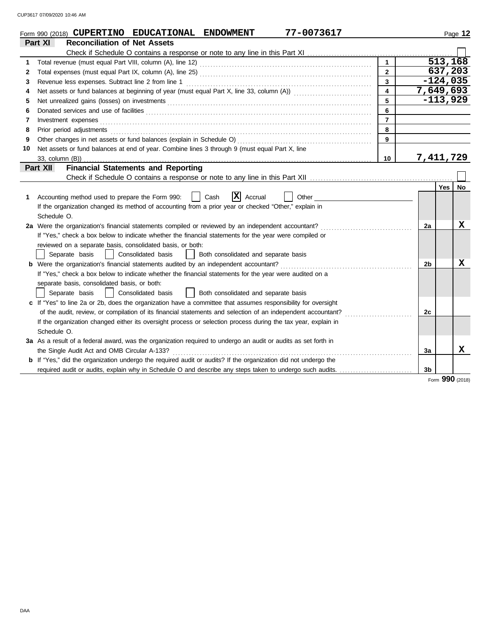|    | 77-0073617<br>Form 990 (2018) CUPERTINO EDUCATIONAL ENDOWMENT                                                         |                         |                |            | Page 12 |
|----|-----------------------------------------------------------------------------------------------------------------------|-------------------------|----------------|------------|---------|
|    | <b>Reconciliation of Net Assets</b><br>Part XI                                                                        |                         |                |            |         |
|    |                                                                                                                       |                         |                |            |         |
| 1  |                                                                                                                       | $\mathbf{1}$            |                | 513,168    |         |
| 2  |                                                                                                                       | $\overline{2}$          |                | 637,203    |         |
| 3  | Revenue less expenses. Subtract line 2 from line 1                                                                    | $\overline{3}$          |                | $-124,035$ |         |
| 4  |                                                                                                                       | $\overline{\mathbf{4}}$ | 7,649,693      |            |         |
| 5  |                                                                                                                       |                         |                | $-113,929$ |         |
| 6  |                                                                                                                       | 6                       |                |            |         |
| 7  |                                                                                                                       | $\overline{7}$          |                |            |         |
| 8  |                                                                                                                       | 8                       |                |            |         |
| 9  |                                                                                                                       | 9                       |                |            |         |
| 10 | Net assets or fund balances at end of year. Combine lines 3 through 9 (must equal Part X, line                        |                         |                |            |         |
|    | 33, column (B))                                                                                                       | 10                      | 7,411,729      |            |         |
|    | <b>Financial Statements and Reporting</b><br>Part XII                                                                 |                         |                |            |         |
|    |                                                                                                                       |                         |                |            |         |
|    |                                                                                                                       |                         |                | Yes        | No      |
| 1. | $ X $ Accrual<br>Cash<br>Accounting method used to prepare the Form 990:<br>Other                                     |                         |                |            |         |
|    | If the organization changed its method of accounting from a prior year or checked "Other," explain in                 |                         |                |            |         |
|    | Schedule O.                                                                                                           |                         |                |            |         |
|    | 2a Were the organization's financial statements compiled or reviewed by an independent accountant?                    |                         | 2a             |            | X       |
|    | If "Yes," check a box below to indicate whether the financial statements for the year were compiled or                |                         |                |            |         |
|    | reviewed on a separate basis, consolidated basis, or both:                                                            |                         |                |            |         |
|    | Separate basis<br>Consolidated basis<br>  Both consolidated and separate basis                                        |                         |                |            |         |
|    | <b>b</b> Were the organization's financial statements audited by an independent accountant?                           |                         | 2b             |            | x       |
|    | If "Yes," check a box below to indicate whether the financial statements for the year were audited on a               |                         |                |            |         |
|    | separate basis, consolidated basis, or both:                                                                          |                         |                |            |         |
|    | Consolidated basis<br>Both consolidated and separate basis<br>Separate basis                                          |                         |                |            |         |
|    | c If "Yes" to line 2a or 2b, does the organization have a committee that assumes responsibility for oversight         |                         |                |            |         |
|    | of the audit, review, or compilation of its financial statements and selection of an independent accountant?          |                         | 2c             |            |         |
|    | If the organization changed either its oversight process or selection process during the tax year, explain in         |                         |                |            |         |
|    | Schedule O.                                                                                                           |                         |                |            |         |
|    | 3a As a result of a federal award, was the organization required to undergo an audit or audits as set forth in        |                         |                |            |         |
|    | the Single Audit Act and OMB Circular A-133?                                                                          |                         | За             |            | x       |
|    | <b>b</b> If "Yes," did the organization undergo the required audit or audits? If the organization did not undergo the |                         |                |            |         |
|    | required audit or audits, explain why in Schedule O and describe any steps taken to undergo such audits.              |                         | 3 <sub>b</sub> |            |         |

Form **990** (2018)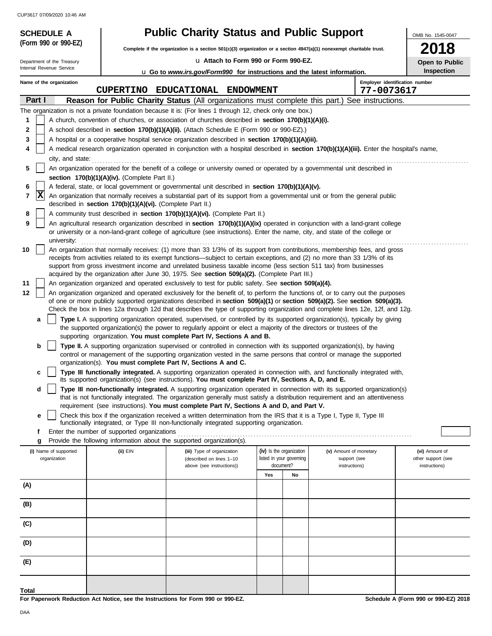**(Form 990 or 990-EZ)**

**SCHEDULE A** 

| <b>Public Charity Status and Public Support</b> |  |  |  |  |
|-------------------------------------------------|--|--|--|--|
|-------------------------------------------------|--|--|--|--|

**Complete if the organization is a section 501(c)(3) organization or a section 4947(a)(1) nonexempt charitable trust.**

|  | Name of the organizatio |
|--|-------------------------|

|        | La Attach to Form 990 or Form 990-EZ.<br>Department of the Treasury                                                   |                          |                                                            | Open to Public                                                                                                                                                                                                                                                                                                                                                                                                                                                                   |     |                          |                        |  |                    |
|--------|-----------------------------------------------------------------------------------------------------------------------|--------------------------|------------------------------------------------------------|----------------------------------------------------------------------------------------------------------------------------------------------------------------------------------------------------------------------------------------------------------------------------------------------------------------------------------------------------------------------------------------------------------------------------------------------------------------------------------|-----|--------------------------|------------------------|--|--------------------|
|        |                                                                                                                       | Internal Revenue Service |                                                            | <b>u</b> Go to <i>www.irs.gov/Form990</i> for instructions and the latest information.                                                                                                                                                                                                                                                                                                                                                                                           |     |                          |                        |  | <b>Inspection</b>  |
|        | Employer identification number<br>Name of the organization<br>EDUCATIONAL ENDOWMENT<br><b>CUPERTINO</b><br>77-0073617 |                          |                                                            |                                                                                                                                                                                                                                                                                                                                                                                                                                                                                  |     |                          |                        |  |                    |
|        | Part I                                                                                                                |                          |                                                            | Reason for Public Charity Status (All organizations must complete this part.) See instructions.                                                                                                                                                                                                                                                                                                                                                                                  |     |                          |                        |  |                    |
|        |                                                                                                                       |                          |                                                            | The organization is not a private foundation because it is: (For lines 1 through 12, check only one box.)                                                                                                                                                                                                                                                                                                                                                                        |     |                          |                        |  |                    |
| 1      |                                                                                                                       |                          |                                                            | A church, convention of churches, or association of churches described in <b>section 170(b)(1)(A)(i).</b>                                                                                                                                                                                                                                                                                                                                                                        |     |                          |                        |  |                    |
| 2      |                                                                                                                       |                          |                                                            | A school described in section 170(b)(1)(A)(ii). (Attach Schedule E (Form 990 or 990-EZ).)                                                                                                                                                                                                                                                                                                                                                                                        |     |                          |                        |  |                    |
| 3      |                                                                                                                       |                          |                                                            | A hospital or a cooperative hospital service organization described in section 170(b)(1)(A)(iii).                                                                                                                                                                                                                                                                                                                                                                                |     |                          |                        |  |                    |
|        |                                                                                                                       | city, and state:         |                                                            | A medical research organization operated in conjunction with a hospital described in section 170(b)(1)(A)(iii). Enter the hospital's name,                                                                                                                                                                                                                                                                                                                                       |     |                          |                        |  |                    |
| 5      |                                                                                                                       |                          |                                                            | An organization operated for the benefit of a college or university owned or operated by a governmental unit described in                                                                                                                                                                                                                                                                                                                                                        |     |                          |                        |  |                    |
|        |                                                                                                                       |                          | section 170(b)(1)(A)(iv). (Complete Part II.)              |                                                                                                                                                                                                                                                                                                                                                                                                                                                                                  |     |                          |                        |  |                    |
| 6<br>7 | ΙX                                                                                                                    |                          | described in section 170(b)(1)(A)(vi). (Complete Part II.) | A federal, state, or local government or governmental unit described in section 170(b)(1)(A)(v).<br>An organization that normally receives a substantial part of its support from a governmental unit or from the general public                                                                                                                                                                                                                                                 |     |                          |                        |  |                    |
| 8      |                                                                                                                       |                          |                                                            | A community trust described in section 170(b)(1)(A)(vi). (Complete Part II.)                                                                                                                                                                                                                                                                                                                                                                                                     |     |                          |                        |  |                    |
| 9      |                                                                                                                       |                          |                                                            | An agricultural research organization described in section 170(b)(1)(A)(ix) operated in conjunction with a land-grant college<br>or university or a non-land-grant college of agriculture (see instructions). Enter the name, city, and state of the college or                                                                                                                                                                                                                  |     |                          |                        |  |                    |
|        |                                                                                                                       | university:              |                                                            |                                                                                                                                                                                                                                                                                                                                                                                                                                                                                  |     |                          |                        |  |                    |
| 10     |                                                                                                                       |                          |                                                            | An organization that normally receives: (1) more than 33 1/3% of its support from contributions, membership fees, and gross<br>receipts from activities related to its exempt functions—subject to certain exceptions, and (2) no more than 33 1/3% of its<br>support from gross investment income and unrelated business taxable income (less section 511 tax) from businesses<br>acquired by the organization after June 30, 1975. See section 509(a)(2). (Complete Part III.) |     |                          |                        |  |                    |
| 11     |                                                                                                                       |                          |                                                            | An organization organized and operated exclusively to test for public safety. See section 509(a)(4).                                                                                                                                                                                                                                                                                                                                                                             |     |                          |                        |  |                    |
| 12     |                                                                                                                       |                          |                                                            | An organization organized and operated exclusively for the benefit of, to perform the functions of, or to carry out the purposes                                                                                                                                                                                                                                                                                                                                                 |     |                          |                        |  |                    |
|        |                                                                                                                       |                          |                                                            | of one or more publicly supported organizations described in section 509(a)(1) or section 509(a)(2). See section 509(a)(3).<br>Check the box in lines 12a through 12d that describes the type of supporting organization and complete lines 12e, 12f, and 12g.                                                                                                                                                                                                                   |     |                          |                        |  |                    |
|        | a                                                                                                                     |                          |                                                            | Type I. A supporting organization operated, supervised, or controlled by its supported organization(s), typically by giving                                                                                                                                                                                                                                                                                                                                                      |     |                          |                        |  |                    |
|        |                                                                                                                       |                          |                                                            | the supported organization(s) the power to regularly appoint or elect a majority of the directors or trustees of the                                                                                                                                                                                                                                                                                                                                                             |     |                          |                        |  |                    |
|        |                                                                                                                       |                          |                                                            | supporting organization. You must complete Part IV, Sections A and B.                                                                                                                                                                                                                                                                                                                                                                                                            |     |                          |                        |  |                    |
|        | b                                                                                                                     |                          |                                                            | Type II. A supporting organization supervised or controlled in connection with its supported organization(s), by having<br>control or management of the supporting organization vested in the same persons that control or manage the supported                                                                                                                                                                                                                                  |     |                          |                        |  |                    |
|        |                                                                                                                       |                          |                                                            | organization(s). You must complete Part IV, Sections A and C.                                                                                                                                                                                                                                                                                                                                                                                                                    |     |                          |                        |  |                    |
|        | с                                                                                                                     |                          |                                                            | Type III functionally integrated. A supporting organization operated in connection with, and functionally integrated with,<br>its supported organization(s) (see instructions). You must complete Part IV, Sections A, D, and E.                                                                                                                                                                                                                                                 |     |                          |                        |  |                    |
|        | d                                                                                                                     |                          |                                                            | Type III non-functionally integrated. A supporting organization operated in connection with its supported organization(s)                                                                                                                                                                                                                                                                                                                                                        |     |                          |                        |  |                    |
|        |                                                                                                                       |                          |                                                            | that is not functionally integrated. The organization generally must satisfy a distribution requirement and an attentiveness                                                                                                                                                                                                                                                                                                                                                     |     |                          |                        |  |                    |
|        |                                                                                                                       |                          |                                                            | requirement (see instructions). You must complete Part IV, Sections A and D, and Part V.                                                                                                                                                                                                                                                                                                                                                                                         |     |                          |                        |  |                    |
|        | е                                                                                                                     |                          |                                                            | Check this box if the organization received a written determination from the IRS that it is a Type I, Type II, Type III<br>functionally integrated, or Type III non-functionally integrated supporting organization.                                                                                                                                                                                                                                                             |     |                          |                        |  |                    |
|        | f                                                                                                                     |                          | Enter the number of supported organizations                |                                                                                                                                                                                                                                                                                                                                                                                                                                                                                  |     |                          |                        |  |                    |
|        | g                                                                                                                     |                          |                                                            | Provide the following information about the supported organization(s).                                                                                                                                                                                                                                                                                                                                                                                                           |     |                          |                        |  |                    |
|        |                                                                                                                       | (i) Name of supported    | (ii) EIN                                                   | (iii) Type of organization                                                                                                                                                                                                                                                                                                                                                                                                                                                       |     | (iv) Is the organization | (v) Amount of monetary |  | (vi) Amount of     |
|        |                                                                                                                       | organization             |                                                            | (described on lines 1-10                                                                                                                                                                                                                                                                                                                                                                                                                                                         |     | listed in your governing | support (see           |  | other support (see |
|        |                                                                                                                       |                          |                                                            | above (see instructions))                                                                                                                                                                                                                                                                                                                                                                                                                                                        |     | document?                | instructions)          |  | instructions)      |
|        |                                                                                                                       |                          |                                                            |                                                                                                                                                                                                                                                                                                                                                                                                                                                                                  | Yes | No                       |                        |  |                    |
| (A)    |                                                                                                                       |                          |                                                            |                                                                                                                                                                                                                                                                                                                                                                                                                                                                                  |     |                          |                        |  |                    |
| (B)    |                                                                                                                       |                          |                                                            |                                                                                                                                                                                                                                                                                                                                                                                                                                                                                  |     |                          |                        |  |                    |
| (C)    |                                                                                                                       |                          |                                                            |                                                                                                                                                                                                                                                                                                                                                                                                                                                                                  |     |                          |                        |  |                    |
| (D)    |                                                                                                                       |                          |                                                            |                                                                                                                                                                                                                                                                                                                                                                                                                                                                                  |     |                          |                        |  |                    |
| (E)    |                                                                                                                       |                          |                                                            |                                                                                                                                                                                                                                                                                                                                                                                                                                                                                  |     |                          |                        |  |                    |
|        |                                                                                                                       |                          |                                                            |                                                                                                                                                                                                                                                                                                                                                                                                                                                                                  |     |                          |                        |  |                    |
| Total  |                                                                                                                       |                          |                                                            |                                                                                                                                                                                                                                                                                                                                                                                                                                                                                  |     |                          |                        |  |                    |

**For Paperwork Reduction Act Notice, see the Instructions for Form 990 or 990-EZ.**

OMB No. 1545-0047

**2018**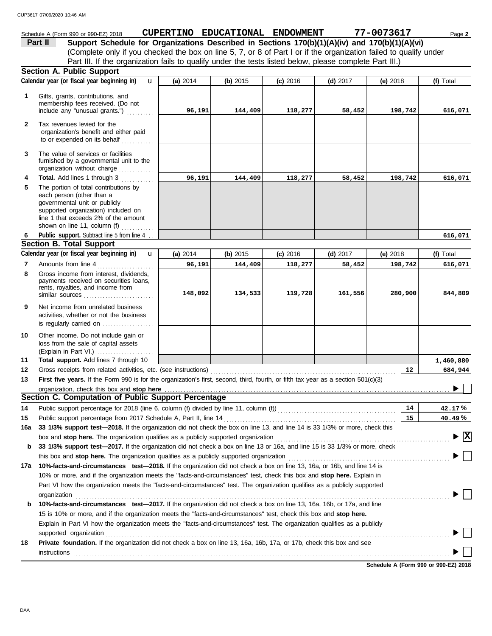**Section A. Public Support** Schedule A (Form 990 or 990-EZ) 2018 **CUPERTINO EDUCATIONAL ENDOWMENT** 77-0073617 Page 2 (Complete only if you checked the box on line 5, 7, or 8 of Part I or if the organization failed to qualify under **Part II Support Schedule for Organizations Described in Sections 170(b)(1)(A)(iv) and 170(b)(1)(A)(vi)** Part III. If the organization fails to qualify under the tests listed below, please complete Part III.)

|              | Jection A. Fublic Jupport                                                                                                                                                                                          |          |            |            |            |            |                         |
|--------------|--------------------------------------------------------------------------------------------------------------------------------------------------------------------------------------------------------------------|----------|------------|------------|------------|------------|-------------------------|
|              | Calendar year (or fiscal year beginning in)<br>$\mathbf{u}$                                                                                                                                                        | (a) 2014 | (b) 2015   | $(c)$ 2016 | (d) $2017$ | (e) $2018$ | (f) Total               |
| 1            | Gifts, grants, contributions, and<br>membership fees received. (Do not<br>include any "unusual grants.")                                                                                                           | 96,191   | 144,409    | 118,277    | 58,452     | 198,742    | 616,071                 |
| $\mathbf{2}$ | Tax revenues levied for the<br>organization's benefit and either paid<br>to or expended on its behalf                                                                                                              |          |            |            |            |            |                         |
| 3            | The value of services or facilities<br>furnished by a governmental unit to the<br>organization without charge                                                                                                      |          |            |            |            |            |                         |
| 4            | Total. Add lines 1 through 3                                                                                                                                                                                       | 96,191   | 144,409    | 118,277    | 58,452     | 198,742    | 616,071                 |
| 5            | The portion of total contributions by<br>each person (other than a<br>governmental unit or publicly<br>supported organization) included on<br>line 1 that exceeds 2% of the amount<br>shown on line 11, column (f) |          |            |            |            |            |                         |
| 6            | Public support. Subtract line 5 from line 4                                                                                                                                                                        |          |            |            |            |            | 616,071                 |
|              | <b>Section B. Total Support</b>                                                                                                                                                                                    |          |            |            |            |            |                         |
|              | Calendar year (or fiscal year beginning in)<br>u                                                                                                                                                                   | (a) 2014 | (b) $2015$ | $(c)$ 2016 | (d) $2017$ | (e) 2018   | (f) Total               |
| 7            | Amounts from line 4<br>.                                                                                                                                                                                           | 96,191   | 144,409    | 118,277    | 58,452     | 198,742    | 616,071                 |
| 8            | Gross income from interest, dividends,<br>payments received on securities loans,<br>rents, royalties, and income from<br>similar sources $\ldots, \ldots, \ldots, \ldots, \ldots, \ldots$                          | 148,092  | 134,533    | 119,728    | 161,556    | 280,900    | 844,809                 |
| 9            | Net income from unrelated business<br>activities, whether or not the business<br>is regularly carried on                                                                                                           |          |            |            |            |            |                         |
| 10           | Other income. Do not include gain or<br>loss from the sale of capital assets                                                                                                                                       |          |            |            |            |            |                         |
| 11           | Total support. Add lines 7 through 10                                                                                                                                                                              |          |            |            |            |            | 1,460,880               |
| 12           | Gross receipts from related activities, etc. (see instructions)                                                                                                                                                    |          |            |            |            | 12         | 684,944                 |
| 13           | First five years. If the Form 990 is for the organization's first, second, third, fourth, or fifth tax year as a section 501(c)(3)                                                                                 |          |            |            |            |            |                         |
|              | organization, check this box and stop here                                                                                                                                                                         |          |            |            |            |            |                         |
|              | Section C. Computation of Public Support Percentage                                                                                                                                                                |          |            |            |            |            |                         |
| 14           | Public support percentage for 2018 (line 6, column (f) divided by line 11, column (f) [[[[[[[[[[[[[[[[[[[[[[[                                                                                                      |          |            |            |            | 14         | 42.17%                  |
| 15           | Public support percentage from 2017 Schedule A, Part II, line 14                                                                                                                                                   |          |            |            |            | 15         | 40.49%                  |
| 16a          | 33 1/3% support test-2018. If the organization did not check the box on line 13, and line 14 is 33 1/3% or more, check this                                                                                        |          |            |            |            |            |                         |
|              | box and stop here. The organization qualifies as a publicly supported organization                                                                                                                                 |          |            |            |            |            | $\overline{\mathbf{x}}$ |
| b            | 33 1/3% support test—2017. If the organization did not check a box on line 13 or 16a, and line 15 is 33 1/3% or more, check                                                                                        |          |            |            |            |            |                         |
|              | this box and stop here. The organization qualifies as a publicly supported organization                                                                                                                            |          |            |            |            |            |                         |
| 17a          | 10%-facts-and-circumstances test-2018. If the organization did not check a box on line 13, 16a, or 16b, and line 14 is                                                                                             |          |            |            |            |            |                         |
|              | 10% or more, and if the organization meets the "facts-and-circumstances" test, check this box and stop here. Explain in                                                                                            |          |            |            |            |            |                         |
|              | Part VI how the organization meets the "facts-and-circumstances" test. The organization qualifies as a publicly supported<br>organization                                                                          |          |            |            |            |            |                         |
| b            | 10%-facts-and-circumstances test-2017. If the organization did not check a box on line 13, 16a, 16b, or 17a, and line                                                                                              |          |            |            |            |            |                         |
|              | 15 is 10% or more, and if the organization meets the "facts-and-circumstances" test, check this box and stop here.                                                                                                 |          |            |            |            |            |                         |
|              | Explain in Part VI how the organization meets the "facts-and-circumstances" test. The organization qualifies as a publicly<br>supported organization                                                               |          |            |            |            |            |                         |
| 18           | Private foundation. If the organization did not check a box on line 13, 16a, 16b, 17a, or 17b, check this box and see<br>instructions                                                                              |          |            |            |            |            |                         |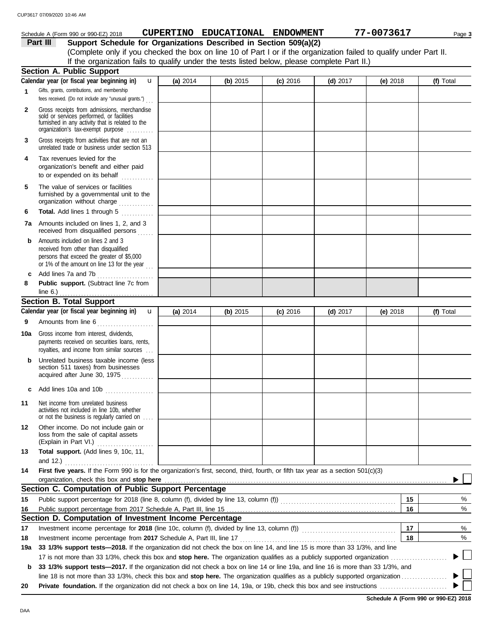|              | Schedule A (Form 990 or 990-EZ) 2018                                                                                                                                              |          |          | CUPERTINO EDUCATIONAL ENDOWMENT |            | 77-0073617 | Page 3    |
|--------------|-----------------------------------------------------------------------------------------------------------------------------------------------------------------------------------|----------|----------|---------------------------------|------------|------------|-----------|
|              | Part III<br>Support Schedule for Organizations Described in Section 509(a)(2)                                                                                                     |          |          |                                 |            |            |           |
|              | (Complete only if you checked the box on line 10 of Part I or if the organization failed to qualify under Part II.                                                                |          |          |                                 |            |            |           |
|              | If the organization fails to qualify under the tests listed below, please complete Part II.)                                                                                      |          |          |                                 |            |            |           |
|              | <b>Section A. Public Support</b>                                                                                                                                                  |          |          |                                 |            |            |           |
|              | Calendar year (or fiscal year beginning in)<br>$\mathbf{u}$                                                                                                                       | (a) 2014 | (b) 2015 | $(c)$ 2016                      | (d) $2017$ | (e) $2018$ | (f) Total |
| $\mathbf{1}$ | Gifts, grants, contributions, and membership<br>fees received. (Do not include any "unusual grants.")                                                                             |          |          |                                 |            |            |           |
| $\mathbf{2}$ | Gross receipts from admissions, merchandise<br>sold or services performed, or facilities<br>furnished in any activity that is related to the<br>organization's tax-exempt purpose |          |          |                                 |            |            |           |
| 3            | Gross receipts from activities that are not an<br>unrelated trade or business under section 513                                                                                   |          |          |                                 |            |            |           |
| 4            | Tax revenues levied for the<br>organization's benefit and either paid<br>to or expended on its behalf                                                                             |          |          |                                 |            |            |           |
| 5            | The value of services or facilities<br>furnished by a governmental unit to the<br>organization without charge                                                                     |          |          |                                 |            |            |           |
| 6            | Total. Add lines 1 through 5                                                                                                                                                      |          |          |                                 |            |            |           |
|              | <b>7a</b> Amounts included on lines 1, 2, and 3<br>received from disqualified persons                                                                                             |          |          |                                 |            |            |           |
| b            | Amounts included on lines 2 and 3<br>received from other than disqualified<br>persons that exceed the greater of \$5,000<br>or 1% of the amount on line 13 for the year           |          |          |                                 |            |            |           |
| c            | Add lines 7a and 7b                                                                                                                                                               |          |          |                                 |            |            |           |
| 8            | Public support. (Subtract line 7c from                                                                                                                                            |          |          |                                 |            |            |           |
|              | <b>Section B. Total Support</b>                                                                                                                                                   |          |          |                                 |            |            |           |
|              | Calendar year (or fiscal year beginning in)<br>$\mathbf{u}$                                                                                                                       | (a) 2014 | (b) 2015 | $(c)$ 2016                      | $(d)$ 2017 | (e) 2018   | (f) Total |
| 9            | Amounts from line 6                                                                                                                                                               |          |          |                                 |            |            |           |
| 10a          | Gross income from interest, dividends,<br>payments received on securities loans, rents,<br>royalties, and income from similar sources                                             |          |          |                                 |            |            |           |
| b            | Unrelated business taxable income (less<br>section 511 taxes) from businesses<br>acquired after June 30, 1975                                                                     |          |          |                                 |            |            |           |
|              | c Add lines 10a and 10b $\ldots$                                                                                                                                                  |          |          |                                 |            |            |           |
| 11           | Net income from unrelated business<br>activities not included in line 10b, whether<br>or not the business is regularly carried on                                                 |          |          |                                 |            |            |           |
| 12           | Other income. Do not include gain or<br>loss from the sale of capital assets                                                                                                      |          |          |                                 |            |            |           |
| 13           | Total support. (Add lines 9, 10c, 11,                                                                                                                                             |          |          |                                 |            |            |           |
| 14           | First five years. If the Form 990 is for the organization's first, second, third, fourth, or fifth tax year as a section 501(c)(3)<br>organization, check this box and stop here  |          |          |                                 |            |            |           |
|              | Section C. Computation of Public Support Percentage                                                                                                                               |          |          |                                 |            |            |           |
| 15           |                                                                                                                                                                                   |          |          |                                 |            | 15         | %         |
| 16           |                                                                                                                                                                                   |          |          |                                 |            | 16         | %         |
|              | Section D. Computation of Investment Income Percentage                                                                                                                            |          |          |                                 |            |            |           |
| 17           |                                                                                                                                                                                   |          |          |                                 |            | 17         | %         |
| 18           | Investment income percentage from 2017 Schedule A, Part III, line 17                                                                                                              |          |          |                                 |            | 18         | %         |
| 19a          | 33 1/3% support tests-2018. If the organization did not check the box on line 14, and line 15 is more than 33 1/3%, and line                                                      |          |          |                                 |            |            |           |
|              |                                                                                                                                                                                   |          |          |                                 |            |            |           |
| b            | 33 1/3% support tests-2017. If the organization did not check a box on line 14 or line 19a, and line 16 is more than 33 1/3%, and                                                 |          |          |                                 |            |            |           |
|              |                                                                                                                                                                                   |          |          |                                 |            |            |           |
| 20           |                                                                                                                                                                                   |          |          |                                 |            |            |           |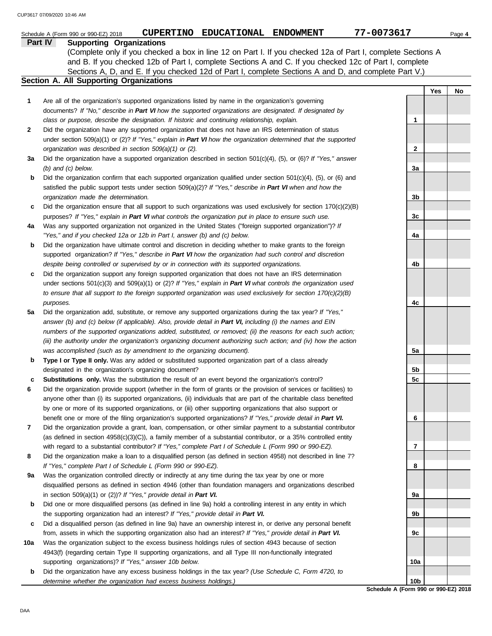|                | CUPERTINO EDUCATIONAL ENDOWMENT<br>Schedule A (Form 990 or 990-EZ) 2018                                                                                                                                              | 77-0073617                           |     | Page 4 |
|----------------|----------------------------------------------------------------------------------------------------------------------------------------------------------------------------------------------------------------------|--------------------------------------|-----|--------|
| <b>Part IV</b> | <b>Supporting Organizations</b>                                                                                                                                                                                      |                                      |     |        |
|                | (Complete only if you checked a box in line 12 on Part I. If you checked 12a of Part I, complete Sections A                                                                                                          |                                      |     |        |
|                | and B. If you checked 12b of Part I, complete Sections A and C. If you checked 12c of Part I, complete                                                                                                               |                                      |     |        |
|                | Sections A, D, and E. If you checked 12d of Part I, complete Sections A and D, and complete Part V.)                                                                                                                 |                                      |     |        |
|                | Section A. All Supporting Organizations                                                                                                                                                                              |                                      |     |        |
|                |                                                                                                                                                                                                                      |                                      | Yes | No     |
| 1              | Are all of the organization's supported organizations listed by name in the organization's governing                                                                                                                 |                                      |     |        |
|                | documents? If "No," describe in Part VI how the supported organizations are designated. If designated by                                                                                                             |                                      |     |        |
|                | class or purpose, describe the designation. If historic and continuing relationship, explain.                                                                                                                        | 1                                    |     |        |
| 2              | Did the organization have any supported organization that does not have an IRS determination of status                                                                                                               |                                      |     |        |
|                | under section 509(a)(1) or (2)? If "Yes," explain in Part VI how the organization determined that the supported                                                                                                      |                                      |     |        |
|                | organization was described in section $509(a)(1)$ or (2).                                                                                                                                                            | $\mathbf{2}$                         |     |        |
| За             | Did the organization have a supported organization described in section $501(c)(4)$ , (5), or (6)? If "Yes," answer                                                                                                  |                                      |     |        |
|                | $(b)$ and $(c)$ below.                                                                                                                                                                                               | 3a                                   |     |        |
| b              | Did the organization confirm that each supported organization qualified under section $501(c)(4)$ , $(5)$ , or $(6)$ and                                                                                             |                                      |     |        |
|                | satisfied the public support tests under section 509(a)(2)? If "Yes," describe in Part VI when and how the                                                                                                           |                                      |     |        |
|                | organization made the determination.                                                                                                                                                                                 | 3 <sub>b</sub>                       |     |        |
| c              | Did the organization ensure that all support to such organizations was used exclusively for section $170(c)(2)(B)$                                                                                                   |                                      |     |        |
|                | purposes? If "Yes," explain in Part VI what controls the organization put in place to ensure such use.                                                                                                               | 3c                                   |     |        |
| 4a             | Was any supported organization not organized in the United States ("foreign supported organization")? If                                                                                                             | 4a                                   |     |        |
| b              | "Yes," and if you checked 12a or 12b in Part I, answer (b) and (c) below.<br>Did the organization have ultimate control and discretion in deciding whether to make grants to the foreign                             |                                      |     |        |
|                | supported organization? If "Yes," describe in Part VI how the organization had such control and discretion                                                                                                           |                                      |     |        |
|                | despite being controlled or supervised by or in connection with its supported organizations.                                                                                                                         | 4b                                   |     |        |
| c              | Did the organization support any foreign supported organization that does not have an IRS determination                                                                                                              |                                      |     |        |
|                | under sections $501(c)(3)$ and $509(a)(1)$ or (2)? If "Yes," explain in Part VI what controls the organization used                                                                                                  |                                      |     |        |
|                | to ensure that all support to the foreign supported organization was used exclusively for section $170(c)(2)(B)$                                                                                                     |                                      |     |        |
|                | purposes.                                                                                                                                                                                                            | 4c                                   |     |        |
| 5a             | Did the organization add, substitute, or remove any supported organizations during the tax year? If "Yes,"                                                                                                           |                                      |     |        |
|                | answer (b) and (c) below (if applicable). Also, provide detail in Part VI, including (i) the names and EIN                                                                                                           |                                      |     |        |
|                | numbers of the supported organizations added, substituted, or removed; (ii) the reasons for each such action;                                                                                                        |                                      |     |        |
|                | (iii) the authority under the organization's organizing document authorizing such action; and (iv) how the action                                                                                                    |                                      |     |        |
|                | was accomplished (such as by amendment to the organizing document).                                                                                                                                                  | 5a                                   |     |        |
| b              | Type I or Type II only. Was any added or substituted supported organization part of a class already                                                                                                                  |                                      |     |        |
|                | designated in the organization's organizing document?                                                                                                                                                                | 5b                                   |     |        |
|                | Substitutions only. Was the substitution the result of an event beyond the organization's control?                                                                                                                   | 5c                                   |     |        |
|                | Did the organization provide support (whether in the form of grants or the provision of services or facilities) to                                                                                                   |                                      |     |        |
|                | anyone other than (i) its supported organizations, (ii) individuals that are part of the charitable class benefited                                                                                                  |                                      |     |        |
|                | by one or more of its supported organizations, or (iii) other supporting organizations that also support or                                                                                                          |                                      |     |        |
|                | benefit one or more of the filing organization's supported organizations? If "Yes," provide detail in Part VI.                                                                                                       | 6                                    |     |        |
| 7              | Did the organization provide a grant, loan, compensation, or other similar payment to a substantial contributor                                                                                                      |                                      |     |        |
|                | (as defined in section $4958(c)(3)(C)$ ), a family member of a substantial contributor, or a 35% controlled entity                                                                                                   |                                      |     |        |
|                | with regard to a substantial contributor? If "Yes," complete Part I of Schedule L (Form 990 or 990-EZ).                                                                                                              | 7                                    |     |        |
| 8              | Did the organization make a loan to a disqualified person (as defined in section 4958) not described in line 7?                                                                                                      |                                      |     |        |
|                | If "Yes," complete Part I of Schedule L (Form 990 or 990-EZ).                                                                                                                                                        | 8                                    |     |        |
| 9а             | Was the organization controlled directly or indirectly at any time during the tax year by one or more<br>disqualified persons as defined in section 4946 (other than foundation managers and organizations described |                                      |     |        |
|                | in section 509(a)(1) or (2))? If "Yes," provide detail in Part VI.                                                                                                                                                   | 9a                                   |     |        |
| b              | Did one or more disqualified persons (as defined in line 9a) hold a controlling interest in any entity in which                                                                                                      |                                      |     |        |
|                | the supporting organization had an interest? If "Yes," provide detail in Part VI.                                                                                                                                    | 9b                                   |     |        |
| c              | Did a disqualified person (as defined in line 9a) have an ownership interest in, or derive any personal benefit                                                                                                      |                                      |     |        |
|                | from, assets in which the supporting organization also had an interest? If "Yes," provide detail in Part VI.                                                                                                         | 9c                                   |     |        |
| 10a            | Was the organization subject to the excess business holdings rules of section 4943 because of section                                                                                                                |                                      |     |        |
|                | 4943(f) (regarding certain Type II supporting organizations, and all Type III non-functionally integrated                                                                                                            |                                      |     |        |
|                | supporting organizations)? If "Yes," answer 10b below.                                                                                                                                                               | 10a                                  |     |        |
| b              | Did the organization have any excess business holdings in the tax year? (Use Schedule C, Form 4720, to                                                                                                               |                                      |     |        |
|                | determine whether the organization had excess business holdings.)                                                                                                                                                    | 10 <sub>b</sub>                      |     |        |
|                |                                                                                                                                                                                                                      | Schedule A (Form 990 or 990-F7) 2018 |     |        |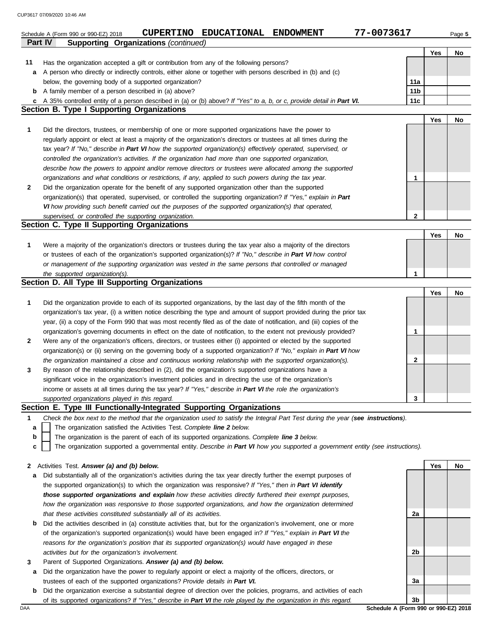|    | 77-0073617<br><b>EDUCATIONAL</b><br><b>ENDOWMENT</b><br><b>CUPERTINO</b><br>Schedule A (Form 990 or 990-EZ) 2018<br><b>Part IV</b><br><b>Supporting Organizations (continued)</b>                                         |                 |     | Page 5 |
|----|---------------------------------------------------------------------------------------------------------------------------------------------------------------------------------------------------------------------------|-----------------|-----|--------|
|    |                                                                                                                                                                                                                           |                 | Yes | No     |
| 11 | Has the organization accepted a gift or contribution from any of the following persons?                                                                                                                                   |                 |     |        |
| а  | A person who directly or indirectly controls, either alone or together with persons described in (b) and (c)                                                                                                              |                 |     |        |
|    | below, the governing body of a supported organization?                                                                                                                                                                    | 11a             |     |        |
|    | <b>b</b> A family member of a person described in (a) above?                                                                                                                                                              | 11 <sub>b</sub> |     |        |
|    | c A 35% controlled entity of a person described in (a) or (b) above? If "Yes" to a, b, or c, provide detail in Part VI.                                                                                                   | 11c             |     |        |
|    | <b>Section B. Type I Supporting Organizations</b>                                                                                                                                                                         |                 |     |        |
|    |                                                                                                                                                                                                                           |                 | Yes | No     |
| 1  | Did the directors, trustees, or membership of one or more supported organizations have the power to<br>regularly appoint or elect at least a majority of the organization's directors or trustees at all times during the |                 |     |        |
|    | tax year? If "No," describe in Part VI how the supported organization(s) effectively operated, supervised, or                                                                                                             |                 |     |        |
|    | controlled the organization's activities. If the organization had more than one supported organization,                                                                                                                   |                 |     |        |
|    | describe how the powers to appoint and/or remove directors or trustees were allocated among the supported                                                                                                                 |                 |     |        |
|    | organizations and what conditions or restrictions, if any, applied to such powers during the tax year.                                                                                                                    | 1               |     |        |
| 2  | Did the organization operate for the benefit of any supported organization other than the supported                                                                                                                       |                 |     |        |
|    | organization(s) that operated, supervised, or controlled the supporting organization? If "Yes," explain in Part                                                                                                           |                 |     |        |
|    | VI how providing such benefit carried out the purposes of the supported organization(s) that operated,                                                                                                                    |                 |     |        |
|    | supervised, or controlled the supporting organization.                                                                                                                                                                    | $\mathbf 2$     |     |        |
|    | Section C. Type II Supporting Organizations                                                                                                                                                                               |                 |     |        |
|    |                                                                                                                                                                                                                           |                 | Yes | No     |
| 1  | Were a majority of the organization's directors or trustees during the tax year also a majority of the directors                                                                                                          |                 |     |        |
|    | or trustees of each of the organization's supported organization(s)? If "No," describe in Part VI how control                                                                                                             |                 |     |        |
|    | or management of the supporting organization was vested in the same persons that controlled or managed                                                                                                                    |                 |     |        |
|    | the supported organization(s).                                                                                                                                                                                            | 1               |     |        |
|    | Section D. All Type III Supporting Organizations                                                                                                                                                                          |                 |     |        |
|    |                                                                                                                                                                                                                           |                 | Yes | No     |
| 1  | Did the organization provide to each of its supported organizations, by the last day of the fifth month of the                                                                                                            |                 |     |        |
|    | organization's tax year, (i) a written notice describing the type and amount of support provided during the prior tax                                                                                                     |                 |     |        |
|    | year, (ii) a copy of the Form 990 that was most recently filed as of the date of notification, and (iii) copies of the                                                                                                    |                 |     |        |
|    | organization's governing documents in effect on the date of notification, to the extent not previously provided?                                                                                                          | $\mathbf{1}$    |     |        |
| 2  | Were any of the organization's officers, directors, or trustees either (i) appointed or elected by the supported                                                                                                          |                 |     |        |
|    | organization(s) or (ii) serving on the governing body of a supported organization? If "No," explain in Part VI how                                                                                                        |                 |     |        |
|    | the organization maintained a close and continuous working relationship with the supported organization(s).                                                                                                               | 2               |     |        |
| 3  | By reason of the relationship described in (2), did the organization's supported organizations have a                                                                                                                     |                 |     |        |
|    | significant voice in the organization's investment policies and in directing the use of the organization's                                                                                                                |                 |     |        |
|    | income or assets at all times during the tax year? If "Yes," describe in Part VI the role the organization's                                                                                                              |                 |     |        |
|    | supported organizations played in this regard.<br>Section E. Type III Functionally-Integrated Supporting Organizations                                                                                                    | 3               |     |        |
| 1  | Check the box next to the method that the organization used to satisfy the Integral Part Test during the year (see instructions).                                                                                         |                 |     |        |
| а  | The organization satisfied the Activities Test. Complete line 2 below.                                                                                                                                                    |                 |     |        |
| b  | The organization is the parent of each of its supported organizations. Complete line 3 below.                                                                                                                             |                 |     |        |
| c  | The organization supported a governmental entity. Describe in Part VI how you supported a government entity (see instructions).                                                                                           |                 |     |        |
|    |                                                                                                                                                                                                                           |                 |     |        |
|    | 2 Activities Test. Answer (a) and (b) below.                                                                                                                                                                              |                 | Yes | No     |
| а  | Did substantially all of the organization's activities during the tax year directly further the exempt purposes of                                                                                                        |                 |     |        |
|    | the supported organization(s) to which the organization was responsive? If "Yes," then in Part VI identify                                                                                                                |                 |     |        |
|    | those supported organizations and explain how these activities directly furthered their exempt purposes,                                                                                                                  |                 |     |        |
|    | how the organization was responsive to those supported organizations, and how the organization determined                                                                                                                 |                 |     |        |
|    | that these activities constituted substantially all of its activities.                                                                                                                                                    | 2a              |     |        |
| b  | Did the activities described in (a) constitute activities that, but for the organization's involvement, one or more                                                                                                       |                 |     |        |
|    | of the organization's supported organization(s) would have been engaged in? If "Yes," explain in Part VI the                                                                                                              |                 |     |        |
|    | reasons for the organization's position that its supported organization(s) would have engaged in these                                                                                                                    |                 |     |        |
|    | activities but for the organization's involvement.                                                                                                                                                                        | 2b              |     |        |
| 3  | Parent of Supported Organizations. Answer (a) and (b) below.                                                                                                                                                              |                 |     |        |
| а  | Did the organization have the power to regularly appoint or elect a majority of the officers, directors, or                                                                                                               |                 |     |        |

- trustees of each of the supported organizations? *Provide details in Part VI.*
- DAA **Schedule A (Form 990 or 990-EZ) 2018 b** Did the organization exercise a substantial degree of direction over the policies, programs, and activities of each of its supported organizations? *If "Yes," describe in Part VI the role played by the organization in this regard.*

**3b**

**3a**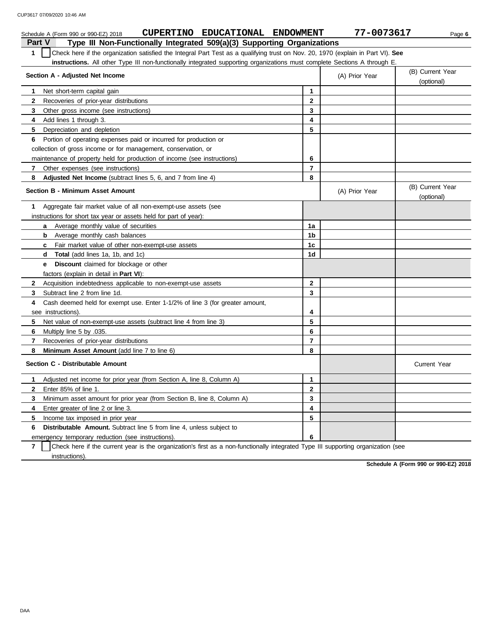| CUPERTINO EDUCATIONAL ENDOWMENT<br>Schedule A (Form 990 or 990-EZ) 2018                                                                          |                | 77-0073617     | Page 6                         |
|--------------------------------------------------------------------------------------------------------------------------------------------------|----------------|----------------|--------------------------------|
| Part V<br>Type III Non-Functionally Integrated 509(a)(3) Supporting Organizations                                                                |                |                |                                |
| $\mathbf{1}$<br>Check here if the organization satisfied the Integral Part Test as a qualifying trust on Nov. 20, 1970 (explain in Part VI). See |                |                |                                |
| <b>instructions.</b> All other Type III non-functionally integrated supporting organizations must complete Sections A through E                  |                |                |                                |
| Section A - Adjusted Net Income                                                                                                                  |                | (A) Prior Year | (B) Current Year               |
|                                                                                                                                                  |                |                | (optional)                     |
| Net short-term capital gain<br>1                                                                                                                 | 1              |                |                                |
| $\mathbf{2}$<br>Recoveries of prior-year distributions                                                                                           | $\mathbf{2}$   |                |                                |
| 3<br>Other gross income (see instructions)                                                                                                       | 3              |                |                                |
| 4<br>Add lines 1 through 3.                                                                                                                      | 4              |                |                                |
| 5<br>Depreciation and depletion                                                                                                                  | 5              |                |                                |
| 6<br>Portion of operating expenses paid or incurred for production or                                                                            |                |                |                                |
| collection of gross income or for management, conservation, or                                                                                   |                |                |                                |
| maintenance of property held for production of income (see instructions)                                                                         | 6              |                |                                |
| 7<br>Other expenses (see instructions)                                                                                                           | $\overline{7}$ |                |                                |
| Adjusted Net Income (subtract lines 5, 6, and 7 from line 4)<br>8                                                                                | 8              |                |                                |
| Section B - Minimum Asset Amount                                                                                                                 |                | (A) Prior Year | (B) Current Year<br>(optional) |
| Aggregate fair market value of all non-exempt-use assets (see<br>1                                                                               |                |                |                                |
| instructions for short tax year or assets held for part of year):                                                                                |                |                |                                |
| <b>a</b> Average monthly value of securities                                                                                                     | 1a             |                |                                |
| Average monthly cash balances<br>b                                                                                                               | 1b             |                |                                |
| <b>c</b> Fair market value of other non-exempt-use assets                                                                                        | 1c             |                |                                |
| <b>Total</b> (add lines 1a, 1b, and 1c)<br>d                                                                                                     | 1d             |                |                                |
| Discount claimed for blockage or other<br>е                                                                                                      |                |                |                                |
| factors (explain in detail in <b>Part VI)</b> :                                                                                                  |                |                |                                |
| Acquisition indebtedness applicable to non-exempt-use assets<br>$\mathbf{2}$                                                                     | $\mathbf{2}$   |                |                                |
| 3<br>Subtract line 2 from line 1d.                                                                                                               | 3              |                |                                |
| 4<br>Cash deemed held for exempt use. Enter 1-1/2% of line 3 (for greater amount,                                                                |                |                |                                |
| see instructions).                                                                                                                               | 4              |                |                                |
| 5<br>Net value of non-exempt-use assets (subtract line 4 from line 3)                                                                            | 5              |                |                                |
| 6<br>Multiply line 5 by .035.                                                                                                                    | 6              |                |                                |
| $\overline{7}$<br>Recoveries of prior-year distributions                                                                                         | $\overline{7}$ |                |                                |
| 8<br>Minimum Asset Amount (add line 7 to line 6)                                                                                                 | 8              |                |                                |
| Section C - Distributable Amount                                                                                                                 |                |                | <b>Current Year</b>            |
| Adjusted net income for prior year (from Section A, line 8, Column A)<br>1                                                                       | 1              |                |                                |
| $\mathbf{2}$<br>Enter 85% of line 1.                                                                                                             | $\mathbf{2}$   |                |                                |
| 3<br>Minimum asset amount for prior year (from Section B, line 8, Column A)                                                                      | 3              |                |                                |
| Enter greater of line 2 or line 3.<br>4                                                                                                          | 4              |                |                                |
| 5<br>Income tax imposed in prior year                                                                                                            | 5              |                |                                |
| <b>Distributable Amount.</b> Subtract line 5 from line 4, unless subject to<br>6                                                                 |                |                |                                |
| emergency temporary reduction (see instructions).                                                                                                | 6              |                |                                |

**7** instructions). Check here if the current year is the organization's first as a non-functionally integrated Type III supporting organization (see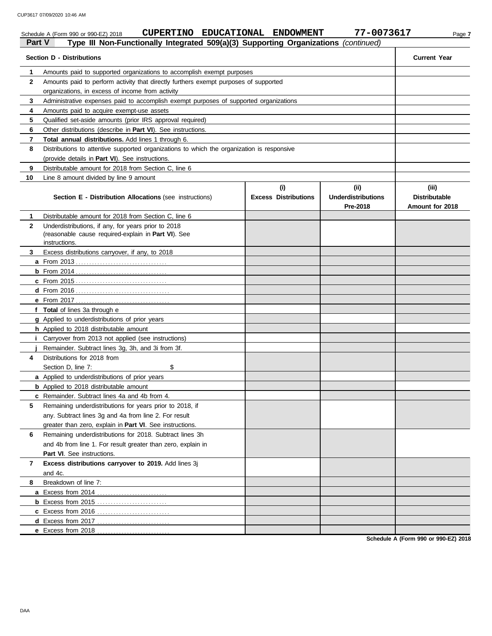|               | CUPERTINO EDUCATIONAL ENDOWMENT<br>Schedule A (Form 990 or 990-EZ) 2018                                                     |                                    | 77-0073617                                   | Page 7                                           |
|---------------|-----------------------------------------------------------------------------------------------------------------------------|------------------------------------|----------------------------------------------|--------------------------------------------------|
| <b>Part V</b> | Type III Non-Functionally Integrated 509(a)(3) Supporting Organizations (continued)                                         |                                    |                                              |                                                  |
|               | <b>Section D - Distributions</b>                                                                                            |                                    |                                              | <b>Current Year</b>                              |
| 1             | Amounts paid to supported organizations to accomplish exempt purposes                                                       |                                    |                                              |                                                  |
| $\mathbf{2}$  | Amounts paid to perform activity that directly furthers exempt purposes of supported                                        |                                    |                                              |                                                  |
|               | organizations, in excess of income from activity                                                                            |                                    |                                              |                                                  |
| 3             | Administrative expenses paid to accomplish exempt purposes of supported organizations                                       |                                    |                                              |                                                  |
| 4             | Amounts paid to acquire exempt-use assets                                                                                   |                                    |                                              |                                                  |
| 5             | Qualified set-aside amounts (prior IRS approval required)                                                                   |                                    |                                              |                                                  |
| 6             | Other distributions (describe in Part VI). See instructions.                                                                |                                    |                                              |                                                  |
| 7             | Total annual distributions. Add lines 1 through 6.                                                                          |                                    |                                              |                                                  |
| 8             | Distributions to attentive supported organizations to which the organization is responsive                                  |                                    |                                              |                                                  |
|               | (provide details in Part VI). See instructions.                                                                             |                                    |                                              |                                                  |
| 9             | Distributable amount for 2018 from Section C, line 6                                                                        |                                    |                                              |                                                  |
| 10            | Line 8 amount divided by line 9 amount                                                                                      |                                    |                                              |                                                  |
|               | Section E - Distribution Allocations (see instructions)                                                                     | (i)<br><b>Excess Distributions</b> | (i)<br><b>Underdistributions</b><br>Pre-2018 | (iii)<br><b>Distributable</b><br>Amount for 2018 |
| 1.            | Distributable amount for 2018 from Section C. line 6                                                                        |                                    |                                              |                                                  |
| $\mathbf{2}$  | Underdistributions, if any, for years prior to 2018<br>(reasonable cause required-explain in Part VI). See<br>instructions. |                                    |                                              |                                                  |
| 3             | Excess distributions carryover, if any, to 2018                                                                             |                                    |                                              |                                                  |
|               |                                                                                                                             |                                    |                                              |                                                  |
|               |                                                                                                                             |                                    |                                              |                                                  |
|               |                                                                                                                             |                                    |                                              |                                                  |
|               |                                                                                                                             |                                    |                                              |                                                  |
|               |                                                                                                                             |                                    |                                              |                                                  |
|               | f Total of lines 3a through e                                                                                               |                                    |                                              |                                                  |
|               | <b>g</b> Applied to underdistributions of prior years                                                                       |                                    |                                              |                                                  |
|               | h Applied to 2018 distributable amount                                                                                      |                                    |                                              |                                                  |
|               | <i>i</i> Carryover from 2013 not applied (see instructions)                                                                 |                                    |                                              |                                                  |
|               | Remainder. Subtract lines 3g, 3h, and 3i from 3f.                                                                           |                                    |                                              |                                                  |
| 4             | Distributions for 2018 from                                                                                                 |                                    |                                              |                                                  |
|               | \$<br>Section D, line 7:                                                                                                    |                                    |                                              |                                                  |
|               | <b>a</b> Applied to underdistributions of prior years                                                                       |                                    |                                              |                                                  |
|               | <b>b</b> Applied to 2018 distributable amount                                                                               |                                    |                                              |                                                  |
|               | c Remainder. Subtract lines 4a and 4b from 4.                                                                               |                                    |                                              |                                                  |
| 5             | Remaining underdistributions for years prior to 2018, if                                                                    |                                    |                                              |                                                  |
|               | any. Subtract lines 3g and 4a from line 2. For result                                                                       |                                    |                                              |                                                  |
|               | greater than zero, explain in Part VI. See instructions.                                                                    |                                    |                                              |                                                  |
| 6             | Remaining underdistributions for 2018. Subtract lines 3h                                                                    |                                    |                                              |                                                  |
|               | and 4b from line 1. For result greater than zero, explain in                                                                |                                    |                                              |                                                  |
|               | Part VI. See instructions.                                                                                                  |                                    |                                              |                                                  |
| 7             | Excess distributions carryover to 2019. Add lines 3j                                                                        |                                    |                                              |                                                  |
|               | and 4c.                                                                                                                     |                                    |                                              |                                                  |
| 8             | Breakdown of line 7:                                                                                                        |                                    |                                              |                                                  |
|               | a Excess from 2014                                                                                                          |                                    |                                              |                                                  |
|               |                                                                                                                             |                                    |                                              |                                                  |
|               | c Excess from 2016                                                                                                          |                                    |                                              |                                                  |
|               |                                                                                                                             |                                    |                                              |                                                  |
|               |                                                                                                                             |                                    |                                              |                                                  |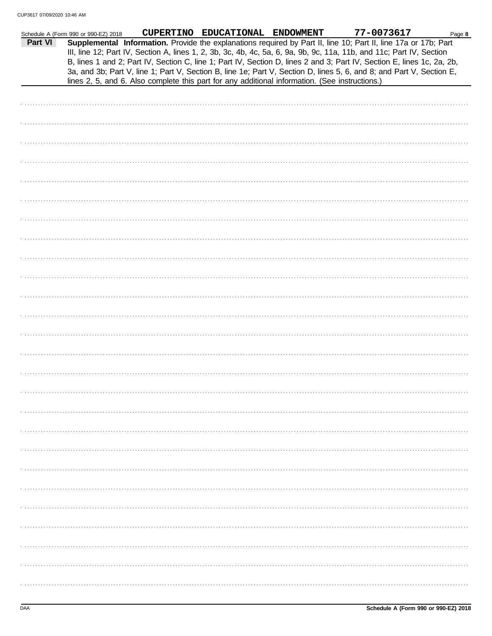|         | Schedule A (Form 990 or 990-EZ) 2018 | CUPERTINO EDUCATIONAL ENDOWMENT |                                                                                                                                                                                                                                                                                                                                                                                                                                                                                                                                                                                             | 77-0073617 | Page 8 |
|---------|--------------------------------------|---------------------------------|---------------------------------------------------------------------------------------------------------------------------------------------------------------------------------------------------------------------------------------------------------------------------------------------------------------------------------------------------------------------------------------------------------------------------------------------------------------------------------------------------------------------------------------------------------------------------------------------|------------|--------|
| Part VI |                                      |                                 | Supplemental Information. Provide the explanations required by Part II, line 10; Part II, line 17a or 17b; Part<br>III, line 12; Part IV, Section A, lines 1, 2, 3b, 3c, 4b, 4c, 5a, 6, 9a, 9b, 9c, 11a, 11b, and 11c; Part IV, Section<br>B, lines 1 and 2; Part IV, Section C, line 1; Part IV, Section D, lines 2 and 3; Part IV, Section E, lines 1c, 2a, 2b,<br>3a, and 3b; Part V, line 1; Part V, Section B, line 1e; Part V, Section D, lines 5, 6, and 8; and Part V, Section E,<br>lines 2, 5, and 6. Also complete this part for any additional information. (See instructions.) |            |        |
|         |                                      |                                 |                                                                                                                                                                                                                                                                                                                                                                                                                                                                                                                                                                                             |            |        |
|         |                                      |                                 |                                                                                                                                                                                                                                                                                                                                                                                                                                                                                                                                                                                             |            |        |
|         |                                      |                                 |                                                                                                                                                                                                                                                                                                                                                                                                                                                                                                                                                                                             |            |        |
|         |                                      |                                 |                                                                                                                                                                                                                                                                                                                                                                                                                                                                                                                                                                                             |            |        |
|         |                                      |                                 |                                                                                                                                                                                                                                                                                                                                                                                                                                                                                                                                                                                             |            |        |
|         |                                      |                                 |                                                                                                                                                                                                                                                                                                                                                                                                                                                                                                                                                                                             |            |        |
|         |                                      |                                 |                                                                                                                                                                                                                                                                                                                                                                                                                                                                                                                                                                                             |            |        |
|         |                                      |                                 |                                                                                                                                                                                                                                                                                                                                                                                                                                                                                                                                                                                             |            |        |
|         |                                      |                                 |                                                                                                                                                                                                                                                                                                                                                                                                                                                                                                                                                                                             |            |        |
|         |                                      |                                 |                                                                                                                                                                                                                                                                                                                                                                                                                                                                                                                                                                                             |            |        |
|         |                                      |                                 |                                                                                                                                                                                                                                                                                                                                                                                                                                                                                                                                                                                             |            |        |
|         |                                      |                                 |                                                                                                                                                                                                                                                                                                                                                                                                                                                                                                                                                                                             |            |        |
|         |                                      |                                 |                                                                                                                                                                                                                                                                                                                                                                                                                                                                                                                                                                                             |            |        |
|         |                                      |                                 |                                                                                                                                                                                                                                                                                                                                                                                                                                                                                                                                                                                             |            |        |
|         |                                      |                                 |                                                                                                                                                                                                                                                                                                                                                                                                                                                                                                                                                                                             |            |        |
|         |                                      |                                 |                                                                                                                                                                                                                                                                                                                                                                                                                                                                                                                                                                                             |            |        |
|         |                                      |                                 |                                                                                                                                                                                                                                                                                                                                                                                                                                                                                                                                                                                             |            |        |
|         |                                      |                                 |                                                                                                                                                                                                                                                                                                                                                                                                                                                                                                                                                                                             |            |        |
|         |                                      |                                 |                                                                                                                                                                                                                                                                                                                                                                                                                                                                                                                                                                                             |            |        |
|         |                                      |                                 |                                                                                                                                                                                                                                                                                                                                                                                                                                                                                                                                                                                             |            |        |
|         |                                      |                                 |                                                                                                                                                                                                                                                                                                                                                                                                                                                                                                                                                                                             |            |        |
|         |                                      |                                 |                                                                                                                                                                                                                                                                                                                                                                                                                                                                                                                                                                                             |            |        |
|         |                                      |                                 |                                                                                                                                                                                                                                                                                                                                                                                                                                                                                                                                                                                             |            |        |
|         |                                      |                                 |                                                                                                                                                                                                                                                                                                                                                                                                                                                                                                                                                                                             |            |        |
|         |                                      |                                 |                                                                                                                                                                                                                                                                                                                                                                                                                                                                                                                                                                                             |            |        |
|         |                                      |                                 |                                                                                                                                                                                                                                                                                                                                                                                                                                                                                                                                                                                             |            |        |
|         |                                      |                                 |                                                                                                                                                                                                                                                                                                                                                                                                                                                                                                                                                                                             |            |        |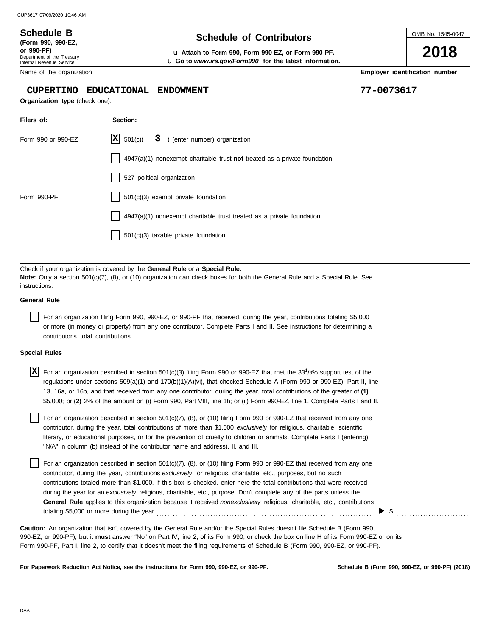Department of the Treasury Internal Revenue Service Name of the organization

**(Form 990, 990-EZ,**

## **Schedule of Contributors Schedule B**

OMB No. 1545-0047

**2018**

**or 990-PF)** u **Attach to Form 990, Form 990-EZ, or Form 990-PF.** u **Go to** *www.irs.gov/Form990* **for the latest information.**

**Employer identification number**

**CONTRACT REPORT EDUCATION IN THE ENDOM** 

| CUPERTINO EDUCATIONAL ENDO |  |  |  |
|----------------------------|--|--|--|
|----------------------------|--|--|--|

**Organization type** (check one):

| Filers of:         | Section:                                                                  |
|--------------------|---------------------------------------------------------------------------|
| Form 990 or 990-EZ | $ \mathbf{X} $ 501(c)( $3$ ) (enter number) organization                  |
|                    | 4947(a)(1) nonexempt charitable trust not treated as a private foundation |
|                    | 527 political organization                                                |
| Form 990-PF        | $501(c)(3)$ exempt private foundation                                     |
|                    | 4947(a)(1) nonexempt charitable trust treated as a private foundation     |
|                    | $501(c)(3)$ taxable private foundation                                    |

Check if your organization is covered by the **General Rule** or a **Special Rule. Note:** Only a section 501(c)(7), (8), or (10) organization can check boxes for both the General Rule and a Special Rule. See instructions.

### **General Rule**

For an organization filing Form 990, 990-EZ, or 990-PF that received, during the year, contributions totaling \$5,000 or more (in money or property) from any one contributor. Complete Parts I and II. See instructions for determining a contributor's total contributions.

#### **Special Rules**

| $X$ For an organization described in section 501(c)(3) filing Form 990 or 990-EZ that met the 33 <sup>1</sup> /3% support test of the |
|---------------------------------------------------------------------------------------------------------------------------------------|
| regulations under sections 509(a)(1) and 170(b)(1)(A)(vi), that checked Schedule A (Form 990 or 990-EZ), Part II, line                |
| 13, 16a, or 16b, and that received from any one contributor, during the year, total contributions of the greater of (1)               |
| \$5,000; or (2) 2% of the amount on (i) Form 990, Part VIII, line 1h; or (ii) Form 990-EZ, line 1. Complete Parts I and II.           |

literary, or educational purposes, or for the prevention of cruelty to children or animals. Complete Parts I (entering) For an organization described in section 501(c)(7), (8), or (10) filing Form 990 or 990-EZ that received from any one contributor, during the year, total contributions of more than \$1,000 *exclusively* for religious, charitable, scientific, "N/A" in column (b) instead of the contributor name and address), II, and III.

For an organization described in section 501(c)(7), (8), or (10) filing Form 990 or 990-EZ that received from any one contributor, during the year, contributions *exclusively* for religious, charitable, etc., purposes, but no such contributions totaled more than \$1,000. If this box is checked, enter here the total contributions that were received during the year for an *exclusively* religious, charitable, etc., purpose. Don't complete any of the parts unless the **General Rule** applies to this organization because it received *nonexclusively* religious, charitable, etc., contributions totaling \$5,000 or more during the year . . . . . . . . . . . . . . . . . . . . . . . . . . . . . . . . . . . . . . . . . . . . . . . . . . . . . . . . . . . . . . . . . . . . . . . . . . . . . . . .

990-EZ, or 990-PF), but it **must** answer "No" on Part IV, line 2, of its Form 990; or check the box on line H of its Form 990-EZ or on its Form 990-PF, Part I, line 2, to certify that it doesn't meet the filing requirements of Schedule B (Form 990, 990-EZ, or 990-PF). **Caution:** An organization that isn't covered by the General Rule and/or the Special Rules doesn't file Schedule B (Form 990,

**For Paperwork Reduction Act Notice, see the instructions for Form 990, 990-EZ, or 990-PF.**

▶

\$ . . . . . . . . . . . . . . . . . . . . . . . . . . .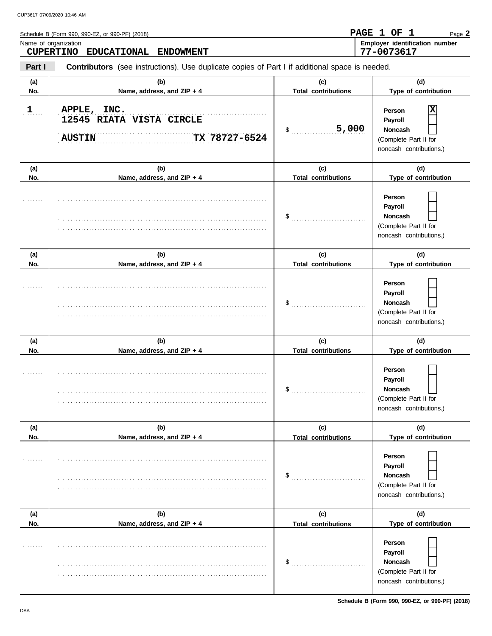|            | Schedule B (Form 990, 990-EZ, or 990-PF) (2018)                                                |                                   | PAGE 1 OF 1<br>Page 2                                                                                    |
|------------|------------------------------------------------------------------------------------------------|-----------------------------------|----------------------------------------------------------------------------------------------------------|
|            | Name of organization<br><b>CUPERTINO</b><br><b>EDUCATIONAL</b><br><b>ENDOWMENT</b>             |                                   | Employer identification number<br>77-0073617                                                             |
| Part I     | Contributors (see instructions). Use duplicate copies of Part I if additional space is needed. |                                   |                                                                                                          |
| (a)<br>No. | (b)<br>Name, address, and ZIP + 4                                                              | (c)<br><b>Total contributions</b> | (d)<br>Type of contribution                                                                              |
| 1          | APPLE, INC.<br>12545 RIATA VISTA CIRCLE<br>TX 78727-6524<br><b>AUSTIN</b>                      | 5,000<br>\$                       | Person<br>Payroll<br>Noncash<br>(Complete Part II for<br>noncash contributions.)                         |
| (a)        | (b)                                                                                            | (c)                               | (d)                                                                                                      |
| No.        | Name, address, and ZIP + 4                                                                     | <b>Total contributions</b>        | Type of contribution                                                                                     |
|            |                                                                                                | \$                                | Person<br><b>Payroll</b><br>Noncash<br>(Complete Part II for<br>noncash contributions.)                  |
| (a)        | (b)                                                                                            | (c)                               | (d)                                                                                                      |
| No.        | Name, address, and ZIP + 4                                                                     | <b>Total contributions</b>        | Type of contribution                                                                                     |
|            |                                                                                                | \$                                | Person<br>Payroll<br>Noncash<br>(Complete Part II for<br>noncash contributions.)                         |
| (a)<br>No. | (b)<br>Name, address, and ZIP + 4                                                              | (c)<br><b>Total contributions</b> | (d)<br>Type of contribution                                                                              |
|            |                                                                                                | $\phi$                            | Person<br>Payroll<br><b>Noncash</b><br>(Complete Part II for<br>noncash contributions.)                  |
| (a)<br>No. | (b)<br>Name, address, and ZIP + 4                                                              | (c)<br><b>Total contributions</b> | (d)<br>Type of contribution                                                                              |
|            |                                                                                                | \$                                | Person<br>Payroll<br><b>Noncash</b><br>(Complete Part II for<br>noncash contributions.)                  |
| (a)        | (b)                                                                                            | (c)                               | (d)                                                                                                      |
| No.        | Name, address, and ZIP + 4                                                                     | <b>Total contributions</b><br>\$  | Type of contribution<br>Person<br>Payroll<br>Noncash<br>(Complete Part II for<br>noncash contributions.) |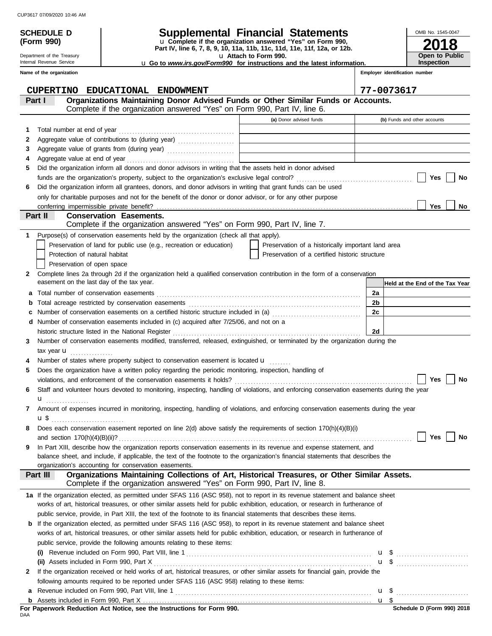Department of the Treasury Internal Revenue Service **Name of the organization**

**(Form 990)**

## **SCHEDULE D Supplemental Financial Statements**

**Part IV, line 6, 7, 8, 9, 10, 11a, 11b, 11c, 11d, 11e, 11f, 12a, or 12b.** u **Complete if the organization answered "Yes" on Form 990,**

u **Attach to Form 990.** 

u **Go to** *www.irs.gov/Form990* **for instructions and the latest information.**

**Employer identification number**

**2018**

**Open to Public Inspection**

OMB No. 1545-0047

| Organizations Maintaining Donor Advised Funds or Other Similar Funds or Accounts.<br>Part I<br>Complete if the organization answered "Yes" on Form 990, Part IV, line 6.<br>(a) Donor advised funds<br>(b) Funds and other accounts<br>1<br>2<br>3<br>4<br>Did the organization inform all donors and donor advisors in writing that the assets held in donor advised<br>5<br>funds are the organization's property, subject to the organization's exclusive legal control?<br>Yes<br>No<br>Did the organization inform all grantees, donors, and donor advisors in writing that grant funds can be used<br>6<br>only for charitable purposes and not for the benefit of the donor or donor advisor, or for any other purpose<br><b>Yes</b><br>No<br>Part II<br><b>Conservation Easements.</b><br>Complete if the organization answered "Yes" on Form 990, Part IV, line 7.<br>Purpose(s) of conservation easements held by the organization (check all that apply).<br>1<br>Preservation of land for public use (e.g., recreation or education)<br>Preservation of a historically important land area<br>Protection of natural habitat<br>Preservation of a certified historic structure<br>Preservation of open space<br>Complete lines 2a through 2d if the organization held a qualified conservation contribution in the form of a conservation<br>2<br>easement on the last day of the tax year.<br>Held at the End of the Tax Year<br>2a<br>a<br>2b<br>b<br>Number of conservation easements on a certified historic structure included in (a) [[[[[ [ [ ]]]<br>2c<br>с<br>d Number of conservation easements included in (c) acquired after 7/25/06, and not on a<br>2d<br>historic structure listed in the National Register<br>Number of conservation easements modified, transferred, released, extinguished, or terminated by the organization during the<br>3<br>tax year $\mathbf{u}$<br>Number of states where property subject to conservation easement is located u<br>4<br>Does the organization have a written policy regarding the periodic monitoring, inspection, handling of<br>5<br>Yes<br>violations, and enforcement of the conservation easements it holds?<br>No<br>Staff and volunteer hours devoted to monitoring, inspecting, handling of violations, and enforcing conservation easements during the year<br>6<br>$\mathbf{u} = \dots \dots$<br>Amount of expenses incurred in monitoring, inspecting, handling of violations, and enforcing conservation easements during the year<br>7<br>ա \$<br>Does each conservation easement reported on line 2(d) above satisfy the requirements of section 170(h)(4)(B)(i)<br>8<br>and section $170(h)(4)(B)(ii)?$ No<br>In Part XIII, describe how the organization reports conservation easements in its revenue and expense statement, and<br>9<br>balance sheet, and include, if applicable, the text of the footnote to the organization's financial statements that describes the<br>organization's accounting for conservation easements.<br>Organizations Maintaining Collections of Art, Historical Treasures, or Other Similar Assets.<br>Part III<br>Complete if the organization answered "Yes" on Form 990, Part IV, line 8.<br>1a If the organization elected, as permitted under SFAS 116 (ASC 958), not to report in its revenue statement and balance sheet<br>works of art, historical treasures, or other similar assets held for public exhibition, education, or research in furtherance of<br>public service, provide, in Part XIII, the text of the footnote to its financial statements that describes these items.<br><b>b</b> If the organization elected, as permitted under SFAS 116 (ASC 958), to report in its revenue statement and balance sheet<br>works of art, historical treasures, or other similar assets held for public exhibition, education, or research in furtherance of<br>public service, provide the following amounts relating to these items:<br>If the organization received or held works of art, historical treasures, or other similar assets for financial gain, provide the<br>$\mathbf{2}$<br>following amounts required to be reported under SFAS 116 (ASC 958) relating to these items:<br>$\mathbf{u}$ \$<br>a<br>b | CUPERTINO EDUCATIONAL ENDOWMENT | 77-0073617 |
|---------------------------------------------------------------------------------------------------------------------------------------------------------------------------------------------------------------------------------------------------------------------------------------------------------------------------------------------------------------------------------------------------------------------------------------------------------------------------------------------------------------------------------------------------------------------------------------------------------------------------------------------------------------------------------------------------------------------------------------------------------------------------------------------------------------------------------------------------------------------------------------------------------------------------------------------------------------------------------------------------------------------------------------------------------------------------------------------------------------------------------------------------------------------------------------------------------------------------------------------------------------------------------------------------------------------------------------------------------------------------------------------------------------------------------------------------------------------------------------------------------------------------------------------------------------------------------------------------------------------------------------------------------------------------------------------------------------------------------------------------------------------------------------------------------------------------------------------------------------------------------------------------------------------------------------------------------------------------------------------------------------------------------------------------------------------------------------------------------------------------------------------------------------------------------------------------------------------------------------------------------------------------------------------------------------------------------------------------------------------------------------------------------------------------------------------------------------------------------------------------------------------------------------------------------------------------------------------------------------------------------------------------------------------------------------------------------------------------------------------------------------------------------------------------------------------------------------------------------------------------------------------------------------------------------------------------------------------------------------------------------------------------------------------------------------------------------------------------------------------------------------------------------------------------------------------------------------------------------------------------------------------------------------------------------------------------------------------------------------------------------------------------------------------------------------------------------------------------------------------------------------------------------------------------------------------------------------------------------------------------------------------------------------------------------------------------------------------------------------------------------------------------------------------------------------------------------------------------------------------------------------------------------------------------------------------------------------------------------------------------------------------------------------------------------------------------------------------------------------------------------------------------------------------------------------------------------------------------------------------------------|---------------------------------|------------|
|                                                                                                                                                                                                                                                                                                                                                                                                                                                                                                                                                                                                                                                                                                                                                                                                                                                                                                                                                                                                                                                                                                                                                                                                                                                                                                                                                                                                                                                                                                                                                                                                                                                                                                                                                                                                                                                                                                                                                                                                                                                                                                                                                                                                                                                                                                                                                                                                                                                                                                                                                                                                                                                                                                                                                                                                                                                                                                                                                                                                                                                                                                                                                                                                                                                                                                                                                                                                                                                                                                                                                                                                                                                                                                                                                                                                                                                                                                                                                                                                                                                                                                                                                                                                                                                         |                                 |            |
|                                                                                                                                                                                                                                                                                                                                                                                                                                                                                                                                                                                                                                                                                                                                                                                                                                                                                                                                                                                                                                                                                                                                                                                                                                                                                                                                                                                                                                                                                                                                                                                                                                                                                                                                                                                                                                                                                                                                                                                                                                                                                                                                                                                                                                                                                                                                                                                                                                                                                                                                                                                                                                                                                                                                                                                                                                                                                                                                                                                                                                                                                                                                                                                                                                                                                                                                                                                                                                                                                                                                                                                                                                                                                                                                                                                                                                                                                                                                                                                                                                                                                                                                                                                                                                                         |                                 |            |
|                                                                                                                                                                                                                                                                                                                                                                                                                                                                                                                                                                                                                                                                                                                                                                                                                                                                                                                                                                                                                                                                                                                                                                                                                                                                                                                                                                                                                                                                                                                                                                                                                                                                                                                                                                                                                                                                                                                                                                                                                                                                                                                                                                                                                                                                                                                                                                                                                                                                                                                                                                                                                                                                                                                                                                                                                                                                                                                                                                                                                                                                                                                                                                                                                                                                                                                                                                                                                                                                                                                                                                                                                                                                                                                                                                                                                                                                                                                                                                                                                                                                                                                                                                                                                                                         |                                 |            |
|                                                                                                                                                                                                                                                                                                                                                                                                                                                                                                                                                                                                                                                                                                                                                                                                                                                                                                                                                                                                                                                                                                                                                                                                                                                                                                                                                                                                                                                                                                                                                                                                                                                                                                                                                                                                                                                                                                                                                                                                                                                                                                                                                                                                                                                                                                                                                                                                                                                                                                                                                                                                                                                                                                                                                                                                                                                                                                                                                                                                                                                                                                                                                                                                                                                                                                                                                                                                                                                                                                                                                                                                                                                                                                                                                                                                                                                                                                                                                                                                                                                                                                                                                                                                                                                         |                                 |            |
|                                                                                                                                                                                                                                                                                                                                                                                                                                                                                                                                                                                                                                                                                                                                                                                                                                                                                                                                                                                                                                                                                                                                                                                                                                                                                                                                                                                                                                                                                                                                                                                                                                                                                                                                                                                                                                                                                                                                                                                                                                                                                                                                                                                                                                                                                                                                                                                                                                                                                                                                                                                                                                                                                                                                                                                                                                                                                                                                                                                                                                                                                                                                                                                                                                                                                                                                                                                                                                                                                                                                                                                                                                                                                                                                                                                                                                                                                                                                                                                                                                                                                                                                                                                                                                                         |                                 |            |
|                                                                                                                                                                                                                                                                                                                                                                                                                                                                                                                                                                                                                                                                                                                                                                                                                                                                                                                                                                                                                                                                                                                                                                                                                                                                                                                                                                                                                                                                                                                                                                                                                                                                                                                                                                                                                                                                                                                                                                                                                                                                                                                                                                                                                                                                                                                                                                                                                                                                                                                                                                                                                                                                                                                                                                                                                                                                                                                                                                                                                                                                                                                                                                                                                                                                                                                                                                                                                                                                                                                                                                                                                                                                                                                                                                                                                                                                                                                                                                                                                                                                                                                                                                                                                                                         |                                 |            |
|                                                                                                                                                                                                                                                                                                                                                                                                                                                                                                                                                                                                                                                                                                                                                                                                                                                                                                                                                                                                                                                                                                                                                                                                                                                                                                                                                                                                                                                                                                                                                                                                                                                                                                                                                                                                                                                                                                                                                                                                                                                                                                                                                                                                                                                                                                                                                                                                                                                                                                                                                                                                                                                                                                                                                                                                                                                                                                                                                                                                                                                                                                                                                                                                                                                                                                                                                                                                                                                                                                                                                                                                                                                                                                                                                                                                                                                                                                                                                                                                                                                                                                                                                                                                                                                         |                                 |            |
|                                                                                                                                                                                                                                                                                                                                                                                                                                                                                                                                                                                                                                                                                                                                                                                                                                                                                                                                                                                                                                                                                                                                                                                                                                                                                                                                                                                                                                                                                                                                                                                                                                                                                                                                                                                                                                                                                                                                                                                                                                                                                                                                                                                                                                                                                                                                                                                                                                                                                                                                                                                                                                                                                                                                                                                                                                                                                                                                                                                                                                                                                                                                                                                                                                                                                                                                                                                                                                                                                                                                                                                                                                                                                                                                                                                                                                                                                                                                                                                                                                                                                                                                                                                                                                                         |                                 |            |
|                                                                                                                                                                                                                                                                                                                                                                                                                                                                                                                                                                                                                                                                                                                                                                                                                                                                                                                                                                                                                                                                                                                                                                                                                                                                                                                                                                                                                                                                                                                                                                                                                                                                                                                                                                                                                                                                                                                                                                                                                                                                                                                                                                                                                                                                                                                                                                                                                                                                                                                                                                                                                                                                                                                                                                                                                                                                                                                                                                                                                                                                                                                                                                                                                                                                                                                                                                                                                                                                                                                                                                                                                                                                                                                                                                                                                                                                                                                                                                                                                                                                                                                                                                                                                                                         |                                 |            |
|                                                                                                                                                                                                                                                                                                                                                                                                                                                                                                                                                                                                                                                                                                                                                                                                                                                                                                                                                                                                                                                                                                                                                                                                                                                                                                                                                                                                                                                                                                                                                                                                                                                                                                                                                                                                                                                                                                                                                                                                                                                                                                                                                                                                                                                                                                                                                                                                                                                                                                                                                                                                                                                                                                                                                                                                                                                                                                                                                                                                                                                                                                                                                                                                                                                                                                                                                                                                                                                                                                                                                                                                                                                                                                                                                                                                                                                                                                                                                                                                                                                                                                                                                                                                                                                         |                                 |            |
|                                                                                                                                                                                                                                                                                                                                                                                                                                                                                                                                                                                                                                                                                                                                                                                                                                                                                                                                                                                                                                                                                                                                                                                                                                                                                                                                                                                                                                                                                                                                                                                                                                                                                                                                                                                                                                                                                                                                                                                                                                                                                                                                                                                                                                                                                                                                                                                                                                                                                                                                                                                                                                                                                                                                                                                                                                                                                                                                                                                                                                                                                                                                                                                                                                                                                                                                                                                                                                                                                                                                                                                                                                                                                                                                                                                                                                                                                                                                                                                                                                                                                                                                                                                                                                                         |                                 |            |
|                                                                                                                                                                                                                                                                                                                                                                                                                                                                                                                                                                                                                                                                                                                                                                                                                                                                                                                                                                                                                                                                                                                                                                                                                                                                                                                                                                                                                                                                                                                                                                                                                                                                                                                                                                                                                                                                                                                                                                                                                                                                                                                                                                                                                                                                                                                                                                                                                                                                                                                                                                                                                                                                                                                                                                                                                                                                                                                                                                                                                                                                                                                                                                                                                                                                                                                                                                                                                                                                                                                                                                                                                                                                                                                                                                                                                                                                                                                                                                                                                                                                                                                                                                                                                                                         |                                 |            |
|                                                                                                                                                                                                                                                                                                                                                                                                                                                                                                                                                                                                                                                                                                                                                                                                                                                                                                                                                                                                                                                                                                                                                                                                                                                                                                                                                                                                                                                                                                                                                                                                                                                                                                                                                                                                                                                                                                                                                                                                                                                                                                                                                                                                                                                                                                                                                                                                                                                                                                                                                                                                                                                                                                                                                                                                                                                                                                                                                                                                                                                                                                                                                                                                                                                                                                                                                                                                                                                                                                                                                                                                                                                                                                                                                                                                                                                                                                                                                                                                                                                                                                                                                                                                                                                         |                                 |            |
|                                                                                                                                                                                                                                                                                                                                                                                                                                                                                                                                                                                                                                                                                                                                                                                                                                                                                                                                                                                                                                                                                                                                                                                                                                                                                                                                                                                                                                                                                                                                                                                                                                                                                                                                                                                                                                                                                                                                                                                                                                                                                                                                                                                                                                                                                                                                                                                                                                                                                                                                                                                                                                                                                                                                                                                                                                                                                                                                                                                                                                                                                                                                                                                                                                                                                                                                                                                                                                                                                                                                                                                                                                                                                                                                                                                                                                                                                                                                                                                                                                                                                                                                                                                                                                                         |                                 |            |
|                                                                                                                                                                                                                                                                                                                                                                                                                                                                                                                                                                                                                                                                                                                                                                                                                                                                                                                                                                                                                                                                                                                                                                                                                                                                                                                                                                                                                                                                                                                                                                                                                                                                                                                                                                                                                                                                                                                                                                                                                                                                                                                                                                                                                                                                                                                                                                                                                                                                                                                                                                                                                                                                                                                                                                                                                                                                                                                                                                                                                                                                                                                                                                                                                                                                                                                                                                                                                                                                                                                                                                                                                                                                                                                                                                                                                                                                                                                                                                                                                                                                                                                                                                                                                                                         |                                 |            |
|                                                                                                                                                                                                                                                                                                                                                                                                                                                                                                                                                                                                                                                                                                                                                                                                                                                                                                                                                                                                                                                                                                                                                                                                                                                                                                                                                                                                                                                                                                                                                                                                                                                                                                                                                                                                                                                                                                                                                                                                                                                                                                                                                                                                                                                                                                                                                                                                                                                                                                                                                                                                                                                                                                                                                                                                                                                                                                                                                                                                                                                                                                                                                                                                                                                                                                                                                                                                                                                                                                                                                                                                                                                                                                                                                                                                                                                                                                                                                                                                                                                                                                                                                                                                                                                         |                                 |            |
|                                                                                                                                                                                                                                                                                                                                                                                                                                                                                                                                                                                                                                                                                                                                                                                                                                                                                                                                                                                                                                                                                                                                                                                                                                                                                                                                                                                                                                                                                                                                                                                                                                                                                                                                                                                                                                                                                                                                                                                                                                                                                                                                                                                                                                                                                                                                                                                                                                                                                                                                                                                                                                                                                                                                                                                                                                                                                                                                                                                                                                                                                                                                                                                                                                                                                                                                                                                                                                                                                                                                                                                                                                                                                                                                                                                                                                                                                                                                                                                                                                                                                                                                                                                                                                                         |                                 |            |
|                                                                                                                                                                                                                                                                                                                                                                                                                                                                                                                                                                                                                                                                                                                                                                                                                                                                                                                                                                                                                                                                                                                                                                                                                                                                                                                                                                                                                                                                                                                                                                                                                                                                                                                                                                                                                                                                                                                                                                                                                                                                                                                                                                                                                                                                                                                                                                                                                                                                                                                                                                                                                                                                                                                                                                                                                                                                                                                                                                                                                                                                                                                                                                                                                                                                                                                                                                                                                                                                                                                                                                                                                                                                                                                                                                                                                                                                                                                                                                                                                                                                                                                                                                                                                                                         |                                 |            |
|                                                                                                                                                                                                                                                                                                                                                                                                                                                                                                                                                                                                                                                                                                                                                                                                                                                                                                                                                                                                                                                                                                                                                                                                                                                                                                                                                                                                                                                                                                                                                                                                                                                                                                                                                                                                                                                                                                                                                                                                                                                                                                                                                                                                                                                                                                                                                                                                                                                                                                                                                                                                                                                                                                                                                                                                                                                                                                                                                                                                                                                                                                                                                                                                                                                                                                                                                                                                                                                                                                                                                                                                                                                                                                                                                                                                                                                                                                                                                                                                                                                                                                                                                                                                                                                         |                                 |            |
|                                                                                                                                                                                                                                                                                                                                                                                                                                                                                                                                                                                                                                                                                                                                                                                                                                                                                                                                                                                                                                                                                                                                                                                                                                                                                                                                                                                                                                                                                                                                                                                                                                                                                                                                                                                                                                                                                                                                                                                                                                                                                                                                                                                                                                                                                                                                                                                                                                                                                                                                                                                                                                                                                                                                                                                                                                                                                                                                                                                                                                                                                                                                                                                                                                                                                                                                                                                                                                                                                                                                                                                                                                                                                                                                                                                                                                                                                                                                                                                                                                                                                                                                                                                                                                                         |                                 |            |
|                                                                                                                                                                                                                                                                                                                                                                                                                                                                                                                                                                                                                                                                                                                                                                                                                                                                                                                                                                                                                                                                                                                                                                                                                                                                                                                                                                                                                                                                                                                                                                                                                                                                                                                                                                                                                                                                                                                                                                                                                                                                                                                                                                                                                                                                                                                                                                                                                                                                                                                                                                                                                                                                                                                                                                                                                                                                                                                                                                                                                                                                                                                                                                                                                                                                                                                                                                                                                                                                                                                                                                                                                                                                                                                                                                                                                                                                                                                                                                                                                                                                                                                                                                                                                                                         |                                 |            |
|                                                                                                                                                                                                                                                                                                                                                                                                                                                                                                                                                                                                                                                                                                                                                                                                                                                                                                                                                                                                                                                                                                                                                                                                                                                                                                                                                                                                                                                                                                                                                                                                                                                                                                                                                                                                                                                                                                                                                                                                                                                                                                                                                                                                                                                                                                                                                                                                                                                                                                                                                                                                                                                                                                                                                                                                                                                                                                                                                                                                                                                                                                                                                                                                                                                                                                                                                                                                                                                                                                                                                                                                                                                                                                                                                                                                                                                                                                                                                                                                                                                                                                                                                                                                                                                         |                                 |            |
|                                                                                                                                                                                                                                                                                                                                                                                                                                                                                                                                                                                                                                                                                                                                                                                                                                                                                                                                                                                                                                                                                                                                                                                                                                                                                                                                                                                                                                                                                                                                                                                                                                                                                                                                                                                                                                                                                                                                                                                                                                                                                                                                                                                                                                                                                                                                                                                                                                                                                                                                                                                                                                                                                                                                                                                                                                                                                                                                                                                                                                                                                                                                                                                                                                                                                                                                                                                                                                                                                                                                                                                                                                                                                                                                                                                                                                                                                                                                                                                                                                                                                                                                                                                                                                                         |                                 |            |
|                                                                                                                                                                                                                                                                                                                                                                                                                                                                                                                                                                                                                                                                                                                                                                                                                                                                                                                                                                                                                                                                                                                                                                                                                                                                                                                                                                                                                                                                                                                                                                                                                                                                                                                                                                                                                                                                                                                                                                                                                                                                                                                                                                                                                                                                                                                                                                                                                                                                                                                                                                                                                                                                                                                                                                                                                                                                                                                                                                                                                                                                                                                                                                                                                                                                                                                                                                                                                                                                                                                                                                                                                                                                                                                                                                                                                                                                                                                                                                                                                                                                                                                                                                                                                                                         |                                 |            |
|                                                                                                                                                                                                                                                                                                                                                                                                                                                                                                                                                                                                                                                                                                                                                                                                                                                                                                                                                                                                                                                                                                                                                                                                                                                                                                                                                                                                                                                                                                                                                                                                                                                                                                                                                                                                                                                                                                                                                                                                                                                                                                                                                                                                                                                                                                                                                                                                                                                                                                                                                                                                                                                                                                                                                                                                                                                                                                                                                                                                                                                                                                                                                                                                                                                                                                                                                                                                                                                                                                                                                                                                                                                                                                                                                                                                                                                                                                                                                                                                                                                                                                                                                                                                                                                         |                                 |            |
|                                                                                                                                                                                                                                                                                                                                                                                                                                                                                                                                                                                                                                                                                                                                                                                                                                                                                                                                                                                                                                                                                                                                                                                                                                                                                                                                                                                                                                                                                                                                                                                                                                                                                                                                                                                                                                                                                                                                                                                                                                                                                                                                                                                                                                                                                                                                                                                                                                                                                                                                                                                                                                                                                                                                                                                                                                                                                                                                                                                                                                                                                                                                                                                                                                                                                                                                                                                                                                                                                                                                                                                                                                                                                                                                                                                                                                                                                                                                                                                                                                                                                                                                                                                                                                                         |                                 |            |
|                                                                                                                                                                                                                                                                                                                                                                                                                                                                                                                                                                                                                                                                                                                                                                                                                                                                                                                                                                                                                                                                                                                                                                                                                                                                                                                                                                                                                                                                                                                                                                                                                                                                                                                                                                                                                                                                                                                                                                                                                                                                                                                                                                                                                                                                                                                                                                                                                                                                                                                                                                                                                                                                                                                                                                                                                                                                                                                                                                                                                                                                                                                                                                                                                                                                                                                                                                                                                                                                                                                                                                                                                                                                                                                                                                                                                                                                                                                                                                                                                                                                                                                                                                                                                                                         |                                 |            |
|                                                                                                                                                                                                                                                                                                                                                                                                                                                                                                                                                                                                                                                                                                                                                                                                                                                                                                                                                                                                                                                                                                                                                                                                                                                                                                                                                                                                                                                                                                                                                                                                                                                                                                                                                                                                                                                                                                                                                                                                                                                                                                                                                                                                                                                                                                                                                                                                                                                                                                                                                                                                                                                                                                                                                                                                                                                                                                                                                                                                                                                                                                                                                                                                                                                                                                                                                                                                                                                                                                                                                                                                                                                                                                                                                                                                                                                                                                                                                                                                                                                                                                                                                                                                                                                         |                                 |            |
|                                                                                                                                                                                                                                                                                                                                                                                                                                                                                                                                                                                                                                                                                                                                                                                                                                                                                                                                                                                                                                                                                                                                                                                                                                                                                                                                                                                                                                                                                                                                                                                                                                                                                                                                                                                                                                                                                                                                                                                                                                                                                                                                                                                                                                                                                                                                                                                                                                                                                                                                                                                                                                                                                                                                                                                                                                                                                                                                                                                                                                                                                                                                                                                                                                                                                                                                                                                                                                                                                                                                                                                                                                                                                                                                                                                                                                                                                                                                                                                                                                                                                                                                                                                                                                                         |                                 |            |
|                                                                                                                                                                                                                                                                                                                                                                                                                                                                                                                                                                                                                                                                                                                                                                                                                                                                                                                                                                                                                                                                                                                                                                                                                                                                                                                                                                                                                                                                                                                                                                                                                                                                                                                                                                                                                                                                                                                                                                                                                                                                                                                                                                                                                                                                                                                                                                                                                                                                                                                                                                                                                                                                                                                                                                                                                                                                                                                                                                                                                                                                                                                                                                                                                                                                                                                                                                                                                                                                                                                                                                                                                                                                                                                                                                                                                                                                                                                                                                                                                                                                                                                                                                                                                                                         |                                 |            |
|                                                                                                                                                                                                                                                                                                                                                                                                                                                                                                                                                                                                                                                                                                                                                                                                                                                                                                                                                                                                                                                                                                                                                                                                                                                                                                                                                                                                                                                                                                                                                                                                                                                                                                                                                                                                                                                                                                                                                                                                                                                                                                                                                                                                                                                                                                                                                                                                                                                                                                                                                                                                                                                                                                                                                                                                                                                                                                                                                                                                                                                                                                                                                                                                                                                                                                                                                                                                                                                                                                                                                                                                                                                                                                                                                                                                                                                                                                                                                                                                                                                                                                                                                                                                                                                         |                                 |            |
|                                                                                                                                                                                                                                                                                                                                                                                                                                                                                                                                                                                                                                                                                                                                                                                                                                                                                                                                                                                                                                                                                                                                                                                                                                                                                                                                                                                                                                                                                                                                                                                                                                                                                                                                                                                                                                                                                                                                                                                                                                                                                                                                                                                                                                                                                                                                                                                                                                                                                                                                                                                                                                                                                                                                                                                                                                                                                                                                                                                                                                                                                                                                                                                                                                                                                                                                                                                                                                                                                                                                                                                                                                                                                                                                                                                                                                                                                                                                                                                                                                                                                                                                                                                                                                                         |                                 |            |
|                                                                                                                                                                                                                                                                                                                                                                                                                                                                                                                                                                                                                                                                                                                                                                                                                                                                                                                                                                                                                                                                                                                                                                                                                                                                                                                                                                                                                                                                                                                                                                                                                                                                                                                                                                                                                                                                                                                                                                                                                                                                                                                                                                                                                                                                                                                                                                                                                                                                                                                                                                                                                                                                                                                                                                                                                                                                                                                                                                                                                                                                                                                                                                                                                                                                                                                                                                                                                                                                                                                                                                                                                                                                                                                                                                                                                                                                                                                                                                                                                                                                                                                                                                                                                                                         |                                 |            |
|                                                                                                                                                                                                                                                                                                                                                                                                                                                                                                                                                                                                                                                                                                                                                                                                                                                                                                                                                                                                                                                                                                                                                                                                                                                                                                                                                                                                                                                                                                                                                                                                                                                                                                                                                                                                                                                                                                                                                                                                                                                                                                                                                                                                                                                                                                                                                                                                                                                                                                                                                                                                                                                                                                                                                                                                                                                                                                                                                                                                                                                                                                                                                                                                                                                                                                                                                                                                                                                                                                                                                                                                                                                                                                                                                                                                                                                                                                                                                                                                                                                                                                                                                                                                                                                         |                                 |            |
|                                                                                                                                                                                                                                                                                                                                                                                                                                                                                                                                                                                                                                                                                                                                                                                                                                                                                                                                                                                                                                                                                                                                                                                                                                                                                                                                                                                                                                                                                                                                                                                                                                                                                                                                                                                                                                                                                                                                                                                                                                                                                                                                                                                                                                                                                                                                                                                                                                                                                                                                                                                                                                                                                                                                                                                                                                                                                                                                                                                                                                                                                                                                                                                                                                                                                                                                                                                                                                                                                                                                                                                                                                                                                                                                                                                                                                                                                                                                                                                                                                                                                                                                                                                                                                                         |                                 |            |
|                                                                                                                                                                                                                                                                                                                                                                                                                                                                                                                                                                                                                                                                                                                                                                                                                                                                                                                                                                                                                                                                                                                                                                                                                                                                                                                                                                                                                                                                                                                                                                                                                                                                                                                                                                                                                                                                                                                                                                                                                                                                                                                                                                                                                                                                                                                                                                                                                                                                                                                                                                                                                                                                                                                                                                                                                                                                                                                                                                                                                                                                                                                                                                                                                                                                                                                                                                                                                                                                                                                                                                                                                                                                                                                                                                                                                                                                                                                                                                                                                                                                                                                                                                                                                                                         |                                 |            |
|                                                                                                                                                                                                                                                                                                                                                                                                                                                                                                                                                                                                                                                                                                                                                                                                                                                                                                                                                                                                                                                                                                                                                                                                                                                                                                                                                                                                                                                                                                                                                                                                                                                                                                                                                                                                                                                                                                                                                                                                                                                                                                                                                                                                                                                                                                                                                                                                                                                                                                                                                                                                                                                                                                                                                                                                                                                                                                                                                                                                                                                                                                                                                                                                                                                                                                                                                                                                                                                                                                                                                                                                                                                                                                                                                                                                                                                                                                                                                                                                                                                                                                                                                                                                                                                         |                                 |            |
|                                                                                                                                                                                                                                                                                                                                                                                                                                                                                                                                                                                                                                                                                                                                                                                                                                                                                                                                                                                                                                                                                                                                                                                                                                                                                                                                                                                                                                                                                                                                                                                                                                                                                                                                                                                                                                                                                                                                                                                                                                                                                                                                                                                                                                                                                                                                                                                                                                                                                                                                                                                                                                                                                                                                                                                                                                                                                                                                                                                                                                                                                                                                                                                                                                                                                                                                                                                                                                                                                                                                                                                                                                                                                                                                                                                                                                                                                                                                                                                                                                                                                                                                                                                                                                                         |                                 |            |
|                                                                                                                                                                                                                                                                                                                                                                                                                                                                                                                                                                                                                                                                                                                                                                                                                                                                                                                                                                                                                                                                                                                                                                                                                                                                                                                                                                                                                                                                                                                                                                                                                                                                                                                                                                                                                                                                                                                                                                                                                                                                                                                                                                                                                                                                                                                                                                                                                                                                                                                                                                                                                                                                                                                                                                                                                                                                                                                                                                                                                                                                                                                                                                                                                                                                                                                                                                                                                                                                                                                                                                                                                                                                                                                                                                                                                                                                                                                                                                                                                                                                                                                                                                                                                                                         |                                 |            |
|                                                                                                                                                                                                                                                                                                                                                                                                                                                                                                                                                                                                                                                                                                                                                                                                                                                                                                                                                                                                                                                                                                                                                                                                                                                                                                                                                                                                                                                                                                                                                                                                                                                                                                                                                                                                                                                                                                                                                                                                                                                                                                                                                                                                                                                                                                                                                                                                                                                                                                                                                                                                                                                                                                                                                                                                                                                                                                                                                                                                                                                                                                                                                                                                                                                                                                                                                                                                                                                                                                                                                                                                                                                                                                                                                                                                                                                                                                                                                                                                                                                                                                                                                                                                                                                         |                                 |            |
|                                                                                                                                                                                                                                                                                                                                                                                                                                                                                                                                                                                                                                                                                                                                                                                                                                                                                                                                                                                                                                                                                                                                                                                                                                                                                                                                                                                                                                                                                                                                                                                                                                                                                                                                                                                                                                                                                                                                                                                                                                                                                                                                                                                                                                                                                                                                                                                                                                                                                                                                                                                                                                                                                                                                                                                                                                                                                                                                                                                                                                                                                                                                                                                                                                                                                                                                                                                                                                                                                                                                                                                                                                                                                                                                                                                                                                                                                                                                                                                                                                                                                                                                                                                                                                                         |                                 |            |
|                                                                                                                                                                                                                                                                                                                                                                                                                                                                                                                                                                                                                                                                                                                                                                                                                                                                                                                                                                                                                                                                                                                                                                                                                                                                                                                                                                                                                                                                                                                                                                                                                                                                                                                                                                                                                                                                                                                                                                                                                                                                                                                                                                                                                                                                                                                                                                                                                                                                                                                                                                                                                                                                                                                                                                                                                                                                                                                                                                                                                                                                                                                                                                                                                                                                                                                                                                                                                                                                                                                                                                                                                                                                                                                                                                                                                                                                                                                                                                                                                                                                                                                                                                                                                                                         |                                 |            |
|                                                                                                                                                                                                                                                                                                                                                                                                                                                                                                                                                                                                                                                                                                                                                                                                                                                                                                                                                                                                                                                                                                                                                                                                                                                                                                                                                                                                                                                                                                                                                                                                                                                                                                                                                                                                                                                                                                                                                                                                                                                                                                                                                                                                                                                                                                                                                                                                                                                                                                                                                                                                                                                                                                                                                                                                                                                                                                                                                                                                                                                                                                                                                                                                                                                                                                                                                                                                                                                                                                                                                                                                                                                                                                                                                                                                                                                                                                                                                                                                                                                                                                                                                                                                                                                         |                                 |            |
|                                                                                                                                                                                                                                                                                                                                                                                                                                                                                                                                                                                                                                                                                                                                                                                                                                                                                                                                                                                                                                                                                                                                                                                                                                                                                                                                                                                                                                                                                                                                                                                                                                                                                                                                                                                                                                                                                                                                                                                                                                                                                                                                                                                                                                                                                                                                                                                                                                                                                                                                                                                                                                                                                                                                                                                                                                                                                                                                                                                                                                                                                                                                                                                                                                                                                                                                                                                                                                                                                                                                                                                                                                                                                                                                                                                                                                                                                                                                                                                                                                                                                                                                                                                                                                                         |                                 |            |
|                                                                                                                                                                                                                                                                                                                                                                                                                                                                                                                                                                                                                                                                                                                                                                                                                                                                                                                                                                                                                                                                                                                                                                                                                                                                                                                                                                                                                                                                                                                                                                                                                                                                                                                                                                                                                                                                                                                                                                                                                                                                                                                                                                                                                                                                                                                                                                                                                                                                                                                                                                                                                                                                                                                                                                                                                                                                                                                                                                                                                                                                                                                                                                                                                                                                                                                                                                                                                                                                                                                                                                                                                                                                                                                                                                                                                                                                                                                                                                                                                                                                                                                                                                                                                                                         |                                 |            |
|                                                                                                                                                                                                                                                                                                                                                                                                                                                                                                                                                                                                                                                                                                                                                                                                                                                                                                                                                                                                                                                                                                                                                                                                                                                                                                                                                                                                                                                                                                                                                                                                                                                                                                                                                                                                                                                                                                                                                                                                                                                                                                                                                                                                                                                                                                                                                                                                                                                                                                                                                                                                                                                                                                                                                                                                                                                                                                                                                                                                                                                                                                                                                                                                                                                                                                                                                                                                                                                                                                                                                                                                                                                                                                                                                                                                                                                                                                                                                                                                                                                                                                                                                                                                                                                         |                                 |            |
|                                                                                                                                                                                                                                                                                                                                                                                                                                                                                                                                                                                                                                                                                                                                                                                                                                                                                                                                                                                                                                                                                                                                                                                                                                                                                                                                                                                                                                                                                                                                                                                                                                                                                                                                                                                                                                                                                                                                                                                                                                                                                                                                                                                                                                                                                                                                                                                                                                                                                                                                                                                                                                                                                                                                                                                                                                                                                                                                                                                                                                                                                                                                                                                                                                                                                                                                                                                                                                                                                                                                                                                                                                                                                                                                                                                                                                                                                                                                                                                                                                                                                                                                                                                                                                                         |                                 |            |
|                                                                                                                                                                                                                                                                                                                                                                                                                                                                                                                                                                                                                                                                                                                                                                                                                                                                                                                                                                                                                                                                                                                                                                                                                                                                                                                                                                                                                                                                                                                                                                                                                                                                                                                                                                                                                                                                                                                                                                                                                                                                                                                                                                                                                                                                                                                                                                                                                                                                                                                                                                                                                                                                                                                                                                                                                                                                                                                                                                                                                                                                                                                                                                                                                                                                                                                                                                                                                                                                                                                                                                                                                                                                                                                                                                                                                                                                                                                                                                                                                                                                                                                                                                                                                                                         |                                 |            |
|                                                                                                                                                                                                                                                                                                                                                                                                                                                                                                                                                                                                                                                                                                                                                                                                                                                                                                                                                                                                                                                                                                                                                                                                                                                                                                                                                                                                                                                                                                                                                                                                                                                                                                                                                                                                                                                                                                                                                                                                                                                                                                                                                                                                                                                                                                                                                                                                                                                                                                                                                                                                                                                                                                                                                                                                                                                                                                                                                                                                                                                                                                                                                                                                                                                                                                                                                                                                                                                                                                                                                                                                                                                                                                                                                                                                                                                                                                                                                                                                                                                                                                                                                                                                                                                         |                                 |            |
|                                                                                                                                                                                                                                                                                                                                                                                                                                                                                                                                                                                                                                                                                                                                                                                                                                                                                                                                                                                                                                                                                                                                                                                                                                                                                                                                                                                                                                                                                                                                                                                                                                                                                                                                                                                                                                                                                                                                                                                                                                                                                                                                                                                                                                                                                                                                                                                                                                                                                                                                                                                                                                                                                                                                                                                                                                                                                                                                                                                                                                                                                                                                                                                                                                                                                                                                                                                                                                                                                                                                                                                                                                                                                                                                                                                                                                                                                                                                                                                                                                                                                                                                                                                                                                                         |                                 |            |
|                                                                                                                                                                                                                                                                                                                                                                                                                                                                                                                                                                                                                                                                                                                                                                                                                                                                                                                                                                                                                                                                                                                                                                                                                                                                                                                                                                                                                                                                                                                                                                                                                                                                                                                                                                                                                                                                                                                                                                                                                                                                                                                                                                                                                                                                                                                                                                                                                                                                                                                                                                                                                                                                                                                                                                                                                                                                                                                                                                                                                                                                                                                                                                                                                                                                                                                                                                                                                                                                                                                                                                                                                                                                                                                                                                                                                                                                                                                                                                                                                                                                                                                                                                                                                                                         |                                 |            |

DAA **For Paperwork Reduction Act Notice, see the Instructions for Form 990.**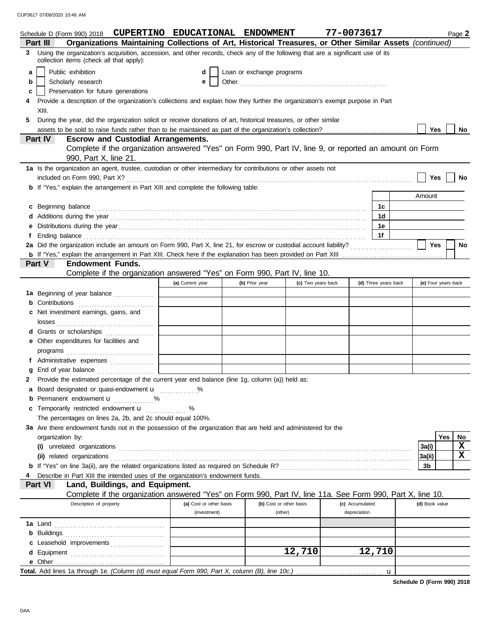|   | Schedule D (Form 990) 2018 CUPERTINO EDUCATIONAL ENDOWMENT                                                                                                                                                                     |                         |                           |                         | 77-0073617      |                      |                     |     | Page 2 |
|---|--------------------------------------------------------------------------------------------------------------------------------------------------------------------------------------------------------------------------------|-------------------------|---------------------------|-------------------------|-----------------|----------------------|---------------------|-----|--------|
|   | Organizations Maintaining Collections of Art, Historical Treasures, or Other Similar Assets (continued)<br>Part III                                                                                                            |                         |                           |                         |                 |                      |                     |     |        |
| 3 | Using the organization's acquisition, accession, and other records, check any of the following that are a significant use of its<br>collection items (check all that apply):                                                   |                         |                           |                         |                 |                      |                     |     |        |
| a | Public exhibition                                                                                                                                                                                                              | d                       | Loan or exchange programs |                         |                 |                      |                     |     |        |
| b | Scholarly research                                                                                                                                                                                                             | е                       |                           |                         |                 |                      |                     |     |        |
| c | Preservation for future generations                                                                                                                                                                                            |                         |                           |                         |                 |                      |                     |     |        |
|   | Provide a description of the organization's collections and explain how they further the organization's exempt purpose in Part                                                                                                 |                         |                           |                         |                 |                      |                     |     |        |
|   | XIII.                                                                                                                                                                                                                          |                         |                           |                         |                 |                      |                     |     |        |
| 5 | During the year, did the organization solicit or receive donations of art, historical treasures, or other similar                                                                                                              |                         |                           |                         |                 |                      |                     |     |        |
|   | assets to be sold to raise funds rather than to be maintained as part of the organization's collection?                                                                                                                        |                         |                           |                         |                 |                      | Yes                 |     | No     |
|   | Part IV<br><b>Escrow and Custodial Arrangements.</b><br>Complete if the organization answered "Yes" on Form 990, Part IV, line 9, or reported an amount on Form                                                                |                         |                           |                         |                 |                      |                     |     |        |
|   | 990, Part X, line 21.                                                                                                                                                                                                          |                         |                           |                         |                 |                      |                     |     |        |
|   | 1a Is the organization an agent, trustee, custodian or other intermediary for contributions or other assets not                                                                                                                |                         |                           |                         |                 |                      |                     |     |        |
|   |                                                                                                                                                                                                                                |                         |                           |                         |                 |                      | Yes                 |     | No     |
|   | <b>b</b> If "Yes," explain the arrangement in Part XIII and complete the following table:                                                                                                                                      |                         |                           |                         |                 |                      |                     |     |        |
|   |                                                                                                                                                                                                                                |                         |                           |                         |                 |                      | Amount              |     |        |
| c | Beginning balance encourance and all the contract of the contract of the contract of the contract of the contract of the contract of the contract of the contract of the contract of the contract of the contract of the contr |                         |                           |                         |                 | 1c                   |                     |     |        |
|   |                                                                                                                                                                                                                                |                         |                           |                         |                 | 1d                   |                     |     |        |
|   |                                                                                                                                                                                                                                |                         |                           |                         |                 | 1е                   |                     |     |        |
|   | Ending balance continuous contract and the contract of the contract of the contract of the contract of the contract of the contract of the contract of the contract of the contract of the contract of the contract of the con |                         |                           |                         |                 | 1f                   | Yes                 |     | No     |
|   |                                                                                                                                                                                                                                |                         |                           |                         |                 |                      |                     |     |        |
|   | <b>Endowment Funds.</b><br>Part V                                                                                                                                                                                              |                         |                           |                         |                 |                      |                     |     |        |
|   | Complete if the organization answered "Yes" on Form 990, Part IV, line 10.                                                                                                                                                     |                         |                           |                         |                 |                      |                     |     |        |
|   |                                                                                                                                                                                                                                | (a) Current year        | (b) Prior year            | (c) Two years back      |                 | (d) Three years back | (e) Four years back |     |        |
|   | 1a Beginning of year balance                                                                                                                                                                                                   |                         |                           |                         |                 |                      |                     |     |        |
|   |                                                                                                                                                                                                                                |                         |                           |                         |                 |                      |                     |     |        |
| c | Net investment earnings, gains, and                                                                                                                                                                                            |                         |                           |                         |                 |                      |                     |     |        |
|   | losses                                                                                                                                                                                                                         |                         |                           |                         |                 |                      |                     |     |        |
|   | Grants or scholarships<br>.                                                                                                                                                                                                    |                         |                           |                         |                 |                      |                     |     |        |
|   | Other expenditures for facilities and                                                                                                                                                                                          |                         |                           |                         |                 |                      |                     |     |        |
|   | programs                                                                                                                                                                                                                       |                         |                           |                         |                 |                      |                     |     |        |
|   |                                                                                                                                                                                                                                |                         |                           |                         |                 |                      |                     |     |        |
|   | End of year balance                                                                                                                                                                                                            |                         |                           |                         |                 |                      |                     |     |        |
|   | 2 Provide the estimated percentage of the current year end balance (line 1g, column (a)) held as:                                                                                                                              |                         |                           |                         |                 |                      |                     |     |        |
|   | Board designated or quasi-endowment <b>u</b> %                                                                                                                                                                                 |                         |                           |                         |                 |                      |                     |     |        |
|   | <b>b</b> Permanent endowment $\mathbf{u}$ %                                                                                                                                                                                    |                         |                           |                         |                 |                      |                     |     |        |
|   | Temporarily restricted endowment <b>u</b>                                                                                                                                                                                      |                         |                           |                         |                 |                      |                     |     |        |
|   | The percentages on lines 2a, 2b, and 2c should equal 100%.                                                                                                                                                                     |                         |                           |                         |                 |                      |                     |     |        |
|   | 3a Are there endowment funds not in the possession of the organization that are held and administered for the                                                                                                                  |                         |                           |                         |                 |                      |                     |     |        |
|   | organization by:                                                                                                                                                                                                               |                         |                           |                         |                 |                      |                     | Yes | No     |
|   |                                                                                                                                                                                                                                |                         |                           |                         |                 |                      | 3a(i)               |     | х      |
|   | (ii) related organizations                                                                                                                                                                                                     |                         |                           |                         |                 |                      | 3a(ii)              |     | x      |
|   |                                                                                                                                                                                                                                |                         |                           |                         |                 |                      | 3b                  |     |        |
|   | Describe in Part XIII the intended uses of the organization's endowment funds.                                                                                                                                                 |                         |                           |                         |                 |                      |                     |     |        |
|   | Part VI<br>Land, Buildings, and Equipment.<br>Complete if the organization answered "Yes" on Form 990, Part IV, line 11a. See Form 990, Part X, line 10.                                                                       |                         |                           |                         |                 |                      |                     |     |        |
|   | Description of property                                                                                                                                                                                                        | (a) Cost or other basis |                           | (b) Cost or other basis | (c) Accumulated |                      | (d) Book value      |     |        |
|   |                                                                                                                                                                                                                                | (investment)            | (other)                   |                         | depreciation    |                      |                     |     |        |
|   | 1a Land                                                                                                                                                                                                                        |                         |                           |                         |                 |                      |                     |     |        |
|   |                                                                                                                                                                                                                                |                         |                           |                         |                 |                      |                     |     |        |
|   | c Leasehold improvements                                                                                                                                                                                                       |                         |                           |                         |                 |                      |                     |     |        |
|   |                                                                                                                                                                                                                                |                         |                           | 12,710                  |                 | 12,710               |                     |     |        |
|   |                                                                                                                                                                                                                                |                         |                           |                         |                 |                      |                     |     |        |
|   | Total. Add lines 1a through 1e. (Column (d) must equal Form 990, Part X, column (B), line 10c.)                                                                                                                                |                         |                           |                         |                 | $\mathbf{u}$         |                     |     |        |

**Schedule D (Form 990) 2018**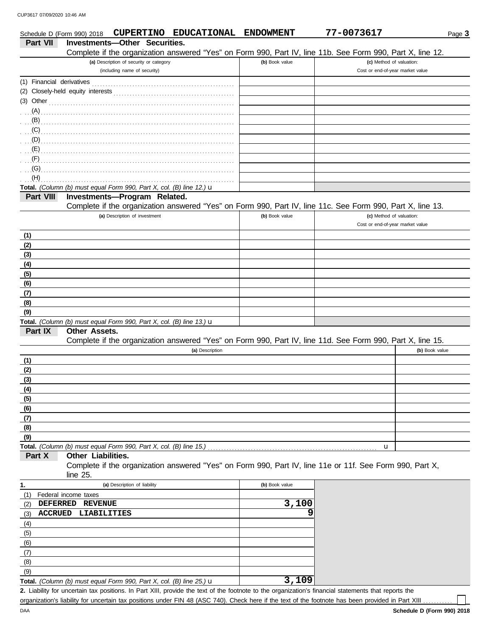| Complete if the organization answered "Yes" on Form 990, Part IV, line 11b. See Form 990, Part X, line 12.<br>(a) Description of security or category<br>(b) Book value<br>(c) Method of valuation:<br>(including name of security)<br>Cost or end-of-year market value<br>(1) Financial derivatives<br>(3) Other<br>$\overline{a}$ (G) and according to the continuum of the continuum of the continuum of the continuum of the continuum of the continuum of the continuum of the continuum of the continuum of the continuum of the continuum of the<br>(H)<br>Investments-Program Related.<br>Part VIII<br>Complete if the organization answered "Yes" on Form 990, Part IV, line 11c. See Form 990, Part X, line 13.<br>(a) Description of investment<br>(c) Method of valuation:<br>(b) Book value<br>Cost or end-of-year market value<br>(1)<br>(2)<br>(3)<br>(4)<br>(5)<br>(6)<br>(7)<br>(8)<br>(9)<br>Part IX<br><b>Other Assets.</b><br>Complete if the organization answered "Yes" on Form 990, Part IV, line 11d. See Form 990, Part X, line 15.<br>(a) Description<br>(1) |                |
|----------------------------------------------------------------------------------------------------------------------------------------------------------------------------------------------------------------------------------------------------------------------------------------------------------------------------------------------------------------------------------------------------------------------------------------------------------------------------------------------------------------------------------------------------------------------------------------------------------------------------------------------------------------------------------------------------------------------------------------------------------------------------------------------------------------------------------------------------------------------------------------------------------------------------------------------------------------------------------------------------------------------------------------------------------------------------------------|----------------|
|                                                                                                                                                                                                                                                                                                                                                                                                                                                                                                                                                                                                                                                                                                                                                                                                                                                                                                                                                                                                                                                                                        |                |
|                                                                                                                                                                                                                                                                                                                                                                                                                                                                                                                                                                                                                                                                                                                                                                                                                                                                                                                                                                                                                                                                                        |                |
|                                                                                                                                                                                                                                                                                                                                                                                                                                                                                                                                                                                                                                                                                                                                                                                                                                                                                                                                                                                                                                                                                        |                |
|                                                                                                                                                                                                                                                                                                                                                                                                                                                                                                                                                                                                                                                                                                                                                                                                                                                                                                                                                                                                                                                                                        |                |
|                                                                                                                                                                                                                                                                                                                                                                                                                                                                                                                                                                                                                                                                                                                                                                                                                                                                                                                                                                                                                                                                                        |                |
|                                                                                                                                                                                                                                                                                                                                                                                                                                                                                                                                                                                                                                                                                                                                                                                                                                                                                                                                                                                                                                                                                        |                |
|                                                                                                                                                                                                                                                                                                                                                                                                                                                                                                                                                                                                                                                                                                                                                                                                                                                                                                                                                                                                                                                                                        |                |
| Total. (Column (b) must equal Form 990, Part X, col. (B) line 12.) $\mathbf u$                                                                                                                                                                                                                                                                                                                                                                                                                                                                                                                                                                                                                                                                                                                                                                                                                                                                                                                                                                                                         |                |
|                                                                                                                                                                                                                                                                                                                                                                                                                                                                                                                                                                                                                                                                                                                                                                                                                                                                                                                                                                                                                                                                                        |                |
|                                                                                                                                                                                                                                                                                                                                                                                                                                                                                                                                                                                                                                                                                                                                                                                                                                                                                                                                                                                                                                                                                        |                |
|                                                                                                                                                                                                                                                                                                                                                                                                                                                                                                                                                                                                                                                                                                                                                                                                                                                                                                                                                                                                                                                                                        |                |
|                                                                                                                                                                                                                                                                                                                                                                                                                                                                                                                                                                                                                                                                                                                                                                                                                                                                                                                                                                                                                                                                                        |                |
|                                                                                                                                                                                                                                                                                                                                                                                                                                                                                                                                                                                                                                                                                                                                                                                                                                                                                                                                                                                                                                                                                        |                |
|                                                                                                                                                                                                                                                                                                                                                                                                                                                                                                                                                                                                                                                                                                                                                                                                                                                                                                                                                                                                                                                                                        |                |
|                                                                                                                                                                                                                                                                                                                                                                                                                                                                                                                                                                                                                                                                                                                                                                                                                                                                                                                                                                                                                                                                                        |                |
|                                                                                                                                                                                                                                                                                                                                                                                                                                                                                                                                                                                                                                                                                                                                                                                                                                                                                                                                                                                                                                                                                        |                |
| Total. (Column (b) must equal Form 990, Part X, col. (B) line 13.) $\mathbf u$                                                                                                                                                                                                                                                                                                                                                                                                                                                                                                                                                                                                                                                                                                                                                                                                                                                                                                                                                                                                         |                |
|                                                                                                                                                                                                                                                                                                                                                                                                                                                                                                                                                                                                                                                                                                                                                                                                                                                                                                                                                                                                                                                                                        |                |
|                                                                                                                                                                                                                                                                                                                                                                                                                                                                                                                                                                                                                                                                                                                                                                                                                                                                                                                                                                                                                                                                                        |                |
|                                                                                                                                                                                                                                                                                                                                                                                                                                                                                                                                                                                                                                                                                                                                                                                                                                                                                                                                                                                                                                                                                        |                |
|                                                                                                                                                                                                                                                                                                                                                                                                                                                                                                                                                                                                                                                                                                                                                                                                                                                                                                                                                                                                                                                                                        |                |
|                                                                                                                                                                                                                                                                                                                                                                                                                                                                                                                                                                                                                                                                                                                                                                                                                                                                                                                                                                                                                                                                                        |                |
|                                                                                                                                                                                                                                                                                                                                                                                                                                                                                                                                                                                                                                                                                                                                                                                                                                                                                                                                                                                                                                                                                        |                |
|                                                                                                                                                                                                                                                                                                                                                                                                                                                                                                                                                                                                                                                                                                                                                                                                                                                                                                                                                                                                                                                                                        |                |
|                                                                                                                                                                                                                                                                                                                                                                                                                                                                                                                                                                                                                                                                                                                                                                                                                                                                                                                                                                                                                                                                                        |                |
|                                                                                                                                                                                                                                                                                                                                                                                                                                                                                                                                                                                                                                                                                                                                                                                                                                                                                                                                                                                                                                                                                        |                |
|                                                                                                                                                                                                                                                                                                                                                                                                                                                                                                                                                                                                                                                                                                                                                                                                                                                                                                                                                                                                                                                                                        |                |
|                                                                                                                                                                                                                                                                                                                                                                                                                                                                                                                                                                                                                                                                                                                                                                                                                                                                                                                                                                                                                                                                                        |                |
|                                                                                                                                                                                                                                                                                                                                                                                                                                                                                                                                                                                                                                                                                                                                                                                                                                                                                                                                                                                                                                                                                        | (b) Book value |
|                                                                                                                                                                                                                                                                                                                                                                                                                                                                                                                                                                                                                                                                                                                                                                                                                                                                                                                                                                                                                                                                                        |                |
| (2)                                                                                                                                                                                                                                                                                                                                                                                                                                                                                                                                                                                                                                                                                                                                                                                                                                                                                                                                                                                                                                                                                    |                |
| (3)                                                                                                                                                                                                                                                                                                                                                                                                                                                                                                                                                                                                                                                                                                                                                                                                                                                                                                                                                                                                                                                                                    |                |
| (4)                                                                                                                                                                                                                                                                                                                                                                                                                                                                                                                                                                                                                                                                                                                                                                                                                                                                                                                                                                                                                                                                                    |                |
| (5)                                                                                                                                                                                                                                                                                                                                                                                                                                                                                                                                                                                                                                                                                                                                                                                                                                                                                                                                                                                                                                                                                    |                |
| (6)                                                                                                                                                                                                                                                                                                                                                                                                                                                                                                                                                                                                                                                                                                                                                                                                                                                                                                                                                                                                                                                                                    |                |
| (7)<br>(8)                                                                                                                                                                                                                                                                                                                                                                                                                                                                                                                                                                                                                                                                                                                                                                                                                                                                                                                                                                                                                                                                             |                |
| (9)                                                                                                                                                                                                                                                                                                                                                                                                                                                                                                                                                                                                                                                                                                                                                                                                                                                                                                                                                                                                                                                                                    |                |
| u                                                                                                                                                                                                                                                                                                                                                                                                                                                                                                                                                                                                                                                                                                                                                                                                                                                                                                                                                                                                                                                                                      |                |
| Part X<br>Other Liabilities.                                                                                                                                                                                                                                                                                                                                                                                                                                                                                                                                                                                                                                                                                                                                                                                                                                                                                                                                                                                                                                                           |                |
| Complete if the organization answered "Yes" on Form 990, Part IV, line 11e or 11f. See Form 990, Part X,                                                                                                                                                                                                                                                                                                                                                                                                                                                                                                                                                                                                                                                                                                                                                                                                                                                                                                                                                                               |                |
| line 25.                                                                                                                                                                                                                                                                                                                                                                                                                                                                                                                                                                                                                                                                                                                                                                                                                                                                                                                                                                                                                                                                               |                |
| (a) Description of liability<br>(b) Book value<br>1.                                                                                                                                                                                                                                                                                                                                                                                                                                                                                                                                                                                                                                                                                                                                                                                                                                                                                                                                                                                                                                   |                |
| (1)<br>Federal income taxes                                                                                                                                                                                                                                                                                                                                                                                                                                                                                                                                                                                                                                                                                                                                                                                                                                                                                                                                                                                                                                                            |                |
| 3,100<br><b>DEFERRED</b><br><b>REVENUE</b><br>(2)                                                                                                                                                                                                                                                                                                                                                                                                                                                                                                                                                                                                                                                                                                                                                                                                                                                                                                                                                                                                                                      |                |
| <b>LIABILITIES</b><br><b>ACCRUED</b><br>(3)                                                                                                                                                                                                                                                                                                                                                                                                                                                                                                                                                                                                                                                                                                                                                                                                                                                                                                                                                                                                                                            |                |
| (4)                                                                                                                                                                                                                                                                                                                                                                                                                                                                                                                                                                                                                                                                                                                                                                                                                                                                                                                                                                                                                                                                                    |                |
| (5)                                                                                                                                                                                                                                                                                                                                                                                                                                                                                                                                                                                                                                                                                                                                                                                                                                                                                                                                                                                                                                                                                    |                |
| (6)                                                                                                                                                                                                                                                                                                                                                                                                                                                                                                                                                                                                                                                                                                                                                                                                                                                                                                                                                                                                                                                                                    |                |
| (7)                                                                                                                                                                                                                                                                                                                                                                                                                                                                                                                                                                                                                                                                                                                                                                                                                                                                                                                                                                                                                                                                                    |                |
| (8)                                                                                                                                                                                                                                                                                                                                                                                                                                                                                                                                                                                                                                                                                                                                                                                                                                                                                                                                                                                                                                                                                    |                |
| (9)<br>3,109                                                                                                                                                                                                                                                                                                                                                                                                                                                                                                                                                                                                                                                                                                                                                                                                                                                                                                                                                                                                                                                                           |                |
| Total. (Column (b) must equal Form 990, Part X, col. (B) line 25.) $\mathbf u$<br>2. Liability for uncertain tax positions. In Part XIII, provide the text of the footnote to the organization's financial statements that reports the                                                                                                                                                                                                                                                                                                                                                                                                                                                                                                                                                                                                                                                                                                                                                                                                                                                 |                |
| organization's liability for uncertain tax positions under FIN 48 (ASC 740). Check here if the text of the footnote has been provided in Part XIII                                                                                                                                                                                                                                                                                                                                                                                                                                                                                                                                                                                                                                                                                                                                                                                                                                                                                                                                     |                |

**Schedule D (Form 990) 2018**

Schedule D (Form 990) 2018 CUPERTINO EDUCATIONAL ENDOWMENT 77-0073617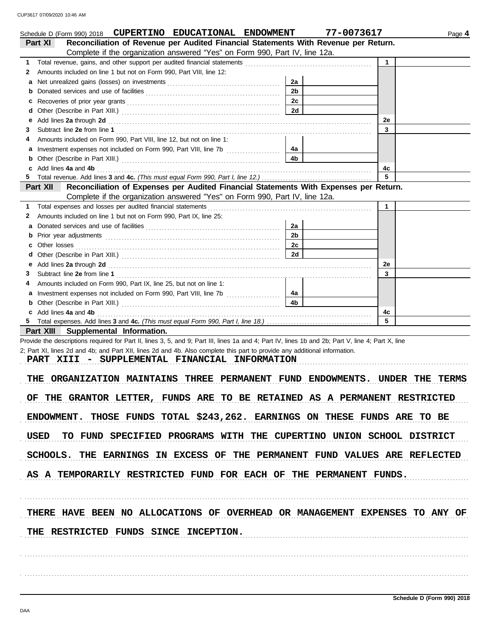|   | Schedule D (Form 990) 2018 CUPERTINO EDUCATIONAL ENDOWMENT                                                                                                                                                                     |                | 77-0073617   | Page 4       |
|---|--------------------------------------------------------------------------------------------------------------------------------------------------------------------------------------------------------------------------------|----------------|--------------|--------------|
|   | Reconciliation of Revenue per Audited Financial Statements With Revenue per Return.<br>Part XI                                                                                                                                 |                |              |              |
|   | Complete if the organization answered "Yes" on Form 990, Part IV, line 12a.                                                                                                                                                    |                |              |              |
| 1 | Total revenue, gains, and other support per audited financial statements                                                                                                                                                       |                | $\mathbf{1}$ |              |
| 2 | Amounts included on line 1 but not on Form 990, Part VIII, line 12:                                                                                                                                                            |                |              |              |
| а |                                                                                                                                                                                                                                | 2a             |              |              |
| b |                                                                                                                                                                                                                                | 2 <sub>b</sub> |              |              |
| c |                                                                                                                                                                                                                                | 2c             |              |              |
| d |                                                                                                                                                                                                                                | 2d             |              |              |
| е |                                                                                                                                                                                                                                |                | 2e           |              |
| З |                                                                                                                                                                                                                                |                | 3            |              |
| 4 | Amounts included on Form 990, Part VIII, line 12, but not on line 1:                                                                                                                                                           |                |              |              |
| а |                                                                                                                                                                                                                                | 4a             |              |              |
| b |                                                                                                                                                                                                                                | 4b             |              |              |
|   | c Add lines 4a and 4b                                                                                                                                                                                                          |                | 4c           |              |
| 5 |                                                                                                                                                                                                                                |                | 5            |              |
|   | Reconciliation of Expenses per Audited Financial Statements With Expenses per Return.<br>Part XII                                                                                                                              |                |              |              |
|   | Complete if the organization answered "Yes" on Form 990, Part IV, line 12a.                                                                                                                                                    |                |              |              |
| 1 |                                                                                                                                                                                                                                |                | 1            |              |
| 2 | Amounts included on line 1 but not on Form 990, Part IX, line 25:                                                                                                                                                              |                |              |              |
| a |                                                                                                                                                                                                                                | 2a             |              |              |
| b |                                                                                                                                                                                                                                | 2 <sub>b</sub> |              |              |
|   |                                                                                                                                                                                                                                | 2c             |              |              |
| d |                                                                                                                                                                                                                                | 2d             |              |              |
| е | Add lines 2a through 2d [11] All and the contract of the contract of the contract of the contract of the contract of the contract of the contract of the contract of the contract of the contract of the contract of the contr |                | 2е           |              |
| З |                                                                                                                                                                                                                                |                | 3            |              |
| 4 | Amounts included on Form 990, Part IX, line 25, but not on line 1:                                                                                                                                                             |                |              |              |
| а | Investment expenses not included on Form 990, Part VIII, line 7b [                                                                                                                                                             | 4a             |              |              |
|   |                                                                                                                                                                                                                                | 4b             |              |              |
|   | c Add lines 4a and 4b                                                                                                                                                                                                          |                | 4c           |              |
|   |                                                                                                                                                                                                                                |                | 5            |              |
|   | Part XIII Supplemental Information.                                                                                                                                                                                            |                |              |              |
|   | Provide the descriptions required for Part II, lines 3, 5, and 9; Part III, lines 1a and 4; Part IV, lines 1b and 2b; Part V, line 4; Part X, line                                                                             |                |              |              |
|   | 2; Part XI, lines 2d and 4b; and Part XII, lines 2d and 4b. Also complete this part to provide any additional information.                                                                                                     |                |              |              |
|   | PART XIII - SUPPLEMENTAL FINANCIAL INFORMATION                                                                                                                                                                                 |                |              |              |
|   |                                                                                                                                                                                                                                |                |              |              |
|   | THE ORGANIZATION MAINTAINS THREE PERMANENT FUND ENDOWMENTS. UNDER THE                                                                                                                                                          |                |              | <b>TERMS</b> |
|   |                                                                                                                                                                                                                                |                |              |              |
|   | OF THE GRANTOR LETTER, FUNDS ARE TO BE RETAINED AS A PERMANENT RESTRICTED                                                                                                                                                      |                |              |              |
|   |                                                                                                                                                                                                                                |                |              |              |
|   | ENDOWMENT. THOSE FUNDS TOTAL \$243,262. EARNINGS ON THESE FUNDS ARE TO BE                                                                                                                                                      |                |              |              |
|   |                                                                                                                                                                                                                                |                |              |              |
|   | USED TO FUND SPECIFIED PROGRAMS WITH THE CUPERTINO UNION SCHOOL DISTRICT                                                                                                                                                       |                |              |              |
|   |                                                                                                                                                                                                                                |                |              |              |
|   | SCHOOLS. THE EARNINGS IN EXCESS OF THE PERMANENT FUND VALUES ARE REFLECTED                                                                                                                                                     |                |              |              |
|   |                                                                                                                                                                                                                                |                |              |              |
|   |                                                                                                                                                                                                                                |                |              |              |
|   | AS A TEMPORARILY RESTRICTED FUND FOR EACH OF THE PERMANENT FUNDS.                                                                                                                                                              |                |              |              |
|   |                                                                                                                                                                                                                                |                |              |              |
|   |                                                                                                                                                                                                                                |                |              |              |
|   |                                                                                                                                                                                                                                |                |              |              |
|   | THERE HAVE BEEN NO ALLOCATIONS OF OVERHEAD OR MANAGEMENT EXPENSES TO ANY OF                                                                                                                                                    |                |              |              |
|   |                                                                                                                                                                                                                                |                |              |              |
|   | THE RESTRICTED FUNDS SINCE INCEPTION.                                                                                                                                                                                          |                |              |              |
|   |                                                                                                                                                                                                                                |                |              |              |
|   |                                                                                                                                                                                                                                |                |              |              |
|   |                                                                                                                                                                                                                                |                |              |              |
|   |                                                                                                                                                                                                                                |                |              |              |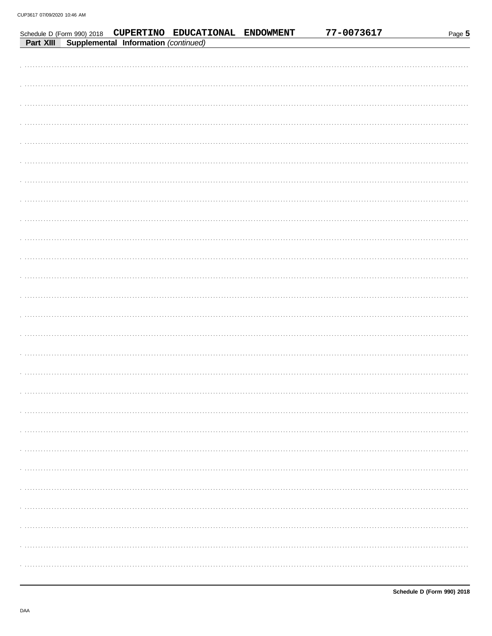| Schedule D (Form 990) 2018 CUPERTINO EDUCATIONAL ENDOWMENT<br>Supplemental Information (continued)<br>Part XIII | 77-0073617 | Page 5 |
|-----------------------------------------------------------------------------------------------------------------|------------|--------|
|                                                                                                                 |            |        |
|                                                                                                                 |            |        |
|                                                                                                                 |            |        |
|                                                                                                                 |            |        |
|                                                                                                                 |            |        |
|                                                                                                                 |            |        |
|                                                                                                                 |            |        |
|                                                                                                                 |            |        |
|                                                                                                                 |            |        |
|                                                                                                                 |            |        |
|                                                                                                                 |            |        |
|                                                                                                                 |            |        |
|                                                                                                                 |            |        |
|                                                                                                                 |            |        |
|                                                                                                                 |            |        |
|                                                                                                                 |            |        |
|                                                                                                                 |            |        |
|                                                                                                                 |            |        |
|                                                                                                                 |            |        |
|                                                                                                                 |            |        |
|                                                                                                                 |            |        |
|                                                                                                                 |            |        |
|                                                                                                                 |            |        |
|                                                                                                                 |            |        |
|                                                                                                                 |            |        |
|                                                                                                                 |            |        |
|                                                                                                                 |            |        |
|                                                                                                                 |            |        |
|                                                                                                                 |            |        |
|                                                                                                                 |            |        |
|                                                                                                                 |            |        |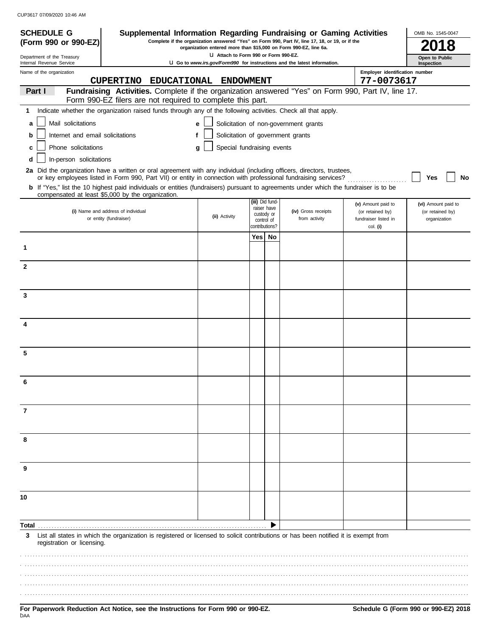| <b>SCHEDULE G</b>                                      | Supplemental Information Regarding Fundraising or Gaming Activities                                                                                                                        |               |                            |                |                           |                                                                                                                                                                     |                                          | OMB No. 1545-0047   |
|--------------------------------------------------------|--------------------------------------------------------------------------------------------------------------------------------------------------------------------------------------------|---------------|----------------------------|----------------|---------------------------|---------------------------------------------------------------------------------------------------------------------------------------------------------------------|------------------------------------------|---------------------|
| (Form 990 or 990-EZ)                                   |                                                                                                                                                                                            |               |                            |                |                           | Complete if the organization answered "Yes" on Form 990, Part IV, line 17, 18, or 19, or if the<br>organization entered more than \$15,000 on Form 990-EZ, line 6a. |                                          |                     |
| Department of the Treasury<br>Internal Revenue Service | LI Attach to Form 990 or Form 990-EZ.<br>U Go to www.irs.gov/Form990 for instructions and the latest information.                                                                          |               |                            |                |                           |                                                                                                                                                                     | Open to Public<br>Inspection             |                     |
| Name of the organization                               |                                                                                                                                                                                            |               |                            |                |                           |                                                                                                                                                                     | Employer identification number           |                     |
|                                                        | <b>CUPERTINO</b><br><b>EDUCATIONAL</b>                                                                                                                                                     |               | <b>ENDOWMENT</b>           |                |                           |                                                                                                                                                                     | 77-0073617                               |                     |
| Part I                                                 | Fundraising Activities. Complete if the organization answered "Yes" on Form 990, Part IV, line 17.<br>Form 990-EZ filers are not required to complete this part.                           |               |                            |                |                           |                                                                                                                                                                     |                                          |                     |
| 1                                                      | Indicate whether the organization raised funds through any of the following activities. Check all that apply.                                                                              |               |                            |                |                           |                                                                                                                                                                     |                                          |                     |
| Mail solicitations<br>a                                |                                                                                                                                                                                            | e             |                            |                |                           | Solicitation of non-government grants                                                                                                                               |                                          |                     |
| Internet and email solicitations<br>b                  |                                                                                                                                                                                            | f             |                            |                |                           | Solicitation of government grants                                                                                                                                   |                                          |                     |
| Phone solicitations<br>c                               |                                                                                                                                                                                            | a             | Special fundraising events |                |                           |                                                                                                                                                                     |                                          |                     |
| In-person solicitations<br>d                           |                                                                                                                                                                                            |               |                            |                |                           |                                                                                                                                                                     |                                          |                     |
|                                                        | 2a Did the organization have a written or oral agreement with any individual (including officers, directors, trustees,                                                                     |               |                            |                |                           |                                                                                                                                                                     |                                          |                     |
|                                                        | or key employees listed in Form 990, Part VII) or entity in connection with professional fundraising services?                                                                             |               |                            |                |                           |                                                                                                                                                                     |                                          | Yes<br>No           |
|                                                        | b If "Yes," list the 10 highest paid individuals or entities (fundraisers) pursuant to agreements under which the fundraiser is to be<br>compensated at least \$5,000 by the organization. |               |                            |                |                           |                                                                                                                                                                     |                                          |                     |
|                                                        |                                                                                                                                                                                            |               |                            |                | (iii) Did fund-           |                                                                                                                                                                     | (v) Amount paid to                       | (vi) Amount paid to |
|                                                        | (i) Name and address of individual<br>or entity (fundraiser)                                                                                                                               | (ii) Activity |                            |                | raiser have<br>custody or | (iv) Gross receipts<br>from activity                                                                                                                                | (or retained by)<br>fundraiser listed in | (or retained by)    |
|                                                        |                                                                                                                                                                                            |               |                            | contributions? | control of                |                                                                                                                                                                     | col. (i)                                 | organization        |
|                                                        |                                                                                                                                                                                            |               |                            | Yes            | No                        |                                                                                                                                                                     |                                          |                     |
| 1                                                      |                                                                                                                                                                                            |               |                            |                |                           |                                                                                                                                                                     |                                          |                     |
|                                                        |                                                                                                                                                                                            |               |                            |                |                           |                                                                                                                                                                     |                                          |                     |
| $\mathbf{2}$                                           |                                                                                                                                                                                            |               |                            |                |                           |                                                                                                                                                                     |                                          |                     |
|                                                        |                                                                                                                                                                                            |               |                            |                |                           |                                                                                                                                                                     |                                          |                     |
| 3                                                      |                                                                                                                                                                                            |               |                            |                |                           |                                                                                                                                                                     |                                          |                     |
|                                                        |                                                                                                                                                                                            |               |                            |                |                           |                                                                                                                                                                     |                                          |                     |
| 4                                                      |                                                                                                                                                                                            |               |                            |                |                           |                                                                                                                                                                     |                                          |                     |
|                                                        |                                                                                                                                                                                            |               |                            |                |                           |                                                                                                                                                                     |                                          |                     |
|                                                        |                                                                                                                                                                                            |               |                            |                |                           |                                                                                                                                                                     |                                          |                     |
| 5                                                      |                                                                                                                                                                                            |               |                            |                |                           |                                                                                                                                                                     |                                          |                     |
|                                                        |                                                                                                                                                                                            |               |                            |                |                           |                                                                                                                                                                     |                                          |                     |
|                                                        |                                                                                                                                                                                            |               |                            |                |                           |                                                                                                                                                                     |                                          |                     |
|                                                        |                                                                                                                                                                                            |               |                            |                |                           |                                                                                                                                                                     |                                          |                     |
|                                                        |                                                                                                                                                                                            |               |                            |                |                           |                                                                                                                                                                     |                                          |                     |
| 7                                                      |                                                                                                                                                                                            |               |                            |                |                           |                                                                                                                                                                     |                                          |                     |
|                                                        |                                                                                                                                                                                            |               |                            |                |                           |                                                                                                                                                                     |                                          |                     |
| 8                                                      |                                                                                                                                                                                            |               |                            |                |                           |                                                                                                                                                                     |                                          |                     |
|                                                        |                                                                                                                                                                                            |               |                            |                |                           |                                                                                                                                                                     |                                          |                     |
|                                                        |                                                                                                                                                                                            |               |                            |                |                           |                                                                                                                                                                     |                                          |                     |
| 9                                                      |                                                                                                                                                                                            |               |                            |                |                           |                                                                                                                                                                     |                                          |                     |
|                                                        |                                                                                                                                                                                            |               |                            |                |                           |                                                                                                                                                                     |                                          |                     |
| 10                                                     |                                                                                                                                                                                            |               |                            |                |                           |                                                                                                                                                                     |                                          |                     |
|                                                        |                                                                                                                                                                                            |               |                            |                |                           |                                                                                                                                                                     |                                          |                     |
|                                                        |                                                                                                                                                                                            |               |                            |                |                           |                                                                                                                                                                     |                                          |                     |
| Total<br>3                                             |                                                                                                                                                                                            |               |                            |                |                           |                                                                                                                                                                     |                                          |                     |
| registration or licensing.                             | List all states in which the organization is registered or licensed to solicit contributions or has been notified it is exempt from                                                        |               |                            |                |                           |                                                                                                                                                                     |                                          |                     |
|                                                        |                                                                                                                                                                                            |               |                            |                |                           |                                                                                                                                                                     |                                          |                     |
|                                                        |                                                                                                                                                                                            |               |                            |                |                           |                                                                                                                                                                     |                                          |                     |
|                                                        |                                                                                                                                                                                            |               |                            |                |                           |                                                                                                                                                                     |                                          |                     |
|                                                        |                                                                                                                                                                                            |               |                            |                |                           |                                                                                                                                                                     |                                          |                     |
|                                                        |                                                                                                                                                                                            |               |                            |                |                           |                                                                                                                                                                     |                                          |                     |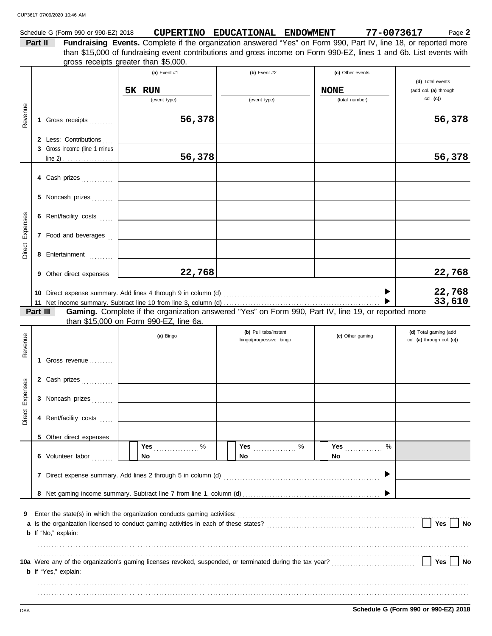|              |          | Schedule G (Form 990 or 990-EZ) 2018 | CUPERTINO EDUCATIONAL ENDOWMENT                                                                                                                                                                                        |                         |   |                  |   | 77-0073617 |                                      | Page 2 |
|--------------|----------|--------------------------------------|------------------------------------------------------------------------------------------------------------------------------------------------------------------------------------------------------------------------|-------------------------|---|------------------|---|------------|--------------------------------------|--------|
|              | Part II  |                                      | Fundraising Events. Complete if the organization answered "Yes" on Form 990, Part IV, line 18, or reported more                                                                                                        |                         |   |                  |   |            |                                      |        |
|              |          |                                      | than \$15,000 of fundraising event contributions and gross income on Form 990-EZ, lines 1 and 6b. List events with                                                                                                     |                         |   |                  |   |            |                                      |        |
|              |          | gross receipts greater than \$5,000. |                                                                                                                                                                                                                        |                         |   |                  |   |            |                                      |        |
|              |          |                                      | (a) Event #1                                                                                                                                                                                                           | (b) Event #2            |   | (c) Other events |   |            |                                      |        |
|              |          |                                      | 5K RUN                                                                                                                                                                                                                 |                         |   | <b>NONE</b>      |   |            | (d) Total events                     |        |
|              |          |                                      | (event type)                                                                                                                                                                                                           | (event type)            |   | (total number)   |   |            | (add col. (a) through<br>$col.$ (c)) |        |
|              |          |                                      |                                                                                                                                                                                                                        |                         |   |                  |   |            |                                      |        |
| Revenue      |          | 1 Gross receipts                     | 56,378                                                                                                                                                                                                                 |                         |   |                  |   |            | 56,378                               |        |
|              |          |                                      |                                                                                                                                                                                                                        |                         |   |                  |   |            |                                      |        |
|              |          | 2 Less: Contributions                |                                                                                                                                                                                                                        |                         |   |                  |   |            |                                      |        |
|              |          | 3 Gross income (line 1 minus         |                                                                                                                                                                                                                        |                         |   |                  |   |            |                                      |        |
|              |          |                                      | 56,378                                                                                                                                                                                                                 |                         |   |                  |   |            | 56,378                               |        |
|              |          |                                      |                                                                                                                                                                                                                        |                         |   |                  |   |            |                                      |        |
|              |          | 4 Cash prizes                        |                                                                                                                                                                                                                        |                         |   |                  |   |            |                                      |        |
|              |          |                                      |                                                                                                                                                                                                                        |                         |   |                  |   |            |                                      |        |
|              |          | 5 Noncash prizes                     |                                                                                                                                                                                                                        |                         |   |                  |   |            |                                      |        |
|              |          |                                      |                                                                                                                                                                                                                        |                         |   |                  |   |            |                                      |        |
|              |          | 6 Rent/facility costs                |                                                                                                                                                                                                                        |                         |   |                  |   |            |                                      |        |
| Expenses     |          |                                      |                                                                                                                                                                                                                        |                         |   |                  |   |            |                                      |        |
|              |          | 7 Food and beverages                 |                                                                                                                                                                                                                        |                         |   |                  |   |            |                                      |        |
| Direct       |          |                                      |                                                                                                                                                                                                                        |                         |   |                  |   |            |                                      |        |
|              |          | 8 Entertainment                      |                                                                                                                                                                                                                        |                         |   |                  |   |            |                                      |        |
|              |          | 9 Other direct expenses              | 22,768                                                                                                                                                                                                                 |                         |   |                  |   |            | 22,768                               |        |
|              |          |                                      |                                                                                                                                                                                                                        |                         |   |                  |   |            |                                      |        |
|              |          |                                      |                                                                                                                                                                                                                        |                         |   |                  |   |            | 22,768                               |        |
|              |          |                                      |                                                                                                                                                                                                                        |                         |   |                  |   |            | 33,610                               |        |
|              | Part III |                                      | Gaming. Complete if the organization answered "Yes" on Form 990, Part IV, line 19, or reported more                                                                                                                    |                         |   |                  |   |            |                                      |        |
|              |          |                                      | than \$15,000 on Form 990-EZ, line 6a.                                                                                                                                                                                 |                         |   |                  |   |            |                                      |        |
|              |          |                                      | (a) Bingo                                                                                                                                                                                                              | (b) Pull tabs/instant   |   | (c) Other gaming |   |            | (d) Total gaming (add                |        |
| Revenue      |          |                                      |                                                                                                                                                                                                                        | bingo/progressive bingo |   |                  |   |            | col. (a) through col. (c))           |        |
|              |          |                                      |                                                                                                                                                                                                                        |                         |   |                  |   |            |                                      |        |
|              | 1        | Gross revenue                        |                                                                                                                                                                                                                        |                         |   |                  |   |            |                                      |        |
|              |          |                                      |                                                                                                                                                                                                                        |                         |   |                  |   |            |                                      |        |
| <b>ises</b>  |          | 2 Cash prizes                        |                                                                                                                                                                                                                        |                         |   |                  |   |            |                                      |        |
|              |          | 3 Noncash prizes                     |                                                                                                                                                                                                                        |                         |   |                  |   |            |                                      |        |
|              |          |                                      |                                                                                                                                                                                                                        |                         |   |                  |   |            |                                      |        |
| Direct Exper |          | 4 Rent/facility costs                |                                                                                                                                                                                                                        |                         |   |                  |   |            |                                      |        |
|              |          |                                      |                                                                                                                                                                                                                        |                         |   |                  |   |            |                                      |        |
|              |          | 5 Other direct expenses              |                                                                                                                                                                                                                        |                         |   |                  |   |            |                                      |        |
|              |          |                                      | $\%$<br>Yes <b>Market</b>                                                                                                                                                                                              | <b>Yes</b>              | % | <b>Yes</b>       | % |            |                                      |        |
|              |          | 6 Volunteer labor                    | No.                                                                                                                                                                                                                    | No                      |   | No               |   |            |                                      |        |
|              |          |                                      |                                                                                                                                                                                                                        |                         |   |                  |   |            |                                      |        |
|              |          |                                      |                                                                                                                                                                                                                        |                         |   |                  |   |            |                                      |        |
|              |          |                                      |                                                                                                                                                                                                                        |                         |   |                  |   |            |                                      |        |
|              |          |                                      |                                                                                                                                                                                                                        |                         |   |                  |   |            |                                      |        |
|              |          |                                      |                                                                                                                                                                                                                        |                         |   |                  |   |            |                                      |        |
| 9            |          |                                      |                                                                                                                                                                                                                        |                         |   |                  |   |            | Yes                                  |        |
|              |          |                                      |                                                                                                                                                                                                                        |                         |   |                  |   |            |                                      | No     |
|              |          | <b>b</b> If "No," explain:           |                                                                                                                                                                                                                        |                         |   |                  |   |            |                                      |        |
|              |          |                                      |                                                                                                                                                                                                                        |                         |   |                  |   |            |                                      |        |
|              |          |                                      | 10a Were any of the organization's gaming licenses revoked, suspended, or terminated during the tax year?<br>10a Were any of the organization's gaming licenses revoked, suspended, or terminated during the tax year? |                         |   |                  |   |            | Yes                                  | No     |
|              |          | <b>b</b> If "Yes," explain:          |                                                                                                                                                                                                                        |                         |   |                  |   |            |                                      |        |
|              |          |                                      |                                                                                                                                                                                                                        |                         |   |                  |   |            |                                      |        |
|              |          |                                      |                                                                                                                                                                                                                        |                         |   |                  |   |            |                                      |        |
|              |          |                                      |                                                                                                                                                                                                                        |                         |   |                  |   |            |                                      |        |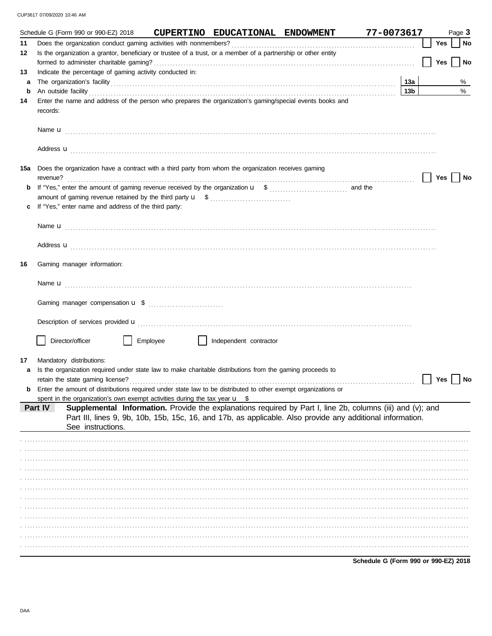|          | Schedule G (Form 990 or 990-EZ) 2018                                                                                                                                                                                                                                                                                                             |                                                                                                                                                                                                                          |  | CUPERTINO EDUCATIONAL ENDOWMENT |  | 77-0073617                            |  |            | Page 3 |  |  |  |
|----------|--------------------------------------------------------------------------------------------------------------------------------------------------------------------------------------------------------------------------------------------------------------------------------------------------------------------------------------------------|--------------------------------------------------------------------------------------------------------------------------------------------------------------------------------------------------------------------------|--|---------------------------------|--|---------------------------------------|--|------------|--------|--|--|--|
| 11<br>12 | Is the organization a grantor, beneficiary or trustee of a trust, or a member of a partnership or other entity                                                                                                                                                                                                                                   |                                                                                                                                                                                                                          |  |                                 |  |                                       |  | Yes        | No     |  |  |  |
|          |                                                                                                                                                                                                                                                                                                                                                  |                                                                                                                                                                                                                          |  |                                 |  |                                       |  | <b>Yes</b> | No     |  |  |  |
| 13       | Indicate the percentage of gaming activity conducted in:                                                                                                                                                                                                                                                                                         |                                                                                                                                                                                                                          |  |                                 |  |                                       |  |            |        |  |  |  |
| a        |                                                                                                                                                                                                                                                                                                                                                  |                                                                                                                                                                                                                          |  |                                 |  | 13а                                   |  |            | %      |  |  |  |
| b<br>14  | An outside facility <b>contained a set of the contract of the contract of the contract of the contract of the contract of the contract of the contract of the contract of the contract of the contract of the contract of the co</b><br>Enter the name and address of the person who prepares the organization's gaming/special events books and |                                                                                                                                                                                                                          |  |                                 |  | 13 <sub>b</sub>                       |  |            | %      |  |  |  |
|          | records:                                                                                                                                                                                                                                                                                                                                         |                                                                                                                                                                                                                          |  |                                 |  |                                       |  |            |        |  |  |  |
|          |                                                                                                                                                                                                                                                                                                                                                  |                                                                                                                                                                                                                          |  |                                 |  |                                       |  |            |        |  |  |  |
|          | Address <b>u</b>                                                                                                                                                                                                                                                                                                                                 |                                                                                                                                                                                                                          |  |                                 |  |                                       |  |            |        |  |  |  |
| 15а      | Does the organization have a contract with a third party from whom the organization receives gaming<br>revenue?                                                                                                                                                                                                                                  |                                                                                                                                                                                                                          |  |                                 |  |                                       |  | Yes        | No     |  |  |  |
| b        |                                                                                                                                                                                                                                                                                                                                                  |                                                                                                                                                                                                                          |  |                                 |  |                                       |  |            |        |  |  |  |
|          |                                                                                                                                                                                                                                                                                                                                                  |                                                                                                                                                                                                                          |  |                                 |  |                                       |  |            |        |  |  |  |
| c        | If "Yes," enter name and address of the third party:                                                                                                                                                                                                                                                                                             |                                                                                                                                                                                                                          |  |                                 |  |                                       |  |            |        |  |  |  |
|          |                                                                                                                                                                                                                                                                                                                                                  |                                                                                                                                                                                                                          |  |                                 |  |                                       |  |            |        |  |  |  |
|          | Address <b>u</b>                                                                                                                                                                                                                                                                                                                                 |                                                                                                                                                                                                                          |  |                                 |  |                                       |  |            |        |  |  |  |
| 16       | Gaming manager information:                                                                                                                                                                                                                                                                                                                      |                                                                                                                                                                                                                          |  |                                 |  |                                       |  |            |        |  |  |  |
|          |                                                                                                                                                                                                                                                                                                                                                  |                                                                                                                                                                                                                          |  |                                 |  |                                       |  |            |        |  |  |  |
|          |                                                                                                                                                                                                                                                                                                                                                  |                                                                                                                                                                                                                          |  |                                 |  |                                       |  |            |        |  |  |  |
|          |                                                                                                                                                                                                                                                                                                                                                  |                                                                                                                                                                                                                          |  |                                 |  |                                       |  |            |        |  |  |  |
|          | Director/officer                                                                                                                                                                                                                                                                                                                                 | Employee                                                                                                                                                                                                                 |  | Independent contractor          |  |                                       |  |            |        |  |  |  |
| 17       | Mandatory distributions:                                                                                                                                                                                                                                                                                                                         |                                                                                                                                                                                                                          |  |                                 |  |                                       |  |            |        |  |  |  |
| a        | Is the organization required under state law to make charitable distributions from the gaming proceeds to                                                                                                                                                                                                                                        |                                                                                                                                                                                                                          |  |                                 |  |                                       |  |            |        |  |  |  |
|          |                                                                                                                                                                                                                                                                                                                                                  |                                                                                                                                                                                                                          |  |                                 |  |                                       |  | Yes        | No     |  |  |  |
| b        | Enter the amount of distributions required under state law to be distributed to other exempt organizations or                                                                                                                                                                                                                                    |                                                                                                                                                                                                                          |  |                                 |  |                                       |  |            |        |  |  |  |
|          | spent in the organization's own exempt activities during the tax year $\mathbf{u}$ \$                                                                                                                                                                                                                                                            |                                                                                                                                                                                                                          |  |                                 |  |                                       |  |            |        |  |  |  |
|          | Part IV<br>See instructions.                                                                                                                                                                                                                                                                                                                     | Supplemental Information. Provide the explanations required by Part I, line 2b, columns (iii) and (v); and<br>Part III, lines 9, 9b, 10b, 15b, 15c, 16, and 17b, as applicable. Also provide any additional information. |  |                                 |  |                                       |  |            |        |  |  |  |
|          |                                                                                                                                                                                                                                                                                                                                                  |                                                                                                                                                                                                                          |  |                                 |  |                                       |  |            |        |  |  |  |
|          |                                                                                                                                                                                                                                                                                                                                                  |                                                                                                                                                                                                                          |  |                                 |  |                                       |  |            |        |  |  |  |
|          |                                                                                                                                                                                                                                                                                                                                                  |                                                                                                                                                                                                                          |  |                                 |  |                                       |  |            |        |  |  |  |
|          |                                                                                                                                                                                                                                                                                                                                                  |                                                                                                                                                                                                                          |  |                                 |  |                                       |  |            |        |  |  |  |
|          |                                                                                                                                                                                                                                                                                                                                                  |                                                                                                                                                                                                                          |  |                                 |  |                                       |  |            |        |  |  |  |
|          |                                                                                                                                                                                                                                                                                                                                                  |                                                                                                                                                                                                                          |  |                                 |  |                                       |  |            |        |  |  |  |
|          |                                                                                                                                                                                                                                                                                                                                                  |                                                                                                                                                                                                                          |  |                                 |  |                                       |  |            |        |  |  |  |
|          |                                                                                                                                                                                                                                                                                                                                                  |                                                                                                                                                                                                                          |  |                                 |  |                                       |  |            |        |  |  |  |
|          |                                                                                                                                                                                                                                                                                                                                                  |                                                                                                                                                                                                                          |  |                                 |  |                                       |  |            |        |  |  |  |
|          |                                                                                                                                                                                                                                                                                                                                                  |                                                                                                                                                                                                                          |  |                                 |  |                                       |  |            |        |  |  |  |
|          |                                                                                                                                                                                                                                                                                                                                                  |                                                                                                                                                                                                                          |  |                                 |  |                                       |  |            |        |  |  |  |
|          |                                                                                                                                                                                                                                                                                                                                                  |                                                                                                                                                                                                                          |  |                                 |  | Schoolule C (Form 000 or 000 EZ) 2019 |  |            |        |  |  |  |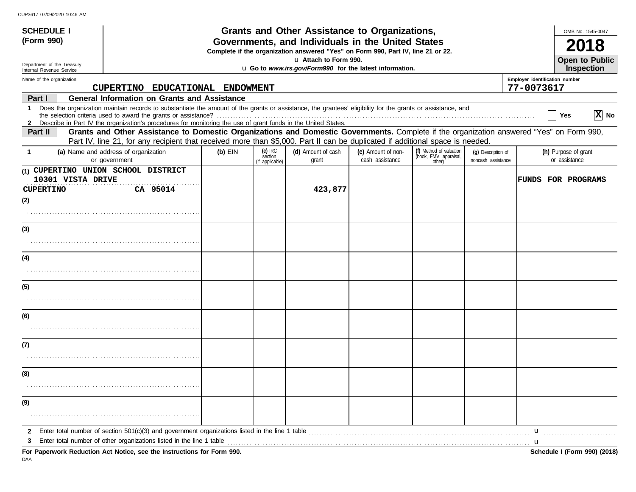| <b>SCHEDULE I</b>                                      |                                                                                                                                                                                                                                                                               |                                                                                   |                                         | Grants and Other Assistance to Organizations,                                                                                         |                                       |                                                             |                                          |                                | OMB No. 1545-0047                     |  |
|--------------------------------------------------------|-------------------------------------------------------------------------------------------------------------------------------------------------------------------------------------------------------------------------------------------------------------------------------|-----------------------------------------------------------------------------------|-----------------------------------------|---------------------------------------------------------------------------------------------------------------------------------------|---------------------------------------|-------------------------------------------------------------|------------------------------------------|--------------------------------|---------------------------------------|--|
| (Form 990)                                             |                                                                                                                                                                                                                                                                               |                                                                                   |                                         | Governments, and Individuals in the United States<br>Complete if the organization answered "Yes" on Form 990, Part IV, line 21 or 22. |                                       |                                                             |                                          |                                |                                       |  |
| Department of the Treasury<br>Internal Revenue Service |                                                                                                                                                                                                                                                                               | La Attach to Form 990.<br>u Go to www.irs.gov/Form990 for the latest information. |                                         |                                                                                                                                       |                                       |                                                             |                                          |                                | Open to Public<br>Inspection          |  |
| Name of the organization                               |                                                                                                                                                                                                                                                                               |                                                                                   |                                         |                                                                                                                                       |                                       |                                                             |                                          | Employer identification number |                                       |  |
|                                                        | CUPERTINO EDUCATIONAL ENDOWMENT                                                                                                                                                                                                                                               |                                                                                   |                                         |                                                                                                                                       |                                       |                                                             |                                          | 77-0073617                     |                                       |  |
| Part I                                                 | <b>General Information on Grants and Assistance</b>                                                                                                                                                                                                                           |                                                                                   |                                         |                                                                                                                                       |                                       |                                                             |                                          |                                |                                       |  |
| 1                                                      | Does the organization maintain records to substantiate the amount of the grants or assistance, the grantees' eligibility for the grants or assistance, and<br>2 Describe in Part IV the organization's procedures for monitoring the use of grant funds in the United States. |                                                                                   |                                         |                                                                                                                                       |                                       |                                                             |                                          |                                | $ \overline{X} $ No<br>Yes            |  |
| Part II                                                | Grants and Other Assistance to Domestic Organizations and Domestic Governments. Complete if the organization answered "Yes" on Form 990,<br>Part IV, line 21, for any recipient that received more than \$5,000. Part II can be duplicated if additional space is needed.     |                                                                                   |                                         |                                                                                                                                       |                                       |                                                             |                                          |                                |                                       |  |
| -1                                                     | (a) Name and address of organization<br>or government                                                                                                                                                                                                                         | $(b)$ EIN                                                                         | $(c)$ IRC<br>section<br>(if applicable) | (d) Amount of cash<br>grant                                                                                                           | (e) Amount of non-<br>cash assistance | (f) Method of valuation<br>(book, FMV, appraisal,<br>other) | (g) Description of<br>noncash assistance |                                | (h) Purpose of grant<br>or assistance |  |
| 10301 VISTA DRIVE<br><b>CUPERTINO</b>                  | (1) CUPERTINO UNION SCHOOL DISTRICT<br>CA 95014                                                                                                                                                                                                                               |                                                                                   |                                         | 423,877                                                                                                                               |                                       |                                                             |                                          |                                | <b>FUNDS FOR PROGRAMS</b>             |  |
| (2)                                                    |                                                                                                                                                                                                                                                                               |                                                                                   |                                         |                                                                                                                                       |                                       |                                                             |                                          |                                |                                       |  |
|                                                        |                                                                                                                                                                                                                                                                               |                                                                                   |                                         |                                                                                                                                       |                                       |                                                             |                                          |                                |                                       |  |
| (3)                                                    |                                                                                                                                                                                                                                                                               |                                                                                   |                                         |                                                                                                                                       |                                       |                                                             |                                          |                                |                                       |  |
|                                                        |                                                                                                                                                                                                                                                                               |                                                                                   |                                         |                                                                                                                                       |                                       |                                                             |                                          |                                |                                       |  |
| (4)                                                    |                                                                                                                                                                                                                                                                               |                                                                                   |                                         |                                                                                                                                       |                                       |                                                             |                                          |                                |                                       |  |
|                                                        |                                                                                                                                                                                                                                                                               |                                                                                   |                                         |                                                                                                                                       |                                       |                                                             |                                          |                                |                                       |  |
| (5)                                                    |                                                                                                                                                                                                                                                                               |                                                                                   |                                         |                                                                                                                                       |                                       |                                                             |                                          |                                |                                       |  |
|                                                        |                                                                                                                                                                                                                                                                               |                                                                                   |                                         |                                                                                                                                       |                                       |                                                             |                                          |                                |                                       |  |
| (6)                                                    |                                                                                                                                                                                                                                                                               |                                                                                   |                                         |                                                                                                                                       |                                       |                                                             |                                          |                                |                                       |  |
|                                                        |                                                                                                                                                                                                                                                                               |                                                                                   |                                         |                                                                                                                                       |                                       |                                                             |                                          |                                |                                       |  |
| (7)                                                    |                                                                                                                                                                                                                                                                               |                                                                                   |                                         |                                                                                                                                       |                                       |                                                             |                                          |                                |                                       |  |
|                                                        |                                                                                                                                                                                                                                                                               |                                                                                   |                                         |                                                                                                                                       |                                       |                                                             |                                          |                                |                                       |  |
| (8)                                                    |                                                                                                                                                                                                                                                                               |                                                                                   |                                         |                                                                                                                                       |                                       |                                                             |                                          |                                |                                       |  |
|                                                        |                                                                                                                                                                                                                                                                               |                                                                                   |                                         |                                                                                                                                       |                                       |                                                             |                                          |                                |                                       |  |
| (9)                                                    |                                                                                                                                                                                                                                                                               |                                                                                   |                                         |                                                                                                                                       |                                       |                                                             |                                          |                                |                                       |  |
|                                                        |                                                                                                                                                                                                                                                                               |                                                                                   |                                         |                                                                                                                                       |                                       |                                                             |                                          |                                |                                       |  |
| $\mathbf{2}$                                           |                                                                                                                                                                                                                                                                               |                                                                                   |                                         |                                                                                                                                       |                                       |                                                             |                                          | $\mathbf{u}$                   |                                       |  |
| 3                                                      |                                                                                                                                                                                                                                                                               |                                                                                   |                                         |                                                                                                                                       |                                       |                                                             |                                          | u                              |                                       |  |
|                                                        | For Paperwork Reduction Act Notice, see the Instructions for Form 990.                                                                                                                                                                                                        |                                                                                   |                                         |                                                                                                                                       |                                       |                                                             |                                          |                                | Schedule I (Form 990) (2018)          |  |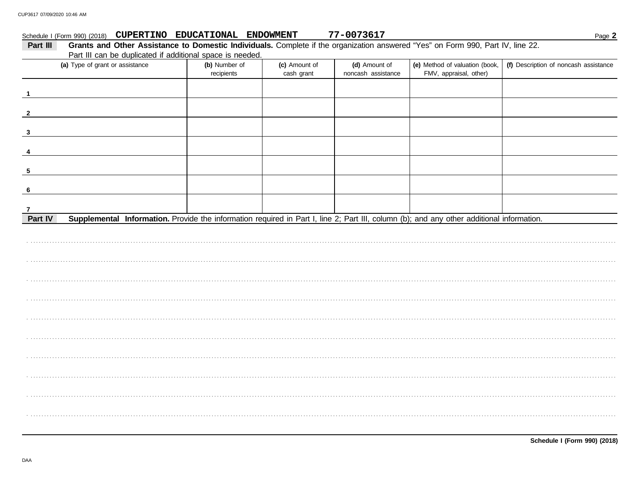#### Schedule I (Form 990) (2018) CUPERTINO EDUCATIONAL ENDOWMENT 77-0073617

| Grants and Other Assistance to Domestic Individuals. Complete if the organization answered "Yes" on Form 990, Part IV, line 22.<br>Part III<br>Part III can be duplicated if additional space is needed. |                             |                             |                                     |                                                          |                                       |
|----------------------------------------------------------------------------------------------------------------------------------------------------------------------------------------------------------|-----------------------------|-----------------------------|-------------------------------------|----------------------------------------------------------|---------------------------------------|
| (a) Type of grant or assistance                                                                                                                                                                          | (b) Number of<br>recipients | (c) Amount of<br>cash grant | (d) Amount of<br>noncash assistance | (e) Method of valuation (book,<br>FMV, appraisal, other) | (f) Description of noncash assistance |
|                                                                                                                                                                                                          |                             |                             |                                     |                                                          |                                       |
|                                                                                                                                                                                                          |                             |                             |                                     |                                                          |                                       |
| $\mathbf{3}$                                                                                                                                                                                             |                             |                             |                                     |                                                          |                                       |
| 4                                                                                                                                                                                                        |                             |                             |                                     |                                                          |                                       |
| 5                                                                                                                                                                                                        |                             |                             |                                     |                                                          |                                       |
| 6                                                                                                                                                                                                        |                             |                             |                                     |                                                          |                                       |
|                                                                                                                                                                                                          |                             |                             |                                     |                                                          |                                       |
| Part IV<br>Supplemental Information. Provide the information required in Part I, line 2; Part III, column (b); and any other additional information.                                                     |                             |                             |                                     |                                                          |                                       |
|                                                                                                                                                                                                          |                             |                             |                                     |                                                          |                                       |
|                                                                                                                                                                                                          |                             |                             |                                     |                                                          |                                       |
|                                                                                                                                                                                                          |                             |                             |                                     |                                                          |                                       |
|                                                                                                                                                                                                          |                             |                             |                                     |                                                          |                                       |
|                                                                                                                                                                                                          |                             |                             |                                     |                                                          |                                       |
|                                                                                                                                                                                                          |                             |                             |                                     |                                                          |                                       |
|                                                                                                                                                                                                          |                             |                             |                                     |                                                          |                                       |
|                                                                                                                                                                                                          |                             |                             |                                     |                                                          |                                       |
|                                                                                                                                                                                                          |                             |                             |                                     |                                                          |                                       |
|                                                                                                                                                                                                          |                             |                             |                                     |                                                          |                                       |

Page 2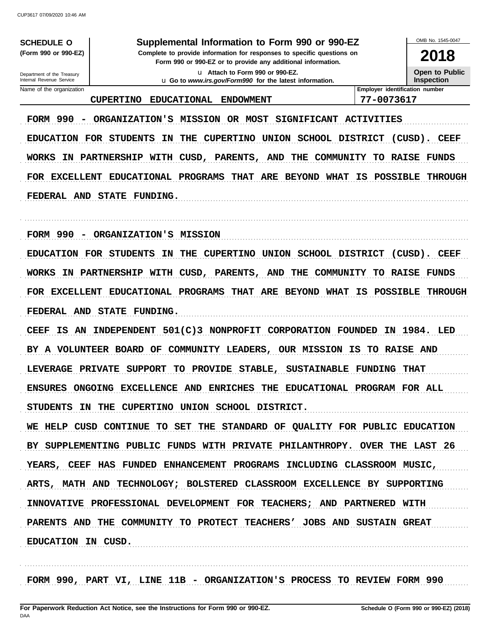**SCHEDULE O** (Form 990 or 990-EZ)

### Supplemental Information to Form 990 or 990-EZ

Complete to provide information for responses to specific questions on Form 990 or 990-EZ or to provide any additional information.

> u Attach to Form 990 or 990-EZ. u Go to www.irs.gov/Form990 for the latest information.

EDUCATIONAL ENDOWMENT

OMB No. 1545-0047 2018

**Open to Public** Inspection

Department of the Treasury Internal Revenue Service Name of the organization

**Employer identification number** 77-0073617

FORM 990 - ORGANIZATION'S MISSION OR MOST SIGNIFICANT ACTIVITIES EDUCATION FOR STUDENTS IN THE CUPERTINO UNION SCHOOL DISTRICT (CUSD). CEEF WORKS IN PARTNERSHIP WITH CUSD, PARENTS, AND THE COMMUNITY TO RAISE FUNDS FOR EXCELLENT EDUCATIONAL PROGRAMS THAT ARE BEYOND WHAT IS POSSIBLE THROUGH FEDERAL AND STATE FUNDING.

FORM 990 - ORGANIZATION'S MISSION

**CUPERTINO** 

EDUCATION FOR STUDENTS IN THE CUPERTINO UNION SCHOOL DISTRICT (CUSD)。 CEEF WORKS IN PARTNERSHIP WITH CUSD, PARENTS, AND THE COMMUNITY TO RAISE FUNDS FOR EXCELLENT EDUCATIONAL PROGRAMS THAT ARE BEYOND WHAT IS POSSIBLE THROUGH FEDERAL AND STATE FUNDING.

CEEF IS AN INDEPENDENT  $501(C)3$  NONPROFIT CORPORATION FOUNDED IN 1984. LED BY A VOLUNTEER BOARD OF COMMUNITY LEADERS, OUR MISSION IS TO RAISE AND LEVERAGE PRIVATE SUPPORT TO PROVIDE STABLE, SUSTAINABLE FUNDING THAT ENSURES ONGOING EXCELLENCE AND ENRICHES THE EDUCATIONAL PROGRAM FOR ALL STUDENTS IN THE CUPERTINO UNION SCHOOL DISTRICT.

WE HELP CUSD CONTINUE TO SET THE STANDARD OF QUALITY FOR PUBLIC EDUCATION BY SUPPLEMENTING PUBLIC FUNDS WITH PRIVATE PHILANTHROPY. OVER THE LAST 26 YEARS, CEEF HAS FUNDED ENHANCEMENT PROGRAMS INCLUDING CLASSROOM MUSIC, ARTS, MATH AND TECHNOLOGY; BOLSTERED CLASSROOM EXCELLENCE BY SUPPORTING INNOVATIVE PROFESSIONAL DEVELOPMENT FOR TEACHERS; AND PARTNERED WITH PARENTS AND THE COMMUNITY TO PROTECT TEACHERS' JOBS AND SUSTAIN GREAT EDUCATION IN CUSD.

FORM 990, PART VI, LINE 11B - ORGANIZATION'S PROCESS TO REVIEW FORM 990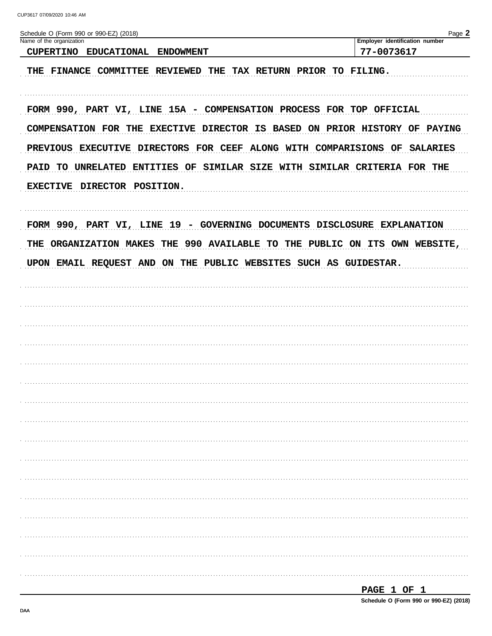| CUPERTINO EDUCATIONAL ENDOWMENT                                                                                                                   | Employer identification number<br>77-0073617 |
|---------------------------------------------------------------------------------------------------------------------------------------------------|----------------------------------------------|
| THE FINANCE COMMITTEE REVIEWED THE TAX RETURN PRIOR TO FILING.                                                                                    |                                              |
| FORM 990, PART VI, LINE 15A - COMPENSATION PROCESS FOR TOP OFFICIAL<br>COMPENSATION FOR THE EXECTIVE DIRECTOR IS BASED ON PRIOR HISTORY OF PAYING |                                              |
| PREVIOUS EXECUTIVE DIRECTORS FOR CEEF ALONG WITH COMPARISIONS OF SALARIES                                                                         |                                              |
| PAID TO UNRELATED ENTITIES OF SIMILAR SIZE WITH SIMILAR CRITERIA FOR THE<br>EXECTIVE DIRECTOR POSITION.                                           |                                              |
| FORM 990, PART VI, LINE 19 - GOVERNING DOCUMENTS DISCLOSURE EXPLANATION                                                                           |                                              |
| THE ORGANIZATION MAKES THE 990 AVAILABLE TO THE PUBLIC ON ITS OWN WEBSITE,                                                                        |                                              |
| UPON EMAIL REQUEST AND ON THE PUBLIC WEBSITES SUCH AS GUIDESTAR.                                                                                  |                                              |
|                                                                                                                                                   |                                              |
|                                                                                                                                                   |                                              |
|                                                                                                                                                   |                                              |
|                                                                                                                                                   |                                              |
|                                                                                                                                                   |                                              |
|                                                                                                                                                   |                                              |
|                                                                                                                                                   |                                              |
|                                                                                                                                                   |                                              |
|                                                                                                                                                   |                                              |
|                                                                                                                                                   |                                              |
|                                                                                                                                                   |                                              |
|                                                                                                                                                   |                                              |
|                                                                                                                                                   |                                              |
|                                                                                                                                                   |                                              |
|                                                                                                                                                   |                                              |
|                                                                                                                                                   |                                              |
|                                                                                                                                                   |                                              |
|                                                                                                                                                   |                                              |

| -<br>----<br>_______ | . . |  |
|----------------------|-----|--|
|                      |     |  |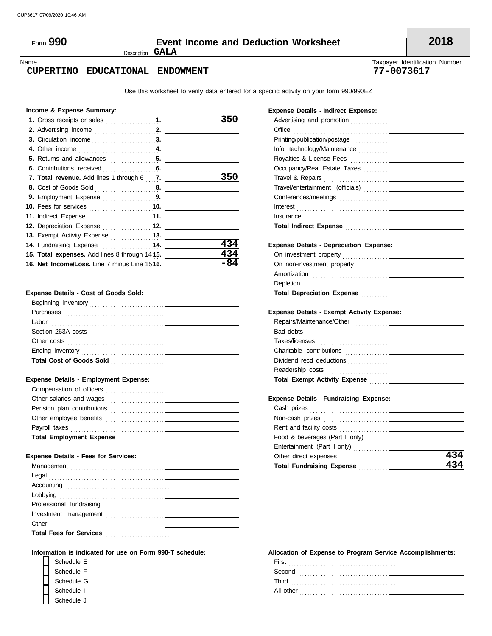## Form **990 Event Income and Deduction Worksheet 2018**

Description **GALA**

Name Taxpayer Identification Number

## **CUPERTINO EDUCATIONAL ENDOWMENT 77-0073617**

Use this worksheet to verify data entered for a specific activity on your form 990/990EZ

#### **Income & Expense Summary:**

|                                               | 350 |
|-----------------------------------------------|-----|
|                                               |     |
|                                               |     |
|                                               |     |
|                                               |     |
|                                               |     |
| 7. Total revenue. Add lines 1 through 6 7.    | 350 |
|                                               |     |
| 9. Employment Expense 9.                      |     |
|                                               |     |
|                                               |     |
|                                               |     |
|                                               |     |
|                                               | 434 |
| 15. Total expenses. Add lines 8 through 1415. | 434 |
| 16. Net Income/Loss. Line 7 minus Line 1516.  | -84 |
|                                               |     |

#### **Expense Details - Cost of Goods Sold:**

| Purchases                       |
|---------------------------------|
| Labor                           |
| Section 263A costs              |
| Other costs                     |
|                                 |
| <b>Total Cost of Goods Sold</b> |
|                                 |

#### **Expense Details - Employment Expense:**

| Compensation of officers<br>the contract of the contract of the contract of the contract of the contract of                                     |
|-------------------------------------------------------------------------------------------------------------------------------------------------|
| Other salaries and wages<br>and the contract of the contract of the contract of the contract of the contract of the contract of the contract of |
| Pension plan contributions<br>. <u>.</u>                                                                                                        |
| Other employee benefits<br>the contract of the contract of the contract of the contract of the contract of                                      |
| Payroll taxes                                                                                                                                   |
| <b>Total Employment Expense</b>                                                                                                                 |

### **Expense Details - Fees for Services:**

| Professional fundraising       |  |  |
|--------------------------------|--|--|
|                                |  |  |
| Other                          |  |  |
| <b>Total Fees for Services</b> |  |  |
|                                |  |  |

#### **Information is indicated for use on Form 990-T schedule:**

| Schedule E |  |
|------------|--|
| Schedule F |  |
| Schedule G |  |
| Schedule I |  |
| Schedule J |  |
|            |  |

#### **Expense Details - Indirect Expense:**

| Interest <b>contract and the contract of the contract of the contract of the contract of the contract of the contract of the contract of the contract of the contract of the contract of the contract of the contract of the con</b> |
|--------------------------------------------------------------------------------------------------------------------------------------------------------------------------------------------------------------------------------------|
|                                                                                                                                                                                                                                      |
| Total Indirect Expense <b>Construction Construction Construction Construction</b>                                                                                                                                                    |
|                                                                                                                                                                                                                                      |
| <b>Expense Details - Depreciation Expense:</b>                                                                                                                                                                                       |
|                                                                                                                                                                                                                                      |
|                                                                                                                                                                                                                                      |
|                                                                                                                                                                                                                                      |
| Depletion <b>contract the contract of the contract of the contract of the contract of the contract of the contract of the contract of the contract of the contract of the contract of the contract of the contract of the contra</b> |
| Total Depreciation Expense <b>Fig. 100</b> Contract 2014                                                                                                                                                                             |
|                                                                                                                                                                                                                                      |
| <b>Expense Details - Exempt Activity Expense:</b>                                                                                                                                                                                    |
|                                                                                                                                                                                                                                      |
|                                                                                                                                                                                                                                      |
|                                                                                                                                                                                                                                      |
|                                                                                                                                                                                                                                      |
|                                                                                                                                                                                                                                      |
|                                                                                                                                                                                                                                      |
|                                                                                                                                                                                                                                      |
|                                                                                                                                                                                                                                      |
| <b>Expense Details - Fundraising Expense:</b>                                                                                                                                                                                        |
| Cash prizes                                                                                                                                                                                                                          |

| Food & beverages (Part II only) |     |
|---------------------------------|-----|
|                                 |     |
| Other direct expenses           | 434 |
|                                 | 434 |
|                                 |     |

#### **Allocation of Expense to Program Service Accomplishments:**

| First<br>$\cdot$ $\cdot$ |  |
|--------------------------|--|
| Second<br>.              |  |
| Third<br>.               |  |
| All other                |  |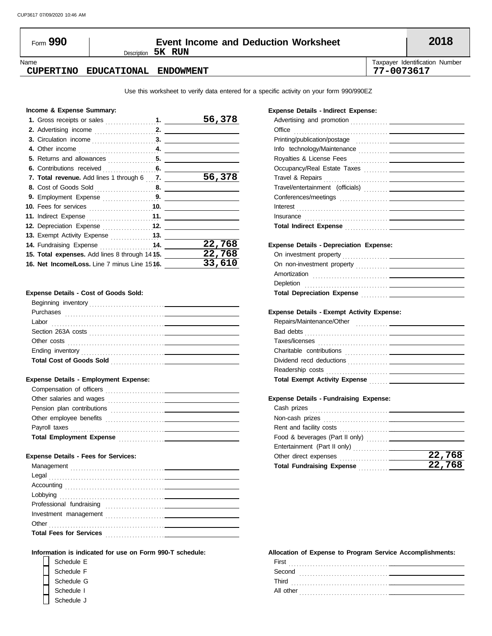## Description **5K RUN** Form **990 Event Income and Deduction Worksheet 2018**

Name Taxpayer Identification Number **CUPERTINO EDUCATIONAL ENDOWMENT 77-0073617**

Use this worksheet to verify data entered for a specific activity on your form 990/990EZ

#### **Income & Expense Summary:**

|                                               | 56,378 |
|-----------------------------------------------|--------|
|                                               |        |
|                                               |        |
|                                               |        |
|                                               |        |
|                                               |        |
| 7. Total revenue. Add lines 1 through 6 7.    | 56,378 |
|                                               |        |
| 9. Employment Expense 9.                      |        |
|                                               |        |
|                                               |        |
|                                               |        |
| 13. Exempt Activity Expense <b>13.</b>        |        |
|                                               | 22,768 |
| 15. Total expenses. Add lines 8 through 1415. | 22,768 |
| 16. Net Income/Loss. Line 7 minus Line 1516.  | 33,610 |
|                                               |        |

#### **Expense Details - Cost of Goods Sold:**

| Purchases                                         |
|---------------------------------------------------|
| Labor                                             |
| Section 263A costs                                |
| Other costs                                       |
|                                                   |
| <b>Total Cost of Goods Sold</b><br>. <del>.</del> |
|                                                   |

#### **Expense Details - Employment Expense:**

| Compensation of officers<br>the contract of the contract of the contract of the contract of the contract of                                     |
|-------------------------------------------------------------------------------------------------------------------------------------------------|
| Other salaries and wages<br>and the contract of the contract of the contract of the contract of the contract of the contract of the contract of |
| Pension plan contributions<br>. <u>.</u>                                                                                                        |
| Other employee benefits<br>the contract of the contract of the contract of the contract of the contract of                                      |
| Payroll taxes                                                                                                                                   |
| <b>Total Employment Expense</b>                                                                                                                 |

### **Expense Details - Fees for Services:**

| Professional fundraising       |  |  |
|--------------------------------|--|--|
|                                |  |  |
| Other                          |  |  |
| <b>Total Fees for Services</b> |  |  |
|                                |  |  |

# **Information is indicated for use on Form 990-T schedule:**

| Schedule E |  |
|------------|--|
| Schedule F |  |
| Schedule G |  |
| Schedule I |  |
| Schedule J |  |
|            |  |

#### **Expense Details - Indirect Expense:**

| Royalties & License Fees <b>Construction Construction Construction</b>                                                                                                                                                                                                                 |
|----------------------------------------------------------------------------------------------------------------------------------------------------------------------------------------------------------------------------------------------------------------------------------------|
|                                                                                                                                                                                                                                                                                        |
|                                                                                                                                                                                                                                                                                        |
|                                                                                                                                                                                                                                                                                        |
|                                                                                                                                                                                                                                                                                        |
|                                                                                                                                                                                                                                                                                        |
|                                                                                                                                                                                                                                                                                        |
|                                                                                                                                                                                                                                                                                        |
| <b>Expense Details - Depreciation Expense:</b><br>Depletion <b>contract the contract of the contract of the contract of the contract of the contract of the contract of the contract of the contract of the contract of the contract of the contract of the contract of the contra</b> |
| Total Depreciation Expense <b>contained</b> and the contract of the contract of the contract of the contract of the contract of the contract of the contract of the contract of the contract of the contract of the contract of the                                                    |
| <b>Expense Details - Exempt Activity Expense:</b>                                                                                                                                                                                                                                      |
|                                                                                                                                                                                                                                                                                        |
|                                                                                                                                                                                                                                                                                        |
|                                                                                                                                                                                                                                                                                        |
|                                                                                                                                                                                                                                                                                        |
|                                                                                                                                                                                                                                                                                        |
|                                                                                                                                                                                                                                                                                        |

#### **Expense Details - Fundraising Expense:**

**Total Exempt Activity Expense** . . . . . . .

|                                              | 22,768 |
|----------------------------------------------|--------|
| Total Fundraising Expense <b>Constanting</b> | 22,768 |
|                                              |        |

#### **Allocation of Expense to Program Service Accomplishments:**

| First<br>. .   |  |
|----------------|--|
| Second<br>.    |  |
| Third<br>. .   |  |
| All other<br>. |  |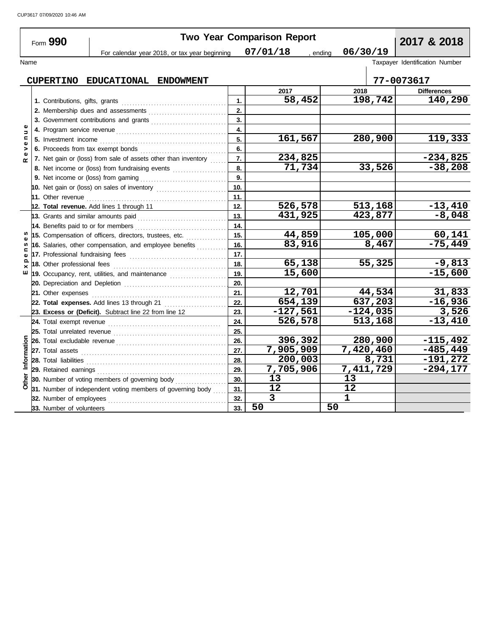$\overline{\phantom{a}}$ 

|                     | <b>Two Year Comparison Report</b><br>Form 990                                   |                                 |                                                                                    |                  |            |              | 2017 & 2018                    |
|---------------------|---------------------------------------------------------------------------------|---------------------------------|------------------------------------------------------------------------------------|------------------|------------|--------------|--------------------------------|
|                     | 06/30/19<br>07/01/18<br>For calendar year 2018, or tax year beginning<br>ending |                                 |                                                                                    |                  |            |              |                                |
| Name                |                                                                                 |                                 |                                                                                    |                  |            |              | Taxpayer Identification Number |
|                     |                                                                                 |                                 |                                                                                    |                  |            |              |                                |
|                     |                                                                                 |                                 | CUPERTINO EDUCATIONAL ENDOWMENT                                                    |                  |            |              | 77-0073617                     |
|                     |                                                                                 |                                 |                                                                                    |                  | 2017       | 2018         | <b>Differences</b>             |
|                     |                                                                                 | 1. Contributions, gifts, grants |                                                                                    | 1.               | 58,452     | 198,742      | 140,290                        |
|                     |                                                                                 |                                 | 2. Membership dues and assessments                                                 | 2.               |            |              |                                |
|                     |                                                                                 |                                 | 3. Government contributions and grants                                             | 3.               |            |              |                                |
| $\mathbf{z}$        |                                                                                 |                                 |                                                                                    | $\overline{4}$ . |            |              |                                |
| ⋍<br>$\pmb{\omega}$ |                                                                                 |                                 |                                                                                    | 5.               | 161,567    | 280,900      | 119,333                        |
| >                   |                                                                                 |                                 |                                                                                    | 6.               |            |              |                                |
| œ                   |                                                                                 |                                 | 7. Net gain or (loss) from sale of assets other than inventory                     | 7.               | 234,825    |              | $-234,825$                     |
|                     |                                                                                 |                                 | 8. Net income or (loss) from fundraising events                                    | 8.               | 71,734     | 33,526       | $-38,208$                      |
|                     |                                                                                 |                                 |                                                                                    | 9.               |            |              |                                |
|                     |                                                                                 |                                 | 10. Net gain or (loss) on sales of inventory [1, 1, 1, 1, 1, 1, 1, 1, 1, 1, 1, 1   | 10.              |            |              |                                |
|                     |                                                                                 | 11. Other revenue               |                                                                                    | 11.              |            |              |                                |
|                     |                                                                                 |                                 | 12. Total revenue. Add lines 1 through 11                                          | 12.              | 526,578    | 513,168      | $-13,410$                      |
|                     |                                                                                 |                                 | 13. Grants and similar amounts paid                                                | 13.              | 431,925    | 423,877      | $-8,048$                       |
|                     |                                                                                 |                                 | 14. Benefits paid to or for members                                                | 14.              |            |              |                                |
|                     |                                                                                 |                                 | 15. Compensation of officers, directors, trustees, etc.                            | 15.              | 44,859     | 105,000      | 60,141                         |
|                     |                                                                                 |                                 | 16. Salaries, other compensation, and employee benefits                            | 16.              | 83,916     | 8,467        | $-75,449$                      |
| Φ                   |                                                                                 |                                 |                                                                                    | 17.              |            |              |                                |
| Ω                   |                                                                                 | 18. Other professional fees     |                                                                                    | 18.              | 65,138     | 55,325       | $-9,813$                       |
| ш                   |                                                                                 |                                 | 19. Occupancy, rent, utilities, and maintenance <i>[[[[[[[[[[[[[[[[[[[[[[]]]]]</i> | 19.              | 15,600     |              | $-15,600$                      |
|                     |                                                                                 |                                 |                                                                                    | 20.              |            |              |                                |
|                     |                                                                                 |                                 |                                                                                    | 21.              | 12,701     | 44,534       | 31,833                         |
|                     |                                                                                 |                                 |                                                                                    | 22.              | 654,139    | 637,203      | $-16,936$                      |
|                     |                                                                                 |                                 | 23. Excess or (Deficit). Subtract line 22 from line 12                             | 23.              | $-127,561$ | $-124,035$   | 3,526                          |
|                     |                                                                                 |                                 |                                                                                    | 24.              | 526,578    | 513,168      | $-13,410$                      |
|                     |                                                                                 |                                 |                                                                                    | 25.              |            |              |                                |
|                     |                                                                                 |                                 |                                                                                    | 26.              | 396,392    | 280,900      | $-115,492$                     |
|                     |                                                                                 |                                 |                                                                                    | 27.              | 7,905,909  | 7,420,460    | $-485, 449$                    |
| Information         |                                                                                 |                                 |                                                                                    | 28.              | 200,003    | 8,731        | $-191,272$                     |
|                     |                                                                                 |                                 |                                                                                    | 29.              | 7,705,906  | 7,411,729    | $-294,177$                     |
|                     |                                                                                 |                                 | 30. Number of voting members of governing body                                     | 30.              | 13         | 13           |                                |
|                     |                                                                                 |                                 | 31. Number of independent voting members of governing body                         | 31.              | 12         | 12           |                                |
|                     |                                                                                 | 32. Number of employees         |                                                                                    | 32.              | 3          | $\mathbf{1}$ |                                |
|                     |                                                                                 | 33. Number of volunteers        |                                                                                    | 33.              | 50         | 50           |                                |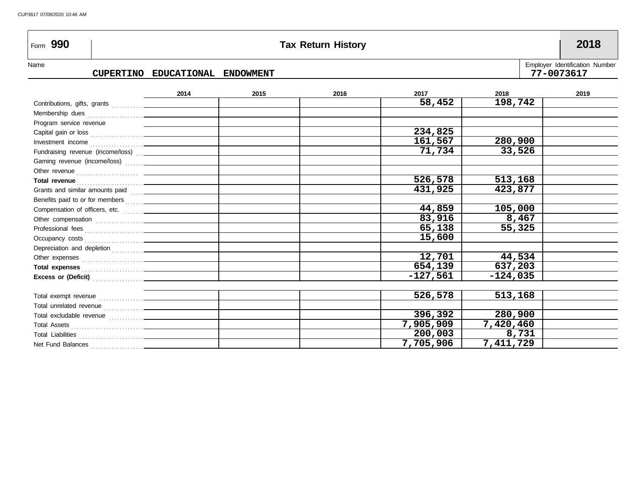| $\vert$ Form 990 | <b>Tax Return History</b>                           |            | 2018                                  |
|------------------|-----------------------------------------------------|------------|---------------------------------------|
| Name             |                                                     |            | <b>Employer Identification Number</b> |
|                  | <b>EDUCATIONAL</b><br><b>CUPERTINO</b><br>ENDOWMENT | 77-0073617 |                                       |

|                                                                                                                                                                                                                                     | 2014 | 2015 | 2016 | 2017       | 2018       | 2019 |
|-------------------------------------------------------------------------------------------------------------------------------------------------------------------------------------------------------------------------------------|------|------|------|------------|------------|------|
|                                                                                                                                                                                                                                     |      |      |      | 58,452     | 198,742    |      |
|                                                                                                                                                                                                                                     |      |      |      |            |            |      |
| Program service revenue                                                                                                                                                                                                             |      |      |      |            |            |      |
|                                                                                                                                                                                                                                     |      |      |      | 234,825    |            |      |
|                                                                                                                                                                                                                                     |      |      |      | 161,567    | 280,900    |      |
|                                                                                                                                                                                                                                     |      |      |      | 71,734     | 33,526     |      |
|                                                                                                                                                                                                                                     |      |      |      |            |            |      |
| Other revenue <i>communication</i> contains and the contact of the contact of the contact of the contact of the contact of the contact of the contact of the contact of the contact of the contact of the contact of the contact of |      |      |      |            |            |      |
|                                                                                                                                                                                                                                     |      |      |      | 526,578    | 513,168    |      |
| Grants and similar amounts paid [111] [2012] [2012] [2013] [2013] [2013] [2013] [2013] [2014] [2014] [2014] [20                                                                                                                     |      |      |      | 431,925    | 423,877    |      |
|                                                                                                                                                                                                                                     |      |      |      |            |            |      |
|                                                                                                                                                                                                                                     |      |      |      | 44,859     | 105,000    |      |
|                                                                                                                                                                                                                                     |      |      |      | 83,916     | 8,467      |      |
|                                                                                                                                                                                                                                     |      |      |      | 65,138     | 55,325     |      |
|                                                                                                                                                                                                                                     |      |      |      | 15,600     |            |      |
|                                                                                                                                                                                                                                     |      |      |      |            |            |      |
|                                                                                                                                                                                                                                     |      |      |      | 12,701     | 44,534     |      |
| Total expenses <b>contained</b> and the contact of the contact of the contact of the contact of the contact of the contact of the contact of the contact of the contact of the contact of the contact of the contact of the contact |      |      |      | 654,139    | 637,203    |      |
| Excess or (Deficit) <b>Excess</b>                                                                                                                                                                                                   |      |      |      | $-127,561$ | $-124,035$ |      |
|                                                                                                                                                                                                                                     |      |      |      |            |            |      |
|                                                                                                                                                                                                                                     |      |      |      | 526,578    | 513,168    |      |
|                                                                                                                                                                                                                                     |      |      |      |            |            |      |
|                                                                                                                                                                                                                                     |      |      |      | 396,392    | 280,900    |      |
|                                                                                                                                                                                                                                     |      |      |      | 7,905,909  | 7,420,460  |      |
|                                                                                                                                                                                                                                     |      |      |      | 200,003    | 8,731      |      |
|                                                                                                                                                                                                                                     |      |      |      | 7,705,906  | 7,411,729  |      |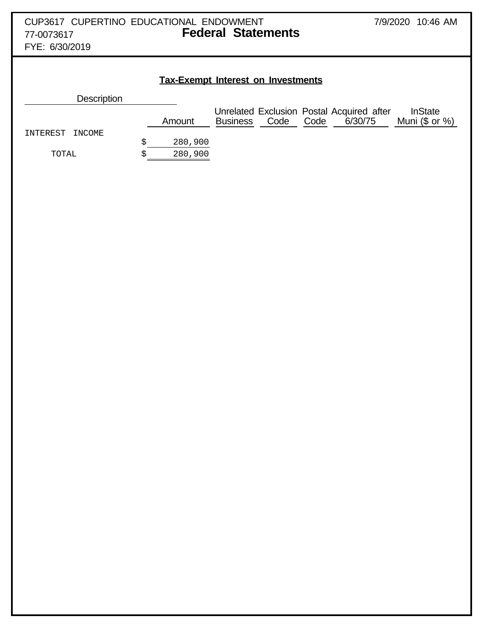## **Tax-Exempt Interest on Investments**

| <b>Description</b> |         |                 |      |      |                                                      |                                    |
|--------------------|---------|-----------------|------|------|------------------------------------------------------|------------------------------------|
|                    | Amount  | <b>Business</b> | Code | Code | Unrelated Exclusion Postal Acquired after<br>6/30/75 | <b>InState</b><br>Muni $($ or  %)$ |
| INTEREST INCOME    |         |                 |      |      |                                                      |                                    |
|                    | 280,900 |                 |      |      |                                                      |                                    |
| TOTAL              | 280,900 |                 |      |      |                                                      |                                    |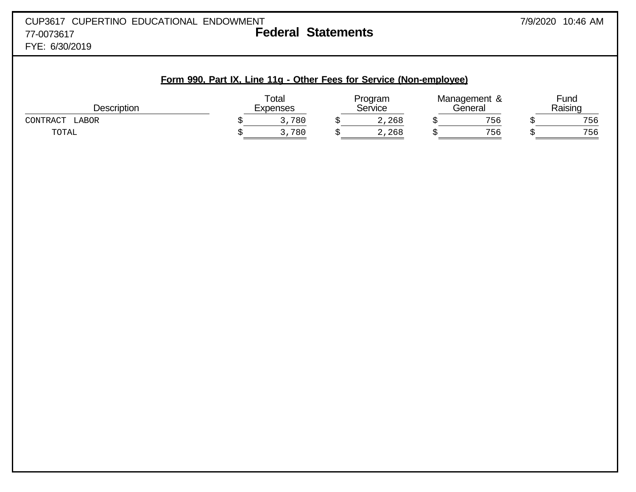## **Form 990, Part IX, Line 11g - Other Fees for Service (Non-employee)**

| Description       | Total<br>Expenses | Program<br>Service | Management &<br><b>General</b> | Fund<br>Raising |
|-------------------|-------------------|--------------------|--------------------------------|-----------------|
| LABOR<br>CONTRACT | ,780              | 2,268              | 756                            | 756             |
| TOTAL             | ,780              | 2,268              | 756                            | 756             |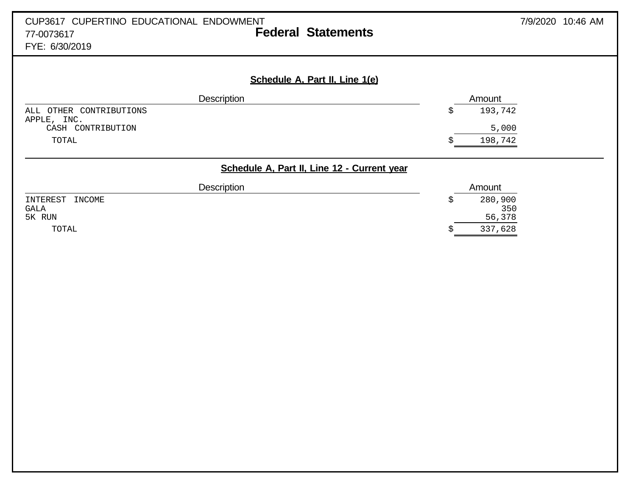| CUP3617 CUPERTINO EDUCATIONAL ENDOWMENT<br>77-0073617<br>FYE: 6/30/2019 | <b>Federal Statements</b>                   | 7/9/2020 10:46 AM |
|-------------------------------------------------------------------------|---------------------------------------------|-------------------|
|                                                                         | Schedule A, Part II, Line 1(e)              |                   |
| <b>Description</b>                                                      | Amount                                      |                   |
| OTHER CONTRIBUTIONS<br>ALL                                              | 193,742<br>\$                               |                   |
| APPLE, INC.<br>CASH CONTRIBUTION                                        | 5,000                                       |                   |
| TOTAL                                                                   | 198,742<br>S                                |                   |
|                                                                         | Schedule A, Part II, Line 12 - Current year |                   |
| <b>Description</b>                                                      | Amount                                      |                   |
| INTEREST<br>INCOME<br><b>GALA</b>                                       | 280,900<br>\$<br>350                        |                   |

5K RUN 56,378  $\sqrt{337,628}$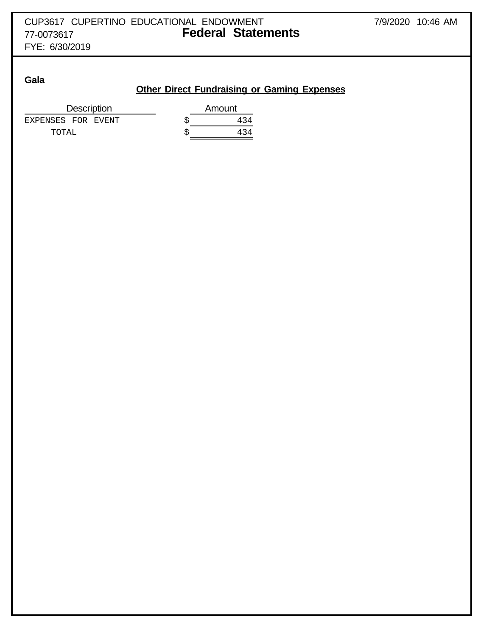## **Gala**

## **Other Direct Fundraising or Gaming Expenses**

## Description

| Amount |  |
|--------|--|
|--------|--|

EXPENSES FOR EVENT  $$$  434 TOTAL  $$$  434